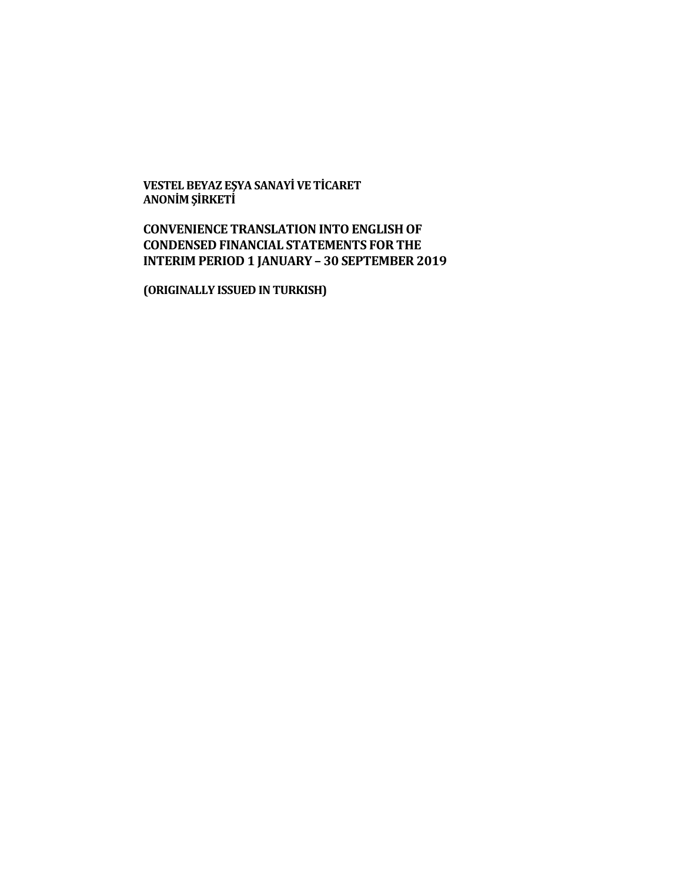**VESTEL BEYAZ EŞYA SANAYİ VE TİCARET ANONİM ŞİRKETİ**

# **CONVENIENCE TRANSLATION INTO ENGLISH OF CONDENSED FINANCIAL STATEMENTS FOR THE INTERIM PERIOD 1 JANUARY – 30 SEPTEMBER 2019**

**(ORIGINALLY ISSUED IN TURKISH)**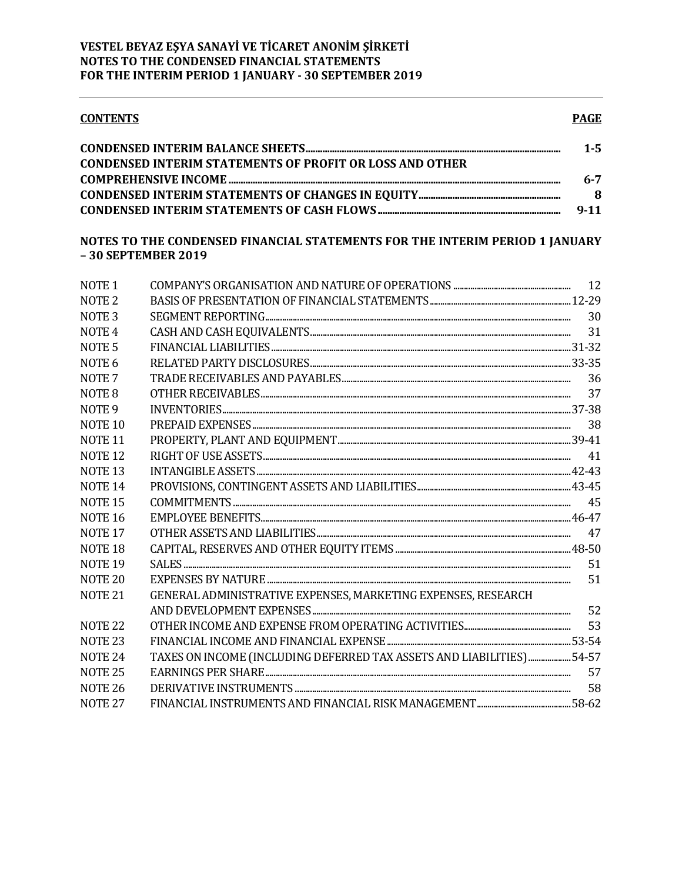| <b>CONTENTS</b>                                                 | <b>PAGE</b> |
|-----------------------------------------------------------------|-------------|
|                                                                 | $1 - 5$     |
| <b>CONDENSED INTERIM STATEMENTS OF PROFIT OR LOSS AND OTHER</b> |             |
|                                                                 | 6-7         |
|                                                                 | 8           |
|                                                                 | $9 - 11$    |

## NOTES TO THE CONDENSED FINANCIAL STATEMENTS FOR THE INTERIM PERIOD 1 JANUARY -30 SEPTEMBER 2019

| NOTE <sub>1</sub>  |                                                                       |    |
|--------------------|-----------------------------------------------------------------------|----|
| NOTE <sub>2</sub>  |                                                                       |    |
| NOTE <sub>3</sub>  |                                                                       |    |
| NOTE <sub>4</sub>  |                                                                       |    |
| NOTE <sub>5</sub>  |                                                                       |    |
| NOTE <sub>6</sub>  |                                                                       |    |
| NOTE <sub>7</sub>  |                                                                       |    |
| NOTE <sub>8</sub>  |                                                                       | 37 |
| NOTE <sub>9</sub>  |                                                                       |    |
| NOTE <sub>10</sub> |                                                                       |    |
| NOTE <sub>11</sub> |                                                                       |    |
| <b>NOTE 12</b>     |                                                                       |    |
| NOTE <sub>13</sub> |                                                                       |    |
| NOTE <sub>14</sub> |                                                                       |    |
| <b>NOTE 15</b>     |                                                                       |    |
| NOTE <sub>16</sub> |                                                                       |    |
| NOTE <sub>17</sub> |                                                                       | 47 |
| NOTE <sub>18</sub> |                                                                       |    |
| <b>NOTE 19</b>     |                                                                       | 51 |
| NOTE <sub>20</sub> |                                                                       | 51 |
| NOTE <sub>21</sub> | GENERAL ADMINISTRATIVE EXPENSES, MARKETING EXPENSES, RESEARCH         |    |
|                    |                                                                       | 52 |
| NOTE <sub>22</sub> |                                                                       | 53 |
| NOTE <sub>23</sub> |                                                                       |    |
| NOTE <sub>24</sub> | TAXES ON INCOME (INCLUDING DEFERRED TAX ASSETS AND LIABILITIES) 54-57 |    |
| NOTE <sub>25</sub> |                                                                       | 57 |
| <b>NOTE 26</b>     |                                                                       | 58 |
| NOTE <sub>27</sub> |                                                                       |    |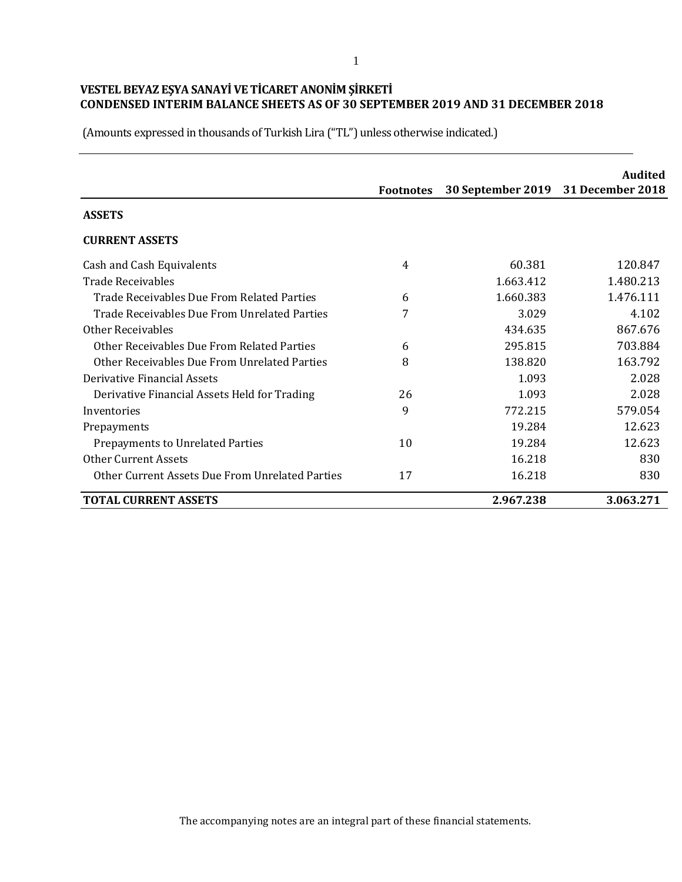|                                                 | <b>Footnotes</b> | 30 September 2019 31 December 2018 | Audited   |
|-------------------------------------------------|------------------|------------------------------------|-----------|
| <b>ASSETS</b>                                   |                  |                                    |           |
| <b>CURRENT ASSETS</b>                           |                  |                                    |           |
| Cash and Cash Equivalents                       | 4                | 60.381                             | 120.847   |
| <b>Trade Receivables</b>                        |                  | 1.663.412                          | 1.480.213 |
| Trade Receivables Due From Related Parties      | 6                | 1.660.383                          | 1.476.111 |
| Trade Receivables Due From Unrelated Parties    | 7                | 3.029                              | 4.102     |
| <b>Other Receivables</b>                        |                  | 434.635                            | 867.676   |
| Other Receivables Due From Related Parties      | 6                | 295.815                            | 703.884   |
| Other Receivables Due From Unrelated Parties    | 8                | 138.820                            | 163.792   |
| Derivative Financial Assets                     |                  | 1.093                              | 2.028     |
| Derivative Financial Assets Held for Trading    | 26               | 1.093                              | 2.028     |
| Inventories                                     | 9                | 772.215                            | 579.054   |
| Prepayments                                     |                  | 19.284                             | 12.623    |
| <b>Prepayments to Unrelated Parties</b>         | 10               | 19.284                             | 12.623    |
| <b>Other Current Assets</b>                     |                  | 16.218                             | 830       |
| Other Current Assets Due From Unrelated Parties | 17               | 16.218                             | 830       |
| <b>TOTAL CURRENT ASSETS</b>                     |                  | 2.967.238                          | 3.063.271 |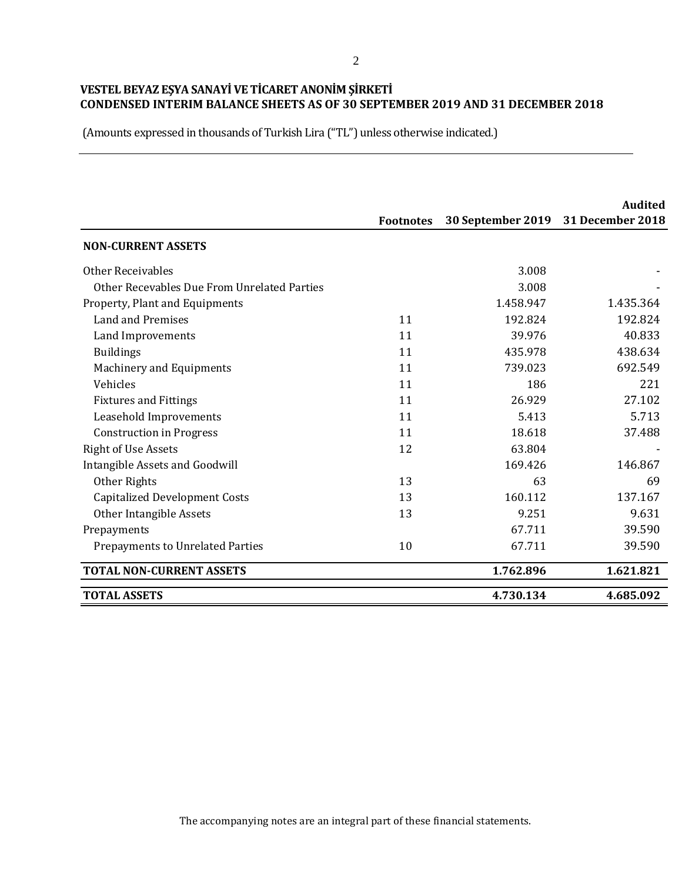|                                             | <b>Footnotes</b> | 30 September 2019 | Audited<br><b>31 December 2018</b> |
|---------------------------------------------|------------------|-------------------|------------------------------------|
| <b>NON-CURRENT ASSETS</b>                   |                  |                   |                                    |
| <b>Other Receivables</b>                    |                  | 3.008             |                                    |
| Other Recevables Due From Unrelated Parties |                  | 3.008             |                                    |
| Property, Plant and Equipments              |                  | 1.458.947         | 1.435.364                          |
| <b>Land and Premises</b>                    | 11               | 192.824           | 192.824                            |
| Land Improvements                           | 11               | 39.976            | 40.833                             |
| <b>Buildings</b>                            | 11               | 435.978           | 438.634                            |
| <b>Machinery and Equipments</b>             | 11               | 739.023           | 692.549                            |
| Vehicles                                    | 11               | 186               | 221                                |
| <b>Fixtures and Fittings</b>                | 11               | 26.929            | 27.102                             |
| Leasehold Improvements                      | 11               | 5.413             | 5.713                              |
| <b>Construction in Progress</b>             | 11               | 18.618            | 37.488                             |
| <b>Right of Use Assets</b>                  | 12               | 63.804            |                                    |
| Intangible Assets and Goodwill              |                  | 169.426           | 146.867                            |
| Other Rights                                | 13               | 63                | 69                                 |
| <b>Capitalized Development Costs</b>        | 13               | 160.112           | 137.167                            |
| Other Intangible Assets                     | 13               | 9.251             | 9.631                              |
| Prepayments                                 |                  | 67.711            | 39.590                             |
| <b>Prepayments to Unrelated Parties</b>     | 10               | 67.711            | 39.590                             |
| <b>TOTAL NON-CURRENT ASSETS</b>             |                  | 1.762.896         | 1.621.821                          |
| <b>TOTAL ASSETS</b>                         |                  | 4.730.134         | 4.685.092                          |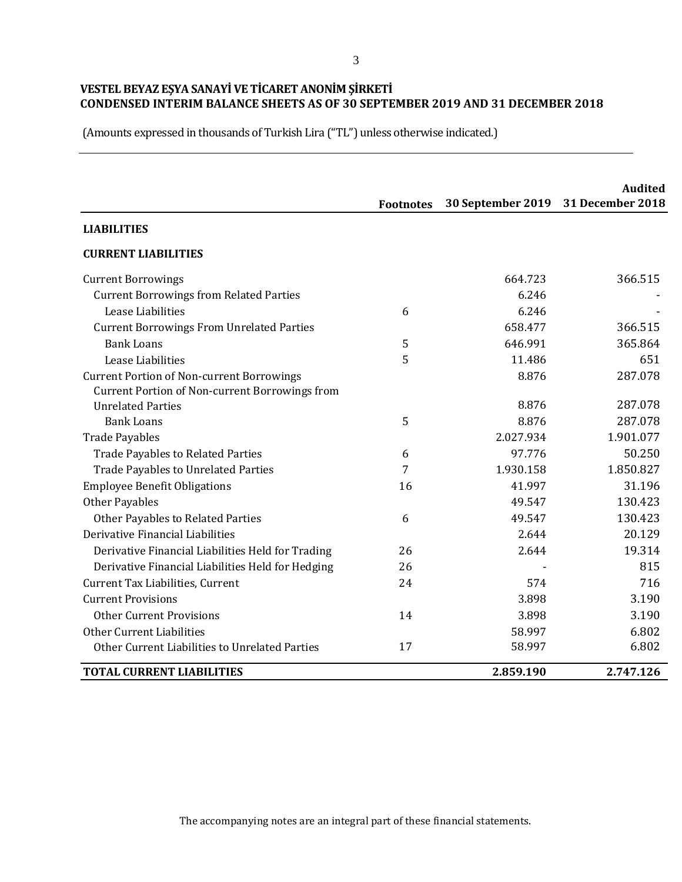(Amounts expressed in thousands of Turkish Lira ("TL") unless otherwise indicated.)

|                                                       | <b>Footnotes</b> | 30 September 2019 | <b>Audited</b><br>31 December 2018 |
|-------------------------------------------------------|------------------|-------------------|------------------------------------|
| <b>LIABILITIES</b>                                    |                  |                   |                                    |
| <b>CURRENT LIABILITIES</b>                            |                  |                   |                                    |
| <b>Current Borrowings</b>                             |                  | 664.723           | 366.515                            |
| <b>Current Borrowings from Related Parties</b>        |                  | 6.246             |                                    |
| Lease Liabilities                                     | 6                | 6.246             |                                    |
| <b>Current Borrowings From Unrelated Parties</b>      |                  | 658.477           | 366.515                            |
| <b>Bank Loans</b>                                     | 5                | 646.991           | 365.864                            |
| Lease Liabilities                                     | 5                | 11.486            | 651                                |
| <b>Current Portion of Non-current Borrowings</b>      |                  | 8.876             | 287.078                            |
| <b>Current Portion of Non-current Borrowings from</b> |                  |                   |                                    |
| <b>Unrelated Parties</b>                              |                  | 8.876             | 287.078                            |
| <b>Bank Loans</b>                                     | 5                | 8.876             | 287.078                            |
| <b>Trade Payables</b>                                 |                  | 2.027.934         | 1.901.077                          |
| <b>Trade Payables to Related Parties</b>              | 6                | 97.776            | 50.250                             |
| <b>Trade Payables to Unrelated Parties</b>            | 7                | 1.930.158         | 1.850.827                          |
| <b>Employee Benefit Obligations</b>                   | 16               | 41.997            | 31.196                             |
| <b>Other Payables</b>                                 |                  | 49.547            | 130.423                            |
| Other Payables to Related Parties                     | 6                | 49.547            | 130.423                            |
| Derivative Financial Liabilities                      |                  | 2.644             | 20.129                             |
| Derivative Financial Liabilities Held for Trading     | 26               | 2.644             | 19.314                             |
| Derivative Financial Liabilities Held for Hedging     | 26               |                   | 815                                |
| Current Tax Liabilities, Current                      | 24               | 574               | 716                                |
| <b>Current Provisions</b>                             |                  | 3.898             | 3.190                              |
| <b>Other Current Provisions</b>                       | 14               | 3.898             | 3.190                              |
| Other Current Liabilities                             |                  | 58.997            | 6.802                              |
| Other Current Liabilities to Unrelated Parties        | 17               | 58.997            | 6.802                              |
| <b>TOTAL CURRENT LIABILITIES</b>                      |                  | 2.859.190         | 2.747.126                          |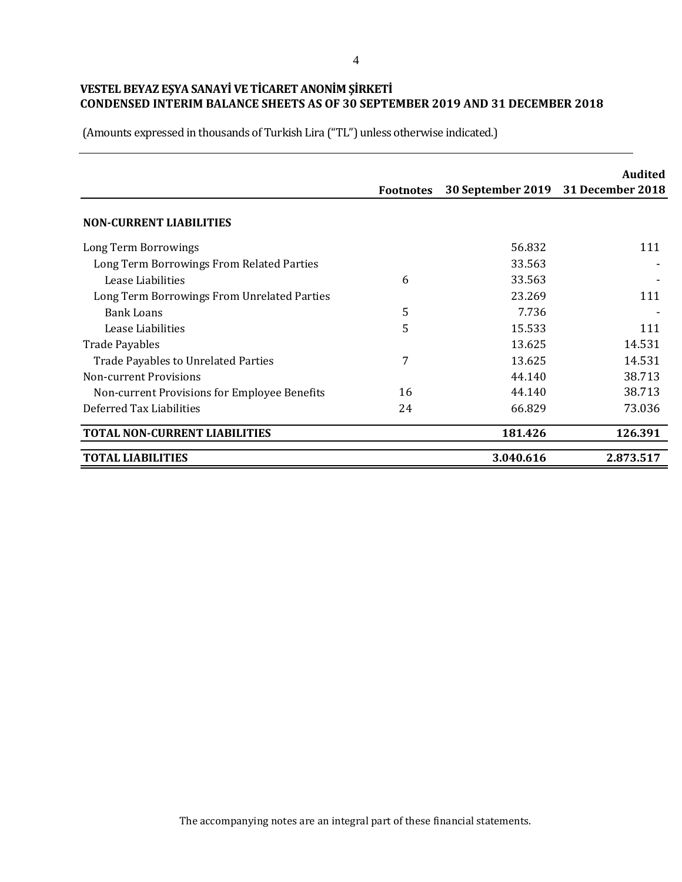(Amounts expressed in thousands of Turkish Lira ("TL") unless otherwise indicated.)

|                                              |                  |           | <b>Audited</b>                     |
|----------------------------------------------|------------------|-----------|------------------------------------|
|                                              | <b>Footnotes</b> |           | 30 September 2019 31 December 2018 |
| <b>NON-CURRENT LIABILITIES</b>               |                  |           |                                    |
| Long Term Borrowings                         |                  | 56.832    | 111                                |
| Long Term Borrowings From Related Parties    |                  | 33.563    |                                    |
| Lease Liabilities                            | 6                | 33.563    |                                    |
| Long Term Borrowings From Unrelated Parties  |                  | 23.269    | 111                                |
| Bank Loans                                   | 5                | 7.736     |                                    |
| Lease Liabilities                            | 5                | 15.533    | 111                                |
| <b>Trade Payables</b>                        |                  | 13.625    | 14.531                             |
| <b>Trade Payables to Unrelated Parties</b>   | 7                | 13.625    | 14.531                             |
| Non-current Provisions                       |                  | 44.140    | 38.713                             |
| Non-current Provisions for Employee Benefits | 16               | 44.140    | 38.713                             |
| Deferred Tax Liabilities                     | 24               | 66.829    | 73.036                             |
| <b>TOTAL NON-CURRENT LIABILITIES</b>         |                  | 181.426   | 126.391                            |
| <b>TOTAL LIABILITIES</b>                     |                  | 3.040.616 | 2.873.517                          |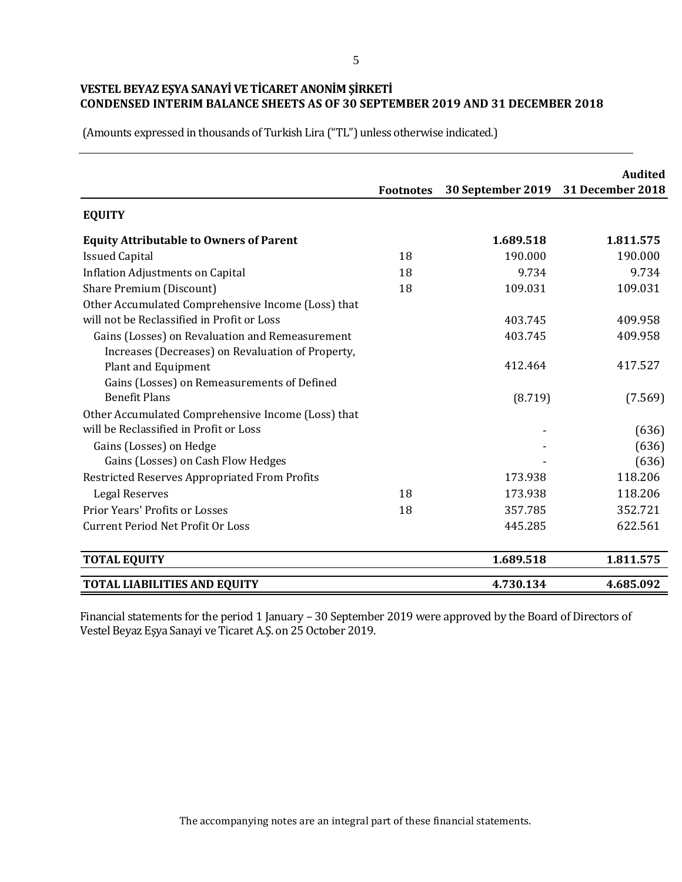(Amounts expressed in thousands of Turkish Lira ("TL") unless otherwise indicated.)

|                                                    |                  |                                    | <b>Audited</b> |
|----------------------------------------------------|------------------|------------------------------------|----------------|
|                                                    | <b>Footnotes</b> | 30 September 2019 31 December 2018 |                |
| <b>EQUITY</b>                                      |                  |                                    |                |
| <b>Equity Attributable to Owners of Parent</b>     |                  | 1.689.518                          | 1.811.575      |
| <b>Issued Capital</b>                              | 18               | 190.000                            | 190.000        |
| <b>Inflation Adjustments on Capital</b>            | 18               | 9.734                              | 9.734          |
| Share Premium (Discount)                           | 18               | 109.031                            | 109.031        |
| Other Accumulated Comprehensive Income (Loss) that |                  |                                    |                |
| will not be Reclassified in Profit or Loss         |                  | 403.745                            | 409.958        |
| Gains (Losses) on Revaluation and Remeasurement    |                  | 403.745                            | 409.958        |
| Increases (Decreases) on Revaluation of Property,  |                  |                                    |                |
| <b>Plant and Equipment</b>                         |                  | 412.464                            | 417.527        |
| Gains (Losses) on Remeasurements of Defined        |                  |                                    |                |
| <b>Benefit Plans</b>                               |                  | (8.719)                            | (7.569)        |
| Other Accumulated Comprehensive Income (Loss) that |                  |                                    |                |
| will be Reclassified in Profit or Loss             |                  |                                    | (636)          |
| Gains (Losses) on Hedge                            |                  |                                    | (636)          |
| Gains (Losses) on Cash Flow Hedges                 |                  |                                    | (636)          |
| Restricted Reserves Appropriated From Profits      |                  | 173.938                            | 118.206        |
| <b>Legal Reserves</b>                              | 18               | 173.938                            | 118.206        |
| <b>Prior Years' Profits or Losses</b>              | 18               | 357.785                            | 352.721        |
| <b>Current Period Net Profit Or Loss</b>           |                  | 445.285                            | 622.561        |
| <b>TOTAL EQUITY</b>                                |                  | 1.689.518                          | 1.811.575      |
| <b>TOTAL LIABILITIES AND EQUITY</b>                |                  | 4.730.134                          | 4.685.092      |

Financial statements for the period 1 January – 30 September 2019 were approved by the Board of Directors of Vestel Beyaz Eşya Sanayi ve Ticaret A.Ş. on 25 October 2019.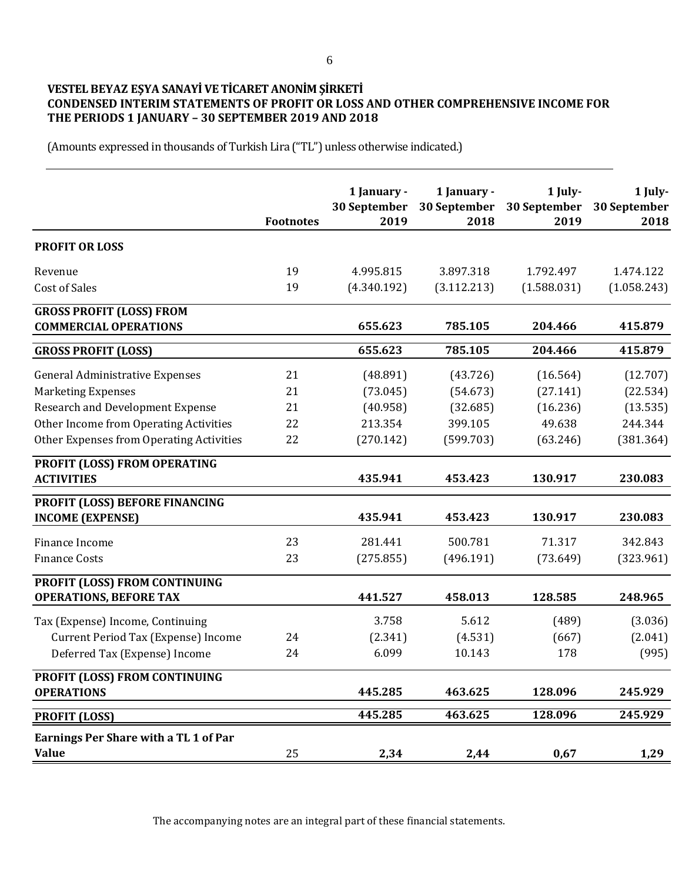## **VESTEL BEYAZ EŞYA SANAYİ VE TİCARET ANONİM ŞİRKETİ CONDENSED INTERIM STATEMENTS OF PROFIT OR LOSS AND OTHER COMPREHENSIVE INCOME FOR THE PERIODS 1 JANUARY – 30 SEPTEMBER 2019 AND 2018**

(Amounts expressed in thousands of Turkish Lira ("TL") unless otherwise indicated.)

|                                                                 | <b>Footnotes</b> | 1 January -<br>30 September<br>2019 | 1 January -<br>30 September<br>2018 | 1 July-<br>30 September<br>2019 | 1 July-<br>30 September<br>2018 |
|-----------------------------------------------------------------|------------------|-------------------------------------|-------------------------------------|---------------------------------|---------------------------------|
| <b>PROFIT OR LOSS</b>                                           |                  |                                     |                                     |                                 |                                 |
| Revenue                                                         | 19               | 4.995.815                           | 3.897.318                           | 1.792.497                       | 1.474.122                       |
| <b>Cost of Sales</b>                                            | 19               | (4.340.192)                         | (3.112.213)                         | (1.588.031)                     | (1.058.243)                     |
| <b>GROSS PROFIT (LOSS) FROM</b><br><b>COMMERCIAL OPERATIONS</b> |                  | 655.623                             | 785.105                             | 204.466                         | 415.879                         |
| <b>GROSS PROFIT (LOSS)</b>                                      |                  | 655.623                             | 785.105                             | 204.466                         | 415.879                         |
| <b>General Administrative Expenses</b>                          | 21               | (48.891)                            | (43.726)                            | (16.564)                        | (12.707)                        |
| <b>Marketing Expenses</b>                                       | 21               | (73.045)                            | (54.673)                            | (27.141)                        | (22.534)                        |
| <b>Research and Development Expense</b>                         | 21               | (40.958)                            | (32.685)                            | (16.236)                        | (13.535)                        |
| Other Income from Operating Activities                          | 22               | 213.354                             | 399.105                             | 49.638                          | 244.344                         |
| Other Expenses from Operating Activities                        | 22               | (270.142)                           | (599.703)                           | (63.246)                        | (381.364)                       |
| PROFIT (LOSS) FROM OPERATING<br><b>ACTIVITIES</b>               |                  | 435.941                             | 453.423                             | 130.917                         | 230.083                         |
| PROFIT (LOSS) BEFORE FINANCING<br><b>INCOME (EXPENSE)</b>       |                  | 435.941                             | 453.423                             | 130.917                         | 230.083                         |
| Finance Income                                                  | 23               | 281.441                             | 500.781                             | 71.317                          | 342.843                         |
| <b>Finance Costs</b>                                            | 23               | (275.855)                           | (496.191)                           | (73.649)                        | (323.961)                       |
| PROFIT (LOSS) FROM CONTINUING<br><b>OPERATIONS, BEFORE TAX</b>  |                  | 441.527                             | 458.013                             | 128.585                         | 248.965                         |
| Tax (Expense) Income, Continuing                                |                  | 3.758                               | 5.612                               | (489)                           | (3.036)                         |
| Current Period Tax (Expense) Income                             | 24               | (2.341)                             | (4.531)                             | (667)                           | (2.041)                         |
| Deferred Tax (Expense) Income                                   | 24               | 6.099                               | 10.143                              | 178                             | (995)                           |
| PROFIT (LOSS) FROM CONTINUING<br><b>OPERATIONS</b>              |                  | 445.285                             | 463.625                             | 128.096                         | 245.929                         |
| <b>PROFIT (LOSS)</b>                                            |                  | 445.285                             | 463.625                             | 128.096                         | 245.929                         |
| Earnings Per Share with a TL 1 of Par<br><b>Value</b>           | 25               | 2,34                                | 2,44                                | 0,67                            | 1,29                            |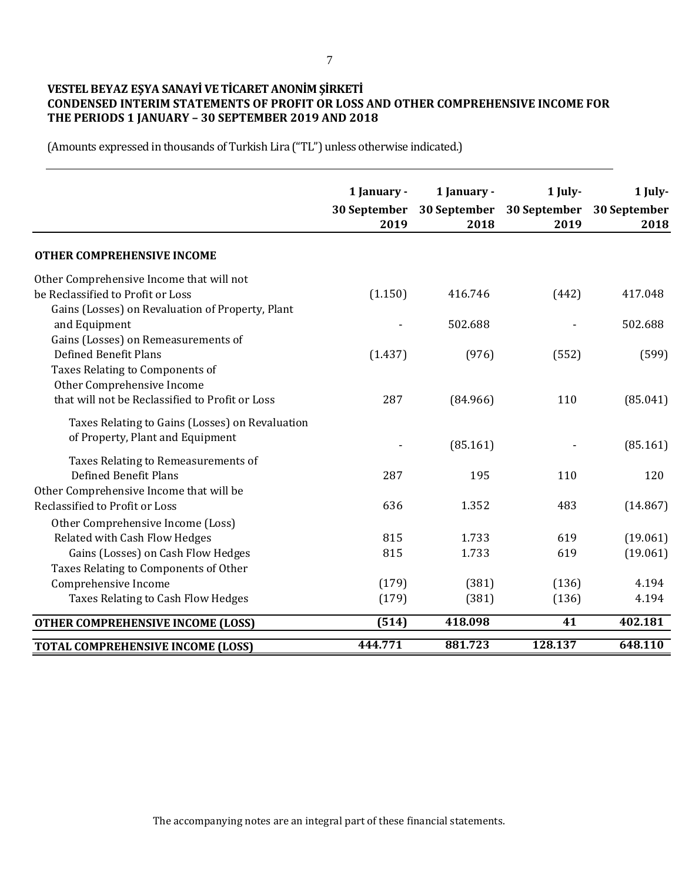## **VESTEL BEYAZ EŞYA SANAYİ VE TİCARET ANONİM ŞİRKETİ CONDENSED INTERIM STATEMENTS OF PROFIT OR LOSS AND OTHER COMPREHENSIVE INCOME FOR THE PERIODS 1 JANUARY – 30 SEPTEMBER 2019 AND 2018**

|                                                                     | 1 January -<br>30 September<br>2019 | 1 January -<br>30 September<br>2018 | 1 July-<br>30 September<br>2019 | 1 July-<br>30 September<br>2018 |
|---------------------------------------------------------------------|-------------------------------------|-------------------------------------|---------------------------------|---------------------------------|
| <b>OTHER COMPREHENSIVE INCOME</b>                                   |                                     |                                     |                                 |                                 |
| Other Comprehensive Income that will not                            |                                     |                                     |                                 |                                 |
| be Reclassified to Profit or Loss                                   | (1.150)                             | 416.746                             | (442)                           | 417.048                         |
| Gains (Losses) on Revaluation of Property, Plant                    |                                     |                                     |                                 |                                 |
| and Equipment                                                       |                                     | 502.688                             |                                 | 502.688                         |
| Gains (Losses) on Remeasurements of<br><b>Defined Benefit Plans</b> | (1.437)                             | (976)                               | (552)                           | (599)                           |
| Taxes Relating to Components of                                     |                                     |                                     |                                 |                                 |
| Other Comprehensive Income                                          |                                     |                                     |                                 |                                 |
| that will not be Reclassified to Profit or Loss                     | 287                                 | (84.966)                            | 110                             | (85.041)                        |
| Taxes Relating to Gains (Losses) on Revaluation                     |                                     |                                     |                                 |                                 |
| of Property, Plant and Equipment                                    |                                     |                                     |                                 |                                 |
| Taxes Relating to Remeasurements of                                 |                                     | (85.161)                            |                                 | (85.161)                        |
| <b>Defined Benefit Plans</b>                                        | 287                                 | 195                                 | 110                             | 120                             |
| Other Comprehensive Income that will be                             |                                     |                                     |                                 |                                 |
| Reclassified to Profit or Loss                                      | 636                                 | 1.352                               | 483                             | (14.867)                        |
| Other Comprehensive Income (Loss)                                   |                                     |                                     |                                 |                                 |
| Related with Cash Flow Hedges                                       | 815                                 | 1.733                               | 619                             | (19.061)                        |
| Gains (Losses) on Cash Flow Hedges                                  | 815                                 | 1.733                               | 619                             | (19.061)                        |
| Taxes Relating to Components of Other                               |                                     |                                     |                                 |                                 |
| Comprehensive Income                                                | (179)                               | (381)                               | (136)                           | 4.194                           |
| Taxes Relating to Cash Flow Hedges                                  | (179)                               | (381)                               | (136)                           | 4.194                           |
| <b>OTHER COMPREHENSIVE INCOME (LOSS)</b>                            | (514)                               | 418.098                             | 41                              | 402.181                         |
| <b>TOTAL COMPREHENSIVE INCOME (LOSS)</b>                            | 444.771                             | 881.723                             | 128.137                         | 648.110                         |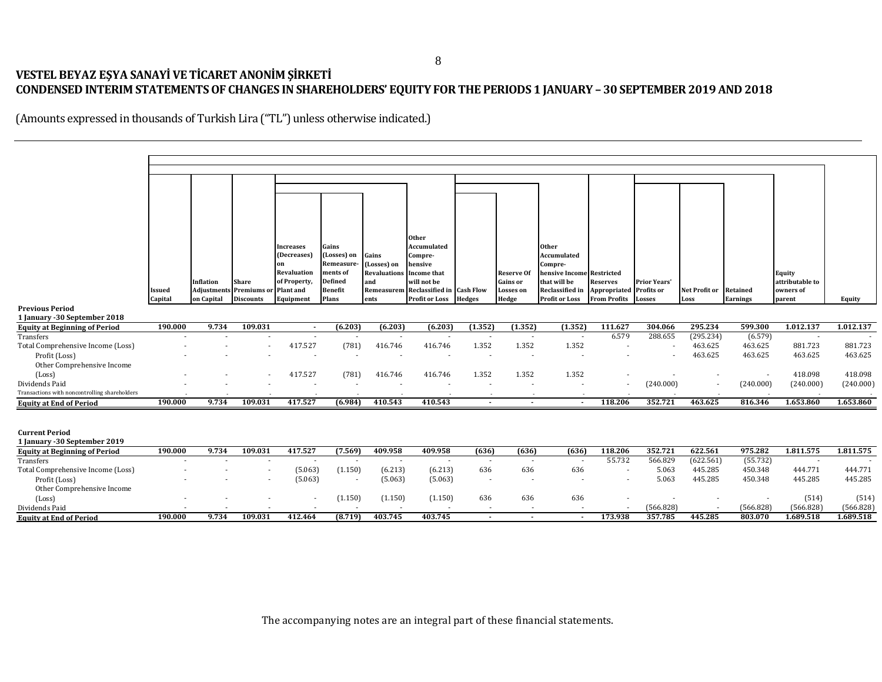# **VESTEL BEYAZ EŞYA SANAYİ VE TİCARET ANONİM ŞİRKETİ CONDENSED INTERIM STATEMENTS OF CHANGES IN SHAREHOLDERS' EQUITY FORTHE PERIODS 1 JANUARY – 30 SEPTEMBER 2019 AND 2018**

|                                                                       |         |            |                                |                             |                      |                            | <b>Other</b>                         |                          |                          |                                           |                                |                          |               |                 |                                  |           |
|-----------------------------------------------------------------------|---------|------------|--------------------------------|-----------------------------|----------------------|----------------------------|--------------------------------------|--------------------------|--------------------------|-------------------------------------------|--------------------------------|--------------------------|---------------|-----------------|----------------------------------|-----------|
|                                                                       |         |            |                                | Increases<br>(Decreases)    | Gains<br>(Losses) on | Gains                      | Accumulated<br>Compre-               |                          |                          | <b>Other</b><br><b>Accumulated</b>        |                                |                          |               |                 |                                  |           |
|                                                                       |         |            |                                | on                          | Remeasure            | (Losses) on                | hensive                              |                          |                          | Compre-                                   |                                |                          |               |                 |                                  |           |
|                                                                       |         | Inflation  | <b>Share</b>                   | Revaluation<br>of Property, | ments of<br>Defined  | <b>Revaluations</b><br>and | <b>Income that</b><br>will not be    |                          | Reserve Of<br>Gains or   | hensive Income Restricted<br>that will be | <b>Reserves</b>                | <b>Prior Years'</b>      |               |                 | <b>Equity</b><br>attributable to |           |
|                                                                       | Issued  |            | <b>Adjustments Premiums or</b> | Plant and                   | Benefit              |                            | Remeasurem Reclassified in Cash Flow |                          | <b>Losses</b> on         | Reclassified in                           | <b>Appropriated Profits or</b> |                          | Net Profit or | Retained        | owners of                        |           |
|                                                                       | Capital | on Capital | <b>Discounts</b>               | Equipment                   | Plans                | ents                       | <b>Profit or Loss</b>                | <b>Hedges</b>            | Hedge                    | <b>Profit or Loss</b>                     | <b>From Profits</b>            | <b>Losses</b>            | Loss          | <b>Earnings</b> | parent                           | Equity    |
| <b>Previous Period</b><br>1 January - 30 September 2018               |         |            |                                |                             |                      |                            |                                      |                          |                          |                                           |                                |                          |               |                 |                                  |           |
| <b>Equity at Beginning of Period</b>                                  | 190.000 | 9.734      | 109.031                        | $\blacksquare$              | (6.203)              | (6.203)                    | (6.203)                              | (1.352)                  | (1.352)                  | (1.352)                                   | 111.627                        | 304.066                  | 295.234       | 599.300         | 1.012.137                        | 1.012.137 |
| Transfers                                                             |         |            |                                | $\overline{\phantom{a}}$    |                      |                            |                                      | $\overline{\phantom{a}}$ | $\overline{\phantom{a}}$ | $\sim$                                    | 6.579                          | 288.655                  | (295.234)     | (6.579)         |                                  |           |
| Total Comprehensive Income (Loss)                                     |         |            |                                | 417.527                     | (781)                | 416.746                    | 416.746                              | 1.352                    | 1.352                    | 1.352                                     |                                | $\overline{\phantom{a}}$ | 463.625       | 463.625         | 881.723                          | 881.723   |
| Profit (Loss)<br>Other Comprehensive Income                           |         |            |                                |                             |                      |                            |                                      | $\overline{\phantom{a}}$ | $\overline{a}$           |                                           |                                |                          | 463.625       | 463.625         | 463.625                          | 463.625   |
| (Loss)                                                                |         |            |                                | 417.527                     | (781)                | 416.746                    | 416.746                              | 1.352                    | 1.352                    | 1.352                                     |                                |                          |               |                 | 418.098                          | 418.098   |
| Dividends Paid                                                        |         |            |                                |                             |                      |                            |                                      |                          |                          |                                           |                                | (240.000)                |               | (240.000)       | (240.000)                        | (240.000) |
| Transactions with noncontrolling shareholders                         |         |            |                                |                             |                      |                            |                                      |                          |                          |                                           |                                |                          |               |                 |                                  |           |
| <b>Equity at End of Period</b>                                        | 190.000 | 9.734      | 109.031                        | 417.527                     | (6.984)              | 410.543                    | 410.543                              | $\sim$                   | $\sim$                   | $\sim$                                    | 118.206                        | 352.721                  | 463.625       | 816.346         | 1.653.860                        | 1.653.860 |
|                                                                       |         |            |                                |                             |                      |                            |                                      |                          |                          |                                           |                                |                          |               |                 |                                  |           |
| <b>Current Period</b>                                                 |         |            |                                |                             |                      |                            |                                      |                          |                          |                                           |                                |                          |               |                 |                                  |           |
| 1 January - 30 September 2019<br><b>Equity at Beginning of Period</b> | 190.000 | 9.734      | 109.031                        | 417.527                     | (7.569)              | 409.958                    | 409.958                              | (636)                    | (636)                    | (636)                                     | 118.206                        | 352.721                  | 622.561       | 975.282         | 1.811.575                        | 1.811.575 |
| Transfers                                                             |         |            |                                |                             |                      | $\overline{\phantom{a}}$   | $\sim$                               | $\overline{\phantom{a}}$ | $\overline{\phantom{a}}$ | $\sim$                                    | 55.732                         | 566.829                  | (622.561)     | (55.732)        |                                  |           |
| Total Comprehensive Income (Loss)                                     |         |            |                                | (5.063)                     | (1.150)              | (6.213)                    | (6.213)                              | 636                      | 636                      | 636                                       | $\overline{\phantom{a}}$       | 5.063                    | 445.285       | 450.348         | 444.771                          | 444.771   |
| Profit (Loss)                                                         |         |            |                                | (5.063)                     |                      | (5.063)                    | (5.063)                              | $\overline{\phantom{a}}$ |                          |                                           |                                | 5.063                    | 445.285       | 450.348         | 445.285                          | 445.285   |
| Other Comprehensive Income<br>(Loss)                                  |         |            |                                |                             | (1.150)              | (1.150)                    | (1.150)                              | 636                      | 636                      | 636                                       | $\overline{\phantom{a}}$       |                          |               |                 | (514)                            | (514)     |
|                                                                       |         |            |                                |                             |                      |                            |                                      | $\overline{\phantom{a}}$ | $\overline{\phantom{a}}$ | $\sim$                                    | $\sim$                         | (566.828)                |               | (566.828)       | (566.828)                        | (566.828) |
| Dividends Paid                                                        |         | 9.734      | 109.031                        | 412.464                     | (8.719)              | 403.745                    | 403.745                              | $\sim$                   | $\sim$                   | $\sim$                                    | 173.938                        | 357.785                  | 445.285       | 803.070         | 1.689.518                        | 1.689.518 |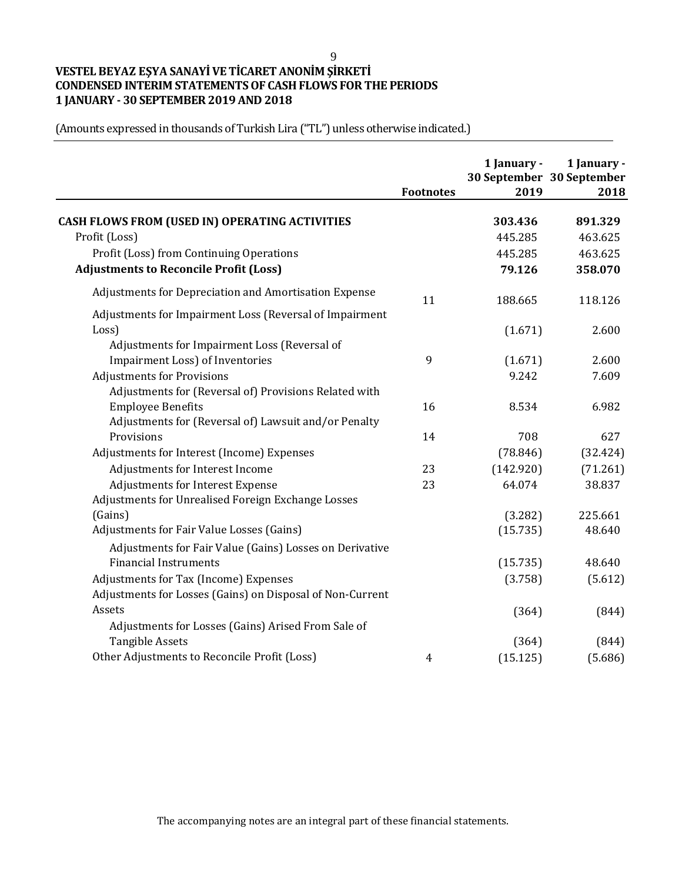9

# **VESTEL BEYAZ EŞYA SANAYİ VE TİCARET ANONİM ŞİRKETİ CONDENSED INTERIM STATEMENTS OF CASH FLOWS FOR THE PERIODS 1 JANUARY - 30 SEPTEMBER 2019 AND 2018**

|                                                           | <b>Footnotes</b> | 1 January -<br>2019 | 1 January -<br>30 September 30 September<br>2018 |
|-----------------------------------------------------------|------------------|---------------------|--------------------------------------------------|
|                                                           |                  |                     |                                                  |
| <b>CASH FLOWS FROM (USED IN) OPERATING ACTIVITIES</b>     |                  | 303.436             | 891.329                                          |
| Profit (Loss)                                             |                  | 445.285             | 463.625                                          |
| Profit (Loss) from Continuing Operations                  |                  | 445.285             | 463.625                                          |
| <b>Adjustments to Reconcile Profit (Loss)</b>             |                  | 79.126              | 358.070                                          |
| Adjustments for Depreciation and Amortisation Expense     | 11               | 188.665             | 118.126                                          |
| Adjustments for Impairment Loss (Reversal of Impairment   |                  |                     |                                                  |
| Loss)                                                     |                  | (1.671)             | 2.600                                            |
| Adjustments for Impairment Loss (Reversal of              |                  |                     |                                                  |
| Impairment Loss) of Inventories                           | 9                | (1.671)             | 2.600                                            |
| <b>Adjustments for Provisions</b>                         |                  | 9.242               | 7.609                                            |
| Adjustments for (Reversal of) Provisions Related with     |                  |                     |                                                  |
| <b>Employee Benefits</b>                                  | 16               | 8.534               | 6.982                                            |
| Adjustments for (Reversal of) Lawsuit and/or Penalty      |                  |                     |                                                  |
| Provisions                                                | 14               | 708                 | 627                                              |
| Adjustments for Interest (Income) Expenses                |                  | (78.846)            | (32.424)                                         |
| Adjustments for Interest Income                           | 23               | (142.920)           | (71.261)                                         |
| Adjustments for Interest Expense                          | 23               | 64.074              | 38.837                                           |
| Adjustments for Unrealised Foreign Exchange Losses        |                  |                     |                                                  |
| (Gains)                                                   |                  | (3.282)             | 225.661                                          |
| Adjustments for Fair Value Losses (Gains)                 |                  | (15.735)            | 48.640                                           |
| Adjustments for Fair Value (Gains) Losses on Derivative   |                  |                     |                                                  |
| <b>Financial Instruments</b>                              |                  | (15.735)            | 48.640                                           |
| Adjustments for Tax (Income) Expenses                     |                  | (3.758)             | (5.612)                                          |
| Adjustments for Losses (Gains) on Disposal of Non-Current |                  |                     |                                                  |
| Assets                                                    |                  | (364)               | (844)                                            |
| Adjustments for Losses (Gains) Arised From Sale of        |                  |                     |                                                  |
| <b>Tangible Assets</b>                                    |                  | (364)               | (844)                                            |
| Other Adjustments to Reconcile Profit (Loss)              | $\overline{4}$   | (15.125)            | (5.686)                                          |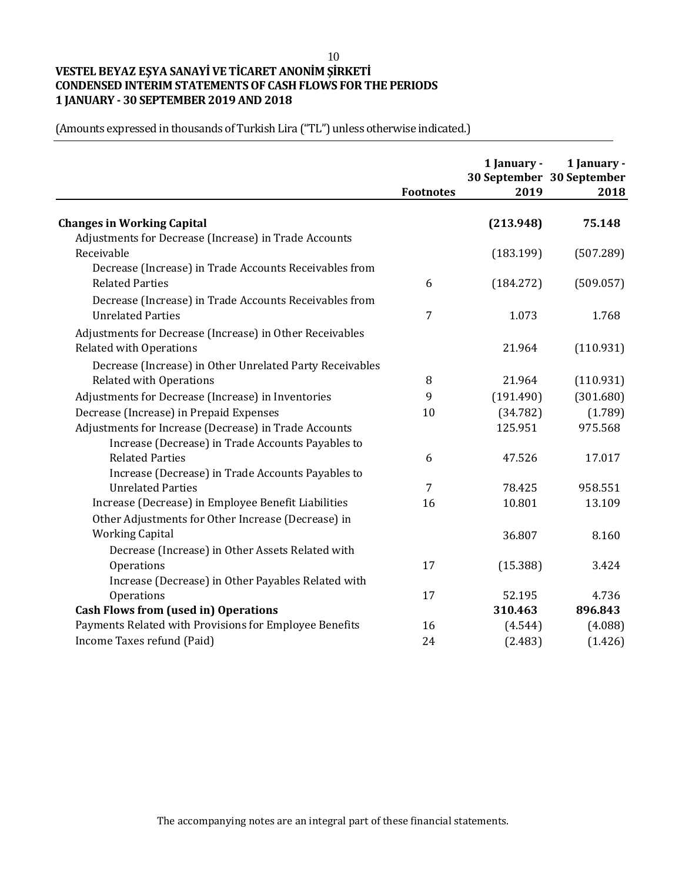10

# **VESTEL BEYAZ EŞYA SANAYİ VE TİCARET ANONİM ŞİRKETİ CONDENSED INTERIM STATEMENTS OF CASH FLOWS FOR THE PERIODS 1 JANUARY - 30 SEPTEMBER 2019 AND 2018**

|                                                          | <b>Footnotes</b> | 1 January -<br>2019 | 1 January -<br>30 September 30 September<br>2018 |
|----------------------------------------------------------|------------------|---------------------|--------------------------------------------------|
|                                                          |                  |                     |                                                  |
| <b>Changes in Working Capital</b>                        |                  | (213.948)           | 75.148                                           |
| Adjustments for Decrease (Increase) in Trade Accounts    |                  |                     |                                                  |
| Receivable                                               |                  | (183.199)           | (507.289)                                        |
| Decrease (Increase) in Trade Accounts Receivables from   |                  |                     |                                                  |
| <b>Related Parties</b>                                   | 6                | (184.272)           | (509.057)                                        |
| Decrease (Increase) in Trade Accounts Receivables from   |                  |                     |                                                  |
| <b>Unrelated Parties</b>                                 | 7                | 1.073               | 1.768                                            |
| Adjustments for Decrease (Increase) in Other Receivables |                  |                     |                                                  |
| <b>Related with Operations</b>                           |                  | 21.964              | (110.931)                                        |
| Decrease (Increase) in Other Unrelated Party Receivables |                  |                     |                                                  |
| <b>Related with Operations</b>                           | 8                | 21.964              | (110.931)                                        |
| Adjustments for Decrease (Increase) in Inventories       | 9                | (191.490)           | (301.680)                                        |
| Decrease (Increase) in Prepaid Expenses                  | 10               | (34.782)            | (1.789)                                          |
| Adjustments for Increase (Decrease) in Trade Accounts    |                  | 125.951             | 975.568                                          |
| Increase (Decrease) in Trade Accounts Payables to        |                  |                     |                                                  |
| <b>Related Parties</b>                                   | 6                | 47.526              | 17.017                                           |
| Increase (Decrease) in Trade Accounts Payables to        |                  |                     |                                                  |
| <b>Unrelated Parties</b>                                 | 7                | 78.425              | 958.551                                          |
| Increase (Decrease) in Employee Benefit Liabilities      | 16               | 10.801              | 13.109                                           |
| Other Adjustments for Other Increase (Decrease) in       |                  |                     |                                                  |
| <b>Working Capital</b>                                   |                  | 36.807              | 8.160                                            |
| Decrease (Increase) in Other Assets Related with         |                  |                     |                                                  |
| Operations                                               | 17               | (15.388)            | 3.424                                            |
| Increase (Decrease) in Other Payables Related with       |                  |                     |                                                  |
| Operations                                               | 17               | 52.195              | 4.736                                            |
| <b>Cash Flows from (used in) Operations</b>              |                  | 310.463             | 896.843                                          |
| Payments Related with Provisions for Employee Benefits   | 16               | (4.544)             | (4.088)                                          |
| Income Taxes refund (Paid)                               | 24               | (2.483)             | (1.426)                                          |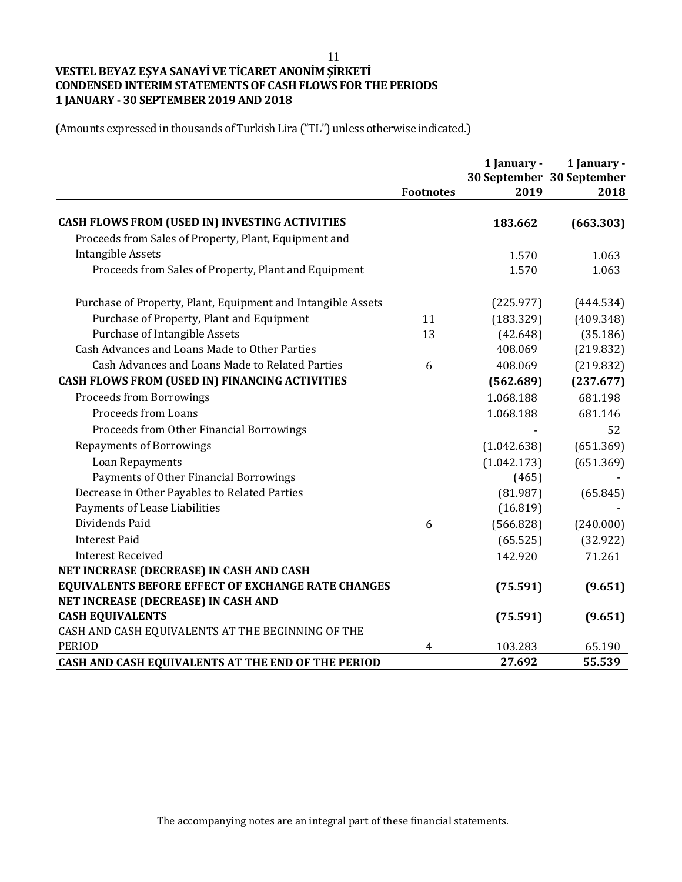11

# **VESTEL BEYAZ EŞYA SANAYİ VE TİCARET ANONİM ŞİRKETİ CONDENSED INTERIM STATEMENTS OF CASH FLOWS FOR THE PERIODS 1 JANUARY - 30 SEPTEMBER 2019 AND 2018**

|                                                              | <b>Footnotes</b> | 1 January -<br>2019 | 1 January -<br>30 September 30 September<br>2018 |
|--------------------------------------------------------------|------------------|---------------------|--------------------------------------------------|
| CASH FLOWS FROM (USED IN) INVESTING ACTIVITIES               |                  | 183.662             | (663.303)                                        |
| Proceeds from Sales of Property, Plant, Equipment and        |                  |                     |                                                  |
| <b>Intangible Assets</b>                                     |                  | 1.570               | 1.063                                            |
| Proceeds from Sales of Property, Plant and Equipment         |                  | 1.570               | 1.063                                            |
| Purchase of Property, Plant, Equipment and Intangible Assets |                  | (225.977)           | (444.534)                                        |
| Purchase of Property, Plant and Equipment                    | 11               | (183.329)           | (409.348)                                        |
| Purchase of Intangible Assets                                | 13               | (42.648)            | (35.186)                                         |
| Cash Advances and Loans Made to Other Parties                |                  | 408.069             | (219.832)                                        |
| Cash Advances and Loans Made to Related Parties              | 6                | 408.069             | (219.832)                                        |
| CASH FLOWS FROM (USED IN) FINANCING ACTIVITIES               |                  | (562.689)           | (237.677)                                        |
| <b>Proceeds from Borrowings</b>                              |                  | 1.068.188           | 681.198                                          |
| Proceeds from Loans                                          |                  | 1.068.188           | 681.146                                          |
| Proceeds from Other Financial Borrowings                     |                  |                     | 52                                               |
| <b>Repayments of Borrowings</b>                              |                  | (1.042.638)         | (651.369)                                        |
| Loan Repayments                                              |                  | (1.042.173)         | (651.369)                                        |
| Payments of Other Financial Borrowings                       |                  | (465)               |                                                  |
| Decrease in Other Payables to Related Parties                |                  | (81.987)            | (65.845)                                         |
| Payments of Lease Liabilities                                |                  | (16.819)            |                                                  |
| Dividends Paid                                               | 6                | (566.828)           | (240.000)                                        |
| <b>Interest Paid</b>                                         |                  | (65.525)            | (32.922)                                         |
| <b>Interest Received</b>                                     |                  | 142.920             | 71.261                                           |
| NET INCREASE (DECREASE) IN CASH AND CASH                     |                  |                     |                                                  |
| <b>EQUIVALENTS BEFORE EFFECT OF EXCHANGE RATE CHANGES</b>    |                  | (75.591)            | (9.651)                                          |
| NET INCREASE (DECREASE) IN CASH AND                          |                  |                     |                                                  |
| <b>CASH EQUIVALENTS</b>                                      |                  | (75.591)            | (9.651)                                          |
| CASH AND CASH EQUIVALENTS AT THE BEGINNING OF THE            |                  |                     |                                                  |
| <b>PERIOD</b>                                                | 4                | 103.283             | 65.190                                           |
| CASH AND CASH EQUIVALENTS AT THE END OF THE PERIOD           |                  | 27.692              | 55.539                                           |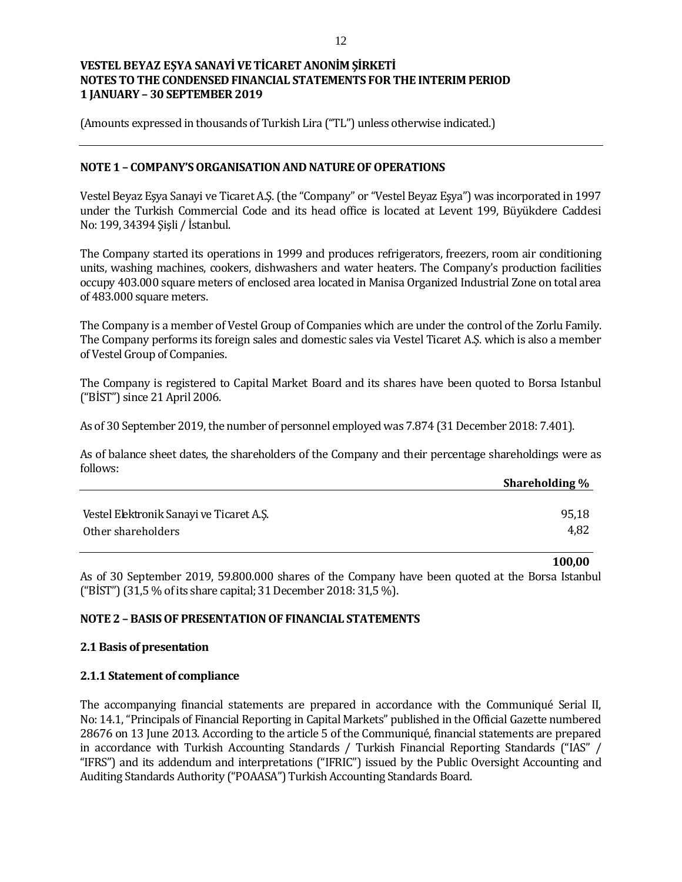(Amounts expressed in thousands of Turkish Lira ("TL") unless otherwise indicated.)

### **NOTE 1 – COMPANY'S ORGANISATION AND NATURE OF OPERATIONS**

Vestel Beyaz Eşya Sanayi ve Ticaret A.Ş. (the "Company" or "Vestel Beyaz Eşya") was incorporated in 1997 under the Turkish Commercial Code and its head office is located at Levent 199, Büyükdere Caddesi No: 199, 34394 Şişli / İstanbul.

The Company started its operations in 1999 and produces refrigerators, freezers, room air conditioning units, washing machines, cookers, dishwashers and water heaters. The Company's production facilities occupy 403.000 square meters of enclosed area located in Manisa Organized Industrial Zone on total area of 483.000 square meters.

The Company is a member of Vestel Group of Companies which are under the control of the Zorlu Family. The Company performs its foreign sales and domestic sales via Vestel Ticaret A.Ş. which is also a member of Vestel Group of Companies.

The Company is registered to Capital Market Board and its shares have been quoted to Borsa Istanbul ("BİST") since 21 April 2006.

As of 30 September 2019, the number of personnel employed was 7.874 (31 December 2018: 7.401).

As of balance sheet dates, the shareholders of the Company and their percentage shareholdings were as follows:

|                                          | Shareholding % |
|------------------------------------------|----------------|
|                                          |                |
| Vestel Elektronik Sanayi ve Ticaret A.S. | 95,18          |
| Other shareholders                       | 4,82           |

**100,00**

As of 30 September 2019, 59.800.000 shares of the Company have been quoted at the Borsa Istanbul ("BİST") (31,5 % of its share capital; 31 December 2018: 31,5 %).

### **NOTE 2 – BASIS OF PRESENTATION OF FINANCIAL STATEMENTS**

#### **2.1 Basis of presentation**

#### **2.1.1 Statement of compliance**

The accompanying financial statements are prepared in accordance with the Communiqué Serial II, No: 14.1, "Principals of Financial Reporting in Capital Markets" published in the Official Gazette numbered 28676 on 13 June 2013. According to the article 5 of the Communiqué, financial statements are prepared in accordance with Turkish Accounting Standards / Turkish Financial Reporting Standards ("IAS" / "IFRS") and its addendum and interpretations ("IFRIC") issued by the Public Oversight Accounting and Auditing Standards Authority ("POAASA") Turkish Accounting Standards Board.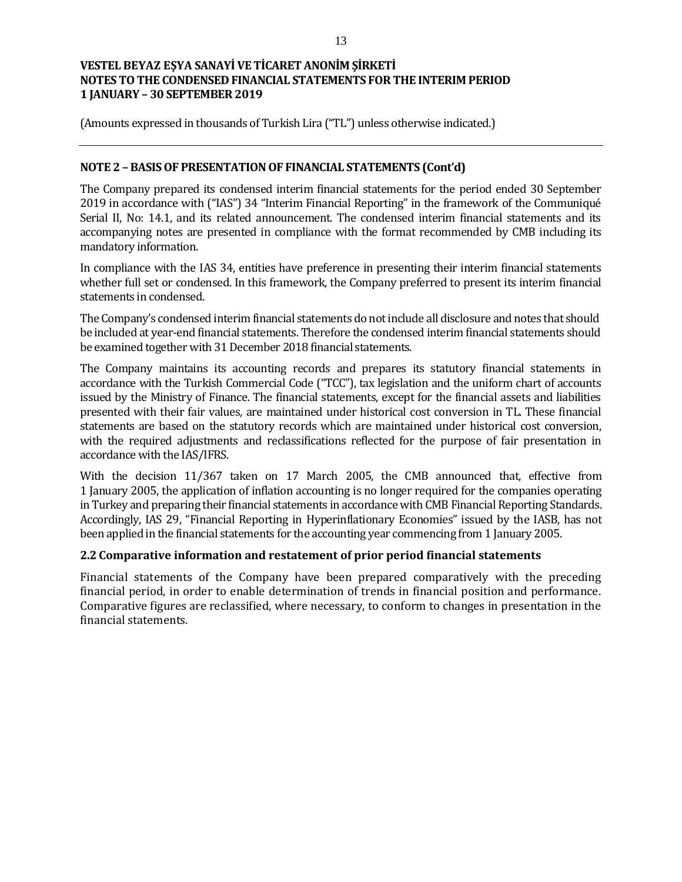(Amounts expressed in thousands of Turkish Lira ("TL") unless otherwise indicated.)

### **NOTE 2 – BASIS OF PRESENTATION OF FINANCIAL STATEMENTS (Cont'd)**

The Company prepared its condensed interim financial statements for the period ended 30 September 2019 in accordance with ("IAS") 34 "Interim Financial Reporting" in the framework of the Communiqué Serial II, No: 14.1, and its related announcement. The condensed interim financial statements and its accompanying notes are presented in compliance with the format recommended by CMB including its mandatory information.

In compliance with the IAS 34, entities have preference in presenting their interim financial statements whether full set or condensed. In this framework, the Company preferred to present its interim financial statements in condensed.

The Company's condensed interim financial statements do not include all disclosure and notes that should be included at year-end financial statements. Therefore the condensed interim financial statements should be examined together with 31 December 2018 financial statements.

The Company maintains its accounting records and prepares its statutory financial statements in accordance with the Turkish Commercial Code ("TCC"), tax legislation and the uniform chart of accounts issued by the Ministry of Finance. The financial statements, except for the financial assets and liabilities presented with their fair values, are maintained under historical cost conversion in TL. These financial statements are based on the statutory records which are maintained under historical cost conversion, with the required adjustments and reclassifications reflected for the purpose of fair presentation in accordance with the IAS/IFRS.

With the decision 11/367 taken on 17 March 2005, the CMB announced that, effective from 1 January 2005, the application of inflation accounting is no longer required for the companies operating in Turkey and preparing their financial statements in accordance with CMB Financial Reporting Standards. Accordingly, IAS 29, "Financial Reporting in Hyperinflationary Economies" issued by the IASB, has not been applied in the financial statements for the accounting year commencing from 1 January 2005.

### **2.2 Comparative information and restatement of prior period financial statements**

Financial statements of the Company have been prepared comparatively with the preceding financial period, in order to enable determination of trends in financial position and performance. Comparative figures are reclassified, where necessary, to conform to changes in presentation in the financial statements.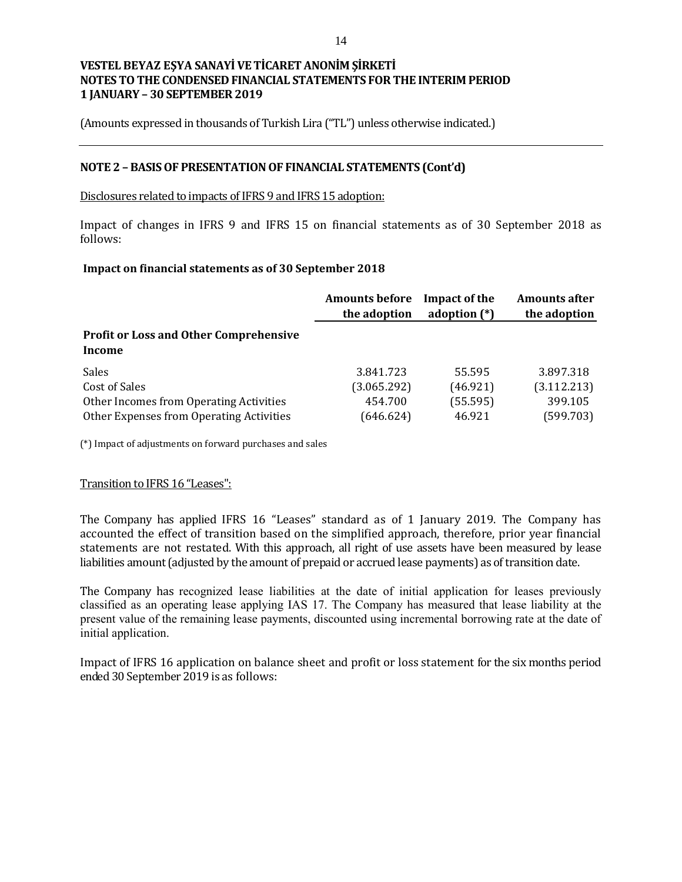(Amounts expressed in thousands of Turkish Lira ("TL") unless otherwise indicated.)

### **NOTE 2 – BASIS OF PRESENTATION OF FINANCIAL STATEMENTS (Cont'd)**

#### Disclosures related to impacts of IFRS 9 and IFRS 15 adoption:

Impact of changes in IFRS 9 and IFRS 15 on financial statements as of 30 September 2018 as follows:

#### **Impact on financial statements as of 30 September 2018**

|                                                         | <b>Amounts before</b><br>the adoption | Impact of the<br>adoption $(*)$ | <b>Amounts after</b><br>the adoption |
|---------------------------------------------------------|---------------------------------------|---------------------------------|--------------------------------------|
| <b>Profit or Loss and Other Comprehensive</b><br>Income |                                       |                                 |                                      |
| <b>Sales</b>                                            | 3.841.723                             | 55.595                          | 3.897.318                            |
| Cost of Sales                                           | (3.065.292)                           | (46.921)                        | (3.112.213)                          |
| Other Incomes from Operating Activities                 | 454.700                               | (55.595)                        | 399.105                              |
| Other Expenses from Operating Activities                | (646.624)                             | 46.921                          | (599.703)                            |

(\*) Impact of adjustments on forward purchases and sales

### Transition to IFRS 16 "Leases":

The Company has applied IFRS 16 "Leases" standard as of 1 January 2019. The Company has accounted the effect of transition based on the simplified approach, therefore, prior year financial statements are not restated. With this approach, all right of use assets have been measured by lease liabilities amount (adjusted by the amount of prepaid or accrued lease payments) as of transition date.

The Company has recognized lease liabilities at the date of initial application for leases previously classified as an operating lease applying IAS 17. The Company has measured that lease liability at the present value of the remaining lease payments, discounted using incremental borrowing rate at the date of initial application.

Impact of IFRS 16 application on balance sheet and profit or loss statement for the six months period ended 30 September 2019 is as follows: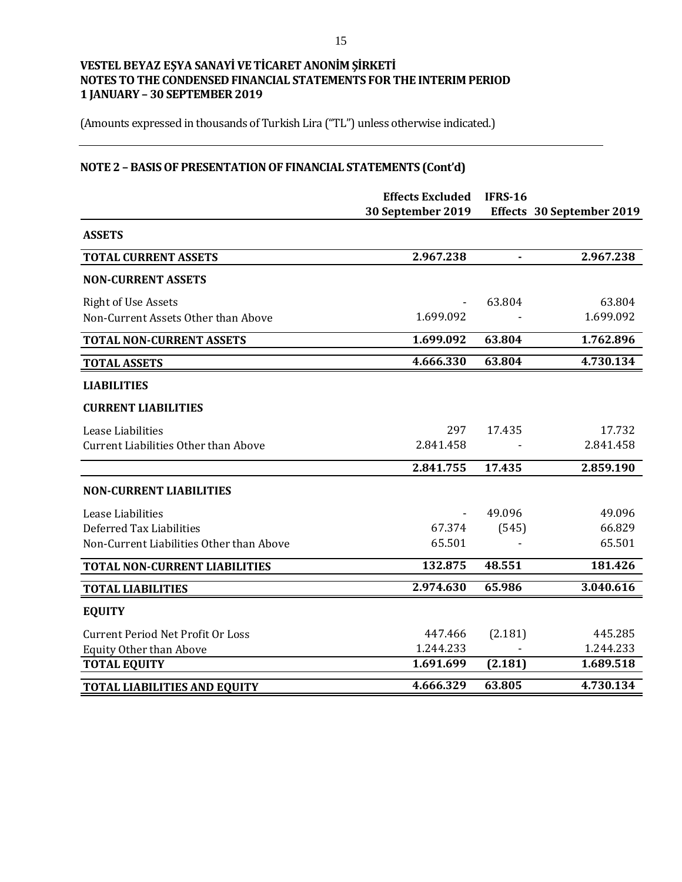(Amounts expressed in thousands of Turkish Lira ("TL") unless otherwise indicated.)

# **NOTE 2 – BASIS OF PRESENTATION OF FINANCIAL STATEMENTS (Cont'd)**

|                                             | <b>Effects Excluded</b><br>30 September 2019 | <b>IFRS-16</b> | Effects 30 September 2019 |
|---------------------------------------------|----------------------------------------------|----------------|---------------------------|
| <b>ASSETS</b>                               |                                              |                |                           |
| <b>TOTAL CURRENT ASSETS</b>                 | 2.967.238                                    |                | 2.967.238                 |
| <b>NON-CURRENT ASSETS</b>                   |                                              |                |                           |
| <b>Right of Use Assets</b>                  |                                              | 63.804         | 63.804                    |
| Non-Current Assets Other than Above         | 1.699.092                                    |                | 1.699.092                 |
| <b>TOTAL NON-CURRENT ASSETS</b>             | 1.699.092                                    | 63.804         | 1.762.896                 |
| <b>TOTAL ASSETS</b>                         | 4.666.330                                    | 63.804         | 4.730.134                 |
| <b>LIABILITIES</b>                          |                                              |                |                           |
| <b>CURRENT LIABILITIES</b>                  |                                              |                |                           |
| Lease Liabilities                           | 297                                          | 17.435         | 17.732                    |
| <b>Current Liabilities Other than Above</b> | 2.841.458                                    |                | 2.841.458                 |
|                                             | 2.841.755                                    | 17.435         | 2.859.190                 |
| <b>NON-CURRENT LIABILITIES</b>              |                                              |                |                           |
| Lease Liabilities                           |                                              | 49.096         | 49.096                    |
| Deferred Tax Liabilities                    | 67.374                                       | (545)          | 66.829                    |
| Non-Current Liabilities Other than Above    | 65.501                                       |                | 65.501                    |
| TOTAL NON-CURRENT LIABILITIES               | 132.875                                      | 48.551         | 181.426                   |
| <b>TOTAL LIABILITIES</b>                    | 2.974.630                                    | 65.986         | 3.040.616                 |
| <b>EQUITY</b>                               |                                              |                |                           |
| <b>Current Period Net Profit Or Loss</b>    | 447.466                                      | (2.181)        | 445.285                   |
| <b>Equity Other than Above</b>              | 1.244.233                                    |                | 1.244.233                 |
| <b>TOTAL EQUITY</b>                         | 1.691.699                                    | (2.181)        | 1.689.518                 |
| <b>TOTAL LIABILITIES AND EQUITY</b>         | 4.666.329                                    | 63.805         | 4.730.134                 |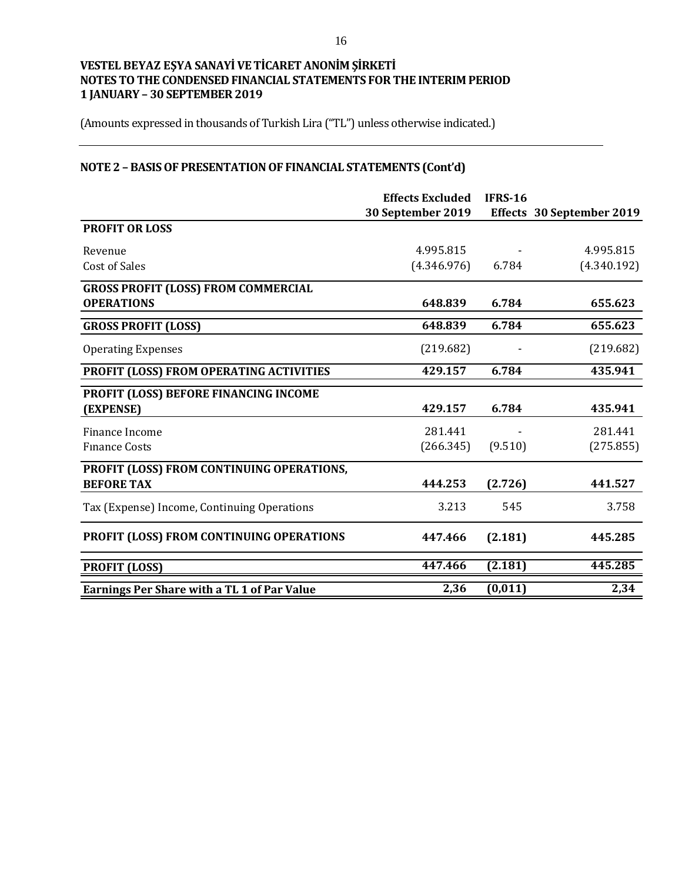(Amounts expressed in thousands of Turkish Lira ("TL") unless otherwise indicated.)

# **NOTE 2 – BASIS OF PRESENTATION OF FINANCIAL STATEMENTS (Cont'd)**

|                                                    | <b>Effects Excluded</b> | <b>IFRS-16</b> |                           |
|----------------------------------------------------|-------------------------|----------------|---------------------------|
|                                                    | 30 September 2019       |                | Effects 30 September 2019 |
| <b>PROFIT OR LOSS</b>                              |                         |                |                           |
| Revenue                                            | 4.995.815               |                | 4.995.815                 |
| <b>Cost of Sales</b>                               | (4.346.976)             | 6.784          | (4.340.192)               |
| <b>GROSS PROFIT (LOSS) FROM COMMERCIAL</b>         |                         |                |                           |
| <b>OPERATIONS</b>                                  | 648.839                 | 6.784          | 655.623                   |
| <b>GROSS PROFIT (LOSS)</b>                         | 648.839                 | 6.784          | 655.623                   |
| <b>Operating Expenses</b>                          | (219.682)               |                | (219.682)                 |
| PROFIT (LOSS) FROM OPERATING ACTIVITIES            | 429.157                 | 6.784          | 435.941                   |
| PROFIT (LOSS) BEFORE FINANCING INCOME              |                         |                |                           |
| (EXPENSE)                                          | 429.157                 | 6.784          | 435.941                   |
| Finance Income                                     | 281.441                 |                | 281.441                   |
| <b>Finance Costs</b>                               | (266.345)               | (9.510)        | (275.855)                 |
| PROFIT (LOSS) FROM CONTINUING OPERATIONS,          |                         |                |                           |
| <b>BEFORE TAX</b>                                  | 444.253                 | (2.726)        | 441.527                   |
| Tax (Expense) Income, Continuing Operations        | 3.213                   | 545            | 3.758                     |
| PROFIT (LOSS) FROM CONTINUING OPERATIONS           | 447.466                 | (2.181)        | 445.285                   |
| <b>PROFIT (LOSS)</b>                               | 447.466                 | (2.181)        | 445.285                   |
| <b>Earnings Per Share with a TL 1 of Par Value</b> | 2,36                    | (0, 011)       | 2,34                      |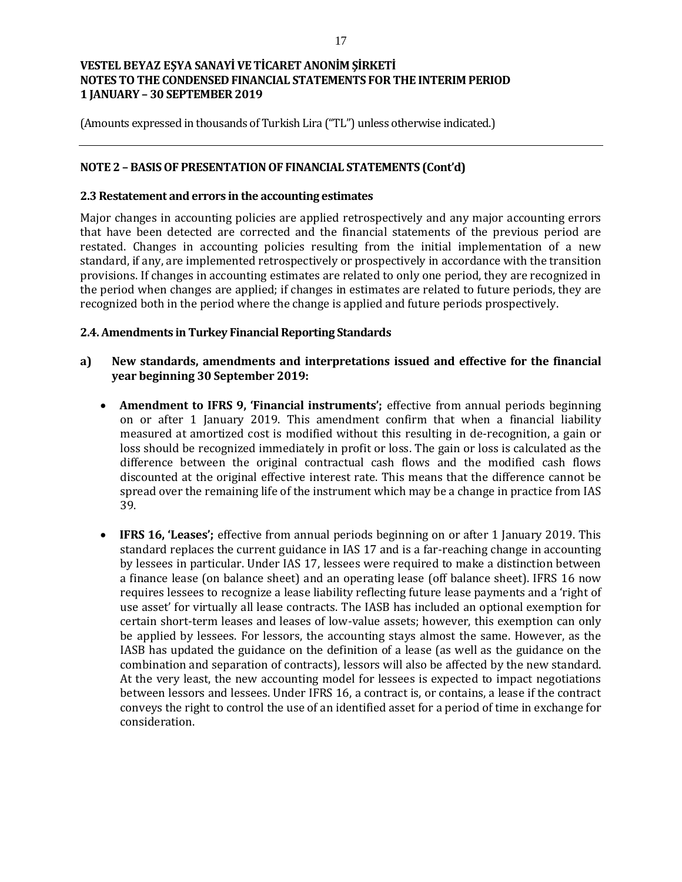(Amounts expressed in thousands of Turkish Lira ("TL") unless otherwise indicated.)

### **NOTE 2 – BASIS OF PRESENTATION OF FINANCIAL STATEMENTS (Cont'd)**

### **2.3 Restatement and errors in the accounting estimates**

Major changes in accounting policies are applied retrospectively and any major accounting errors that have been detected are corrected and the financial statements of the previous period are restated. Changes in accounting policies resulting from the initial implementation of a new standard, if any, are implemented retrospectively or prospectively in accordance with the transition provisions. If changes in accounting estimates are related to only one period, they are recognized in the period when changes are applied; if changes in estimates are related to future periods, they are recognized both in the period where the change is applied and future periods prospectively.

### **2.4. Amendments in Turkey Financial Reporting Standards**

## **a) New standards, amendments and interpretations issued and effective for the financial year beginning 30 September 2019:**

- **Amendment to IFRS 9, 'Financial instruments';** effective from annual periods beginning on or after 1 January 2019. This amendment confirm that when a financial liability measured at amortized cost is modified without this resulting in de-recognition, a gain or loss should be recognized immediately in profit or loss. The gain or loss is calculated as the difference between the original contractual cash flows and the modified cash flows discounted at the original effective interest rate. This means that the difference cannot be spread over the remaining life of the instrument which may be a change in practice from IAS 39.
- **IFRS 16, 'Leases';** effective from annual periods beginning on or after 1 January 2019. This standard replaces the current guidance in IAS 17 and is a far-reaching change in accounting by lessees in particular. Under IAS 17, lessees were required to make a distinction between a finance lease (on balance sheet) and an operating lease (off balance sheet). IFRS 16 now requires lessees to recognize a lease liability reflecting future lease payments and a 'right of use asset' for virtually all lease contracts. The IASB has included an optional exemption for certain short-term leases and leases of low-value assets; however, this exemption can only be applied by lessees. For lessors, the accounting stays almost the same. However, as the IASB has updated the guidance on the definition of a lease (as well as the guidance on the combination and separation of contracts), lessors will also be affected by the new standard. At the very least, the new accounting model for lessees is expected to impact negotiations between lessors and lessees. Under IFRS 16, a contract is, or contains, a lease if the contract conveys the right to control the use of an identified asset for a period of time in exchange for consideration.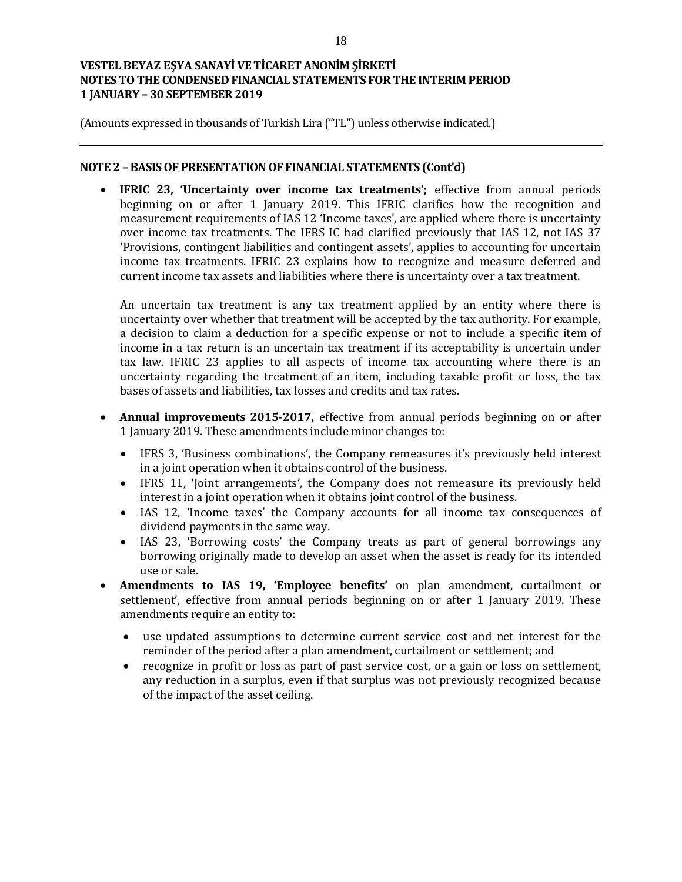(Amounts expressed in thousands of Turkish Lira ("TL") unless otherwise indicated.)

### **NOTE 2 – BASIS OF PRESENTATION OF FINANCIAL STATEMENTS (Cont'd)**

 **IFRIC 23, 'Uncertainty over income tax treatments';** effective from annual periods beginning on or after 1 January 2019. This IFRIC clarifies how the recognition and measurement requirements of IAS 12 'Income taxes', are applied where there is uncertainty over income tax treatments. The IFRS IC had clarified previously that IAS 12, not IAS 37 'Provisions, contingent liabilities and contingent assets', applies to accounting for uncertain income tax treatments. IFRIC 23 explains how to recognize and measure deferred and current income tax assets and liabilities where there is uncertainty over a tax treatment.

An uncertain tax treatment is any tax treatment applied by an entity where there is uncertainty over whether that treatment will be accepted by the tax authority. For example, a decision to claim a deduction for a specific expense or not to include a specific item of income in a tax return is an uncertain tax treatment if its acceptability is uncertain under tax law. IFRIC 23 applies to all aspects of income tax accounting where there is an uncertainty regarding the treatment of an item, including taxable profit or loss, the tax bases of assets and liabilities, tax losses and credits and tax rates.

- **Annual improvements 2015-2017,** effective from annual periods beginning on or after 1 January 2019. These amendments include minor changes to:
	- IFRS 3, 'Business combinations', the Company remeasures it's previously held interest in a joint operation when it obtains control of the business.
	- IFRS 11, 'Joint arrangements', the Company does not remeasure its previously held interest in a joint operation when it obtains joint control of the business.
	- IAS 12, 'Income taxes' the Company accounts for all income tax consequences of dividend payments in the same way.
	- IAS 23, 'Borrowing costs' the Company treats as part of general borrowings any borrowing originally made to develop an asset when the asset is ready for its intended use or sale.
- **Amendments to IAS 19, 'Employee benefits'** on plan amendment, curtailment or settlement', effective from annual periods beginning on or after 1 January 2019. These amendments require an entity to:
	- use updated assumptions to determine current service cost and net interest for the reminder of the period after a plan amendment, curtailment or settlement; and
	- recognize in profit or loss as part of past service cost, or a gain or loss on settlement, any reduction in a surplus, even if that surplus was not previously recognized because of the impact of the asset ceiling.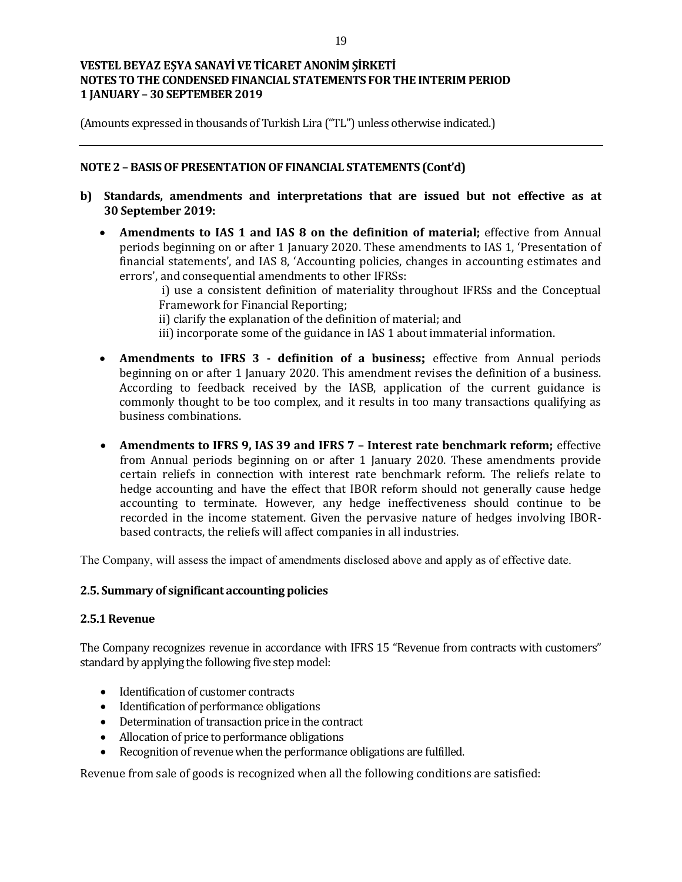(Amounts expressed in thousands of Turkish Lira ("TL") unless otherwise indicated.)

## **NOTE 2 – BASIS OF PRESENTATION OF FINANCIAL STATEMENTS (Cont'd)**

- **b) Standards, amendments and interpretations that are issued but not effective as at 30 September 2019:**
	- **Amendments to IAS 1 and IAS 8 on the definition of material;** effective from Annual periods beginning on or after 1 January 2020. These amendments to IAS 1, 'Presentation of financial statements', and IAS 8, 'Accounting policies, changes in accounting estimates and errors', and consequential amendments to other IFRSs:

i) use a consistent definition of materiality throughout IFRSs and the Conceptual Framework for Financial Reporting;

ii) clarify the explanation of the definition of material; and

- iii) incorporate some of the guidance in IAS 1 about immaterial information.
- **Amendments to IFRS 3 - definition of a business;** effective from Annual periods beginning on or after 1 January 2020. This amendment revises the definition of a business. According to feedback received by the IASB, application of the current guidance is commonly thought to be too complex, and it results in too many transactions qualifying as business combinations.
- **Amendments to IFRS 9, IAS 39 and IFRS 7 – Interest rate benchmark reform;** effective from Annual periods beginning on or after 1 January 2020. These amendments provide certain reliefs in connection with interest rate benchmark reform. The reliefs relate to hedge accounting and have the effect that IBOR reform should not generally cause hedge accounting to terminate. However, any hedge ineffectiveness should continue to be recorded in the income statement. Given the pervasive nature of hedges involving IBORbased contracts, the reliefs will affect companies in all industries.

The Company, will assess the impact of amendments disclosed above and apply as of effective date.

### **2.5. Summary of significant accounting policies**

### **2.5.1 Revenue**

The Company recognizes revenue in accordance with IFRS 15 "Revenue from contracts with customers" standard by applying the following five step model:

- Identification of customer contracts
- Identification of performance obligations
- Determination of transaction price in the contract
- Allocation of price to performance obligations
- Recognition of revenue when the performance obligations are fulfilled.

Revenue from sale of goods is recognized when all the following conditions are satisfied: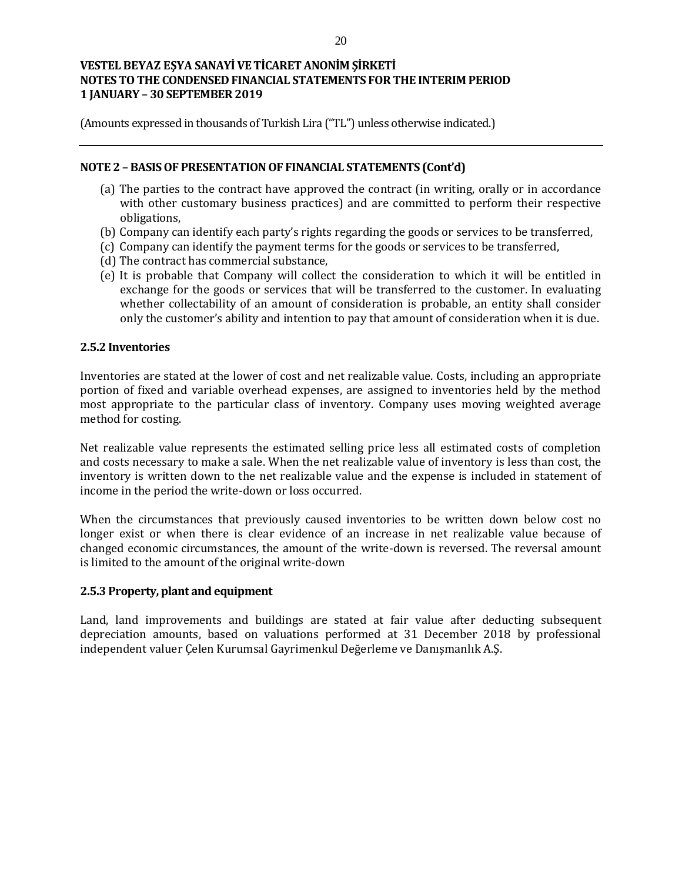(Amounts expressed in thousands of Turkish Lira ("TL") unless otherwise indicated.)

#### **NOTE 2 – BASIS OF PRESENTATION OF FINANCIAL STATEMENTS (Cont'd)**

- (a) The parties to the contract have approved the contract (in writing, orally or in accordance with other customary business practices) and are committed to perform their respective obligations,
- (b) Company can identify each party's rights regarding the goods or services to be transferred,
- (c) Company can identify the payment terms for the goods or services to be transferred,
- (d) The contract has commercial substance,
- (e) It is probable that Company will collect the consideration to which it will be entitled in exchange for the goods or services that will be transferred to the customer. In evaluating whether collectability of an amount of consideration is probable, an entity shall consider only the customer's ability and intention to pay that amount of consideration when it is due.

### **2.5.2 Inventories**

Inventories are stated at the lower of cost and net realizable value. Costs, including an appropriate portion of fixed and variable overhead expenses, are assigned to inventories held by the method most appropriate to the particular class of inventory. Company uses moving weighted average method for costing.

Net realizable value represents the estimated selling price less all estimated costs of completion and costs necessary to make a sale. When the net realizable value of inventory is less than cost, the inventory is written down to the net realizable value and the expense is included in statement of income in the period the write-down or loss occurred.

When the circumstances that previously caused inventories to be written down below cost no longer exist or when there is clear evidence of an increase in net realizable value because of changed economic circumstances, the amount of the write-down is reversed. The reversal amount is limited to the amount of the original write-down

### **2.5.3 Property, plant and equipment**

Land, land improvements and buildings are stated at fair value after deducting subsequent depreciation amounts, based on valuations performed at 31 December 2018 by professional independent valuer Çelen Kurumsal Gayrimenkul Değerleme ve Danışmanlık A.Ş.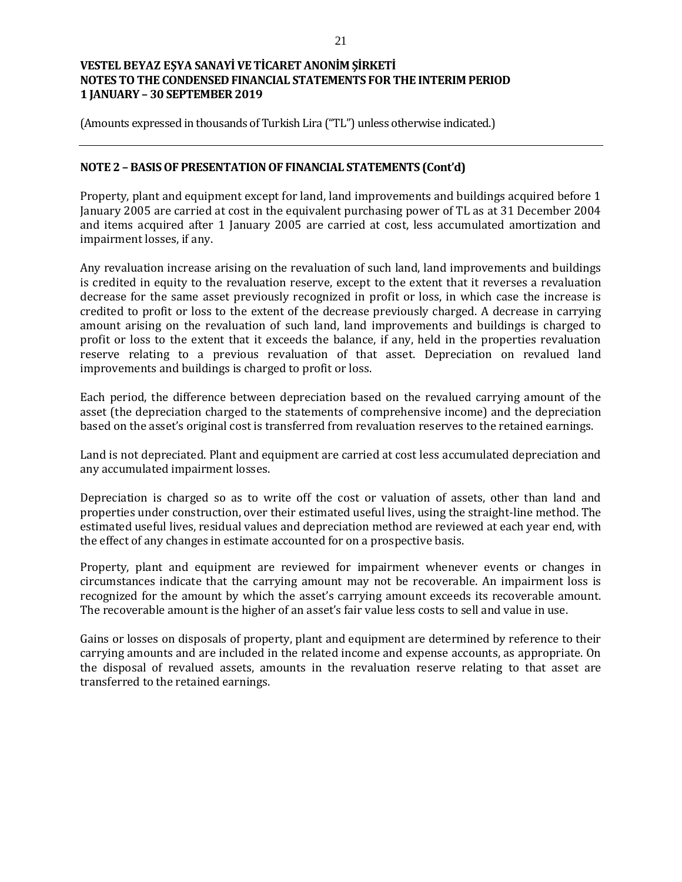(Amounts expressed in thousands of Turkish Lira ("TL") unless otherwise indicated.)

### **NOTE 2 – BASISOF PRESENTATION OF FINANCIAL STATEMENTS (Cont'd)**

Property, plant and equipment except for land, land improvements and buildings acquired before 1 January 2005 are carried at cost in the equivalent purchasing power of TL as at 31 December 2004 and items acquired after 1 January 2005 are carried at cost, less accumulated amortization and impairment losses, if any.

Any revaluation increase arising on the revaluation of such land, land improvements and buildings is credited in equity to the revaluation reserve, except to the extent that it reverses a revaluation decrease for the same asset previously recognized in profit or loss, in which case the increase is credited to profit or loss to the extent of the decrease previously charged. A decrease in carrying amount arising on the revaluation of such land, land improvements and buildings is charged to profit or loss to the extent that it exceeds the balance, if any, held in the properties revaluation reserve relating to a previous revaluation of that asset. Depreciation on revalued land improvements and buildings is charged to profit or loss.

Each period, the difference between depreciation based on the revalued carrying amount of the asset (the depreciation charged to the statements of comprehensive income) and the depreciation based on the asset's original cost is transferred from revaluation reserves to the retained earnings.

Land is not depreciated. Plant and equipment are carried at cost less accumulated depreciation and any accumulated impairment losses.

Depreciation is charged so as to write off the cost or valuation of assets, other than land and properties under construction, over their estimated useful lives, using the straight-line method. The estimated useful lives, residual values and depreciation method are reviewed at each year end, with the effect of any changes in estimate accounted for on a prospective basis.

Property, plant and equipment are reviewed for impairment whenever events or changes in circumstances indicate that the carrying amount may not be recoverable. An impairment loss is recognized for the amount by which the asset's carrying amount exceeds its recoverable amount. The recoverable amount is the higher of an asset's fair value less costs to sell and value in use.

Gains or losses on disposals of property, plant and equipment are determined by reference to their carrying amounts and are included in the related income and expense accounts, as appropriate. On the disposal of revalued assets, amounts in the revaluation reserve relating to that asset are transferred to the retained earnings.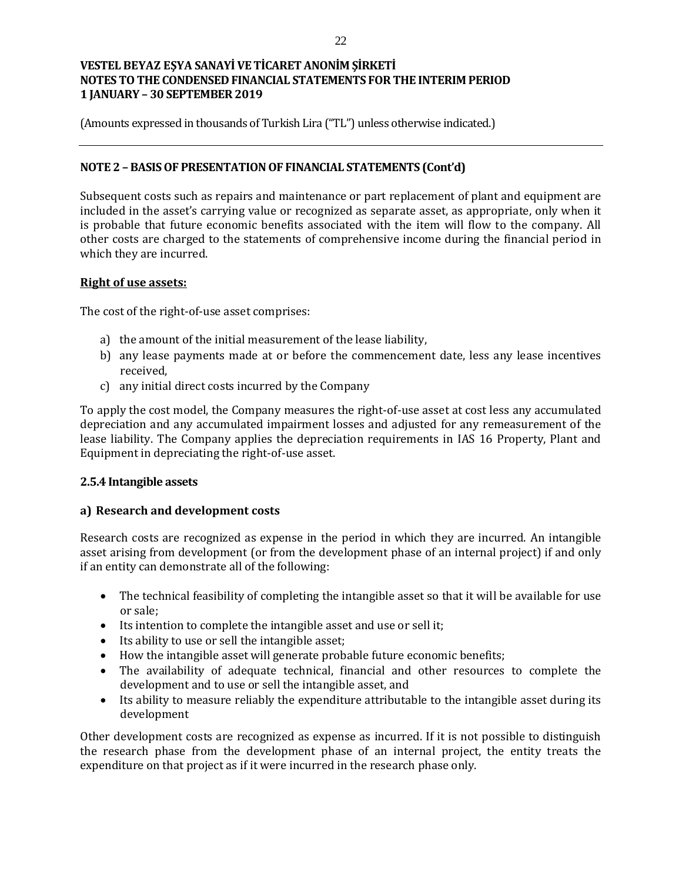(Amounts expressed in thousands of Turkish Lira ("TL") unless otherwise indicated.)

## **NOTE 2 – BASIS OF PRESENTATION OF FINANCIAL STATEMENTS (Cont'd)**

Subsequent costs such as repairs and maintenance or part replacement of plant and equipment are included in the asset's carrying value or recognized as separate asset, as appropriate, only when it is probable that future economic benefits associated with the item will flow to the company. All other costs are charged to the statements of comprehensive income during the financial period in which they are incurred.

### **Right of use assets:**

The cost of the right-of-use asset comprises:

- a) the amount of the initial measurement of the lease liability,
- b) any lease payments made at or before the commencement date, less any lease incentives received,
- c) any initial direct costs incurred by the Company

To apply the cost model, the Company measures the right-of-use asset at cost less any accumulated depreciation and any accumulated impairment losses and adjusted for any remeasurement of the lease liability. The Company applies the depreciation requirements in IAS 16 Property, Plant and Equipment in depreciating the right-of-use asset.

### **2.5.4 Intangible assets**

## **a) Research and development costs**

Research costs are recognized as expense in the period in which they are incurred. An intangible asset arising from development (or from the development phase of an internal project) if and only if an entity can demonstrate all of the following:

- The technical feasibility of completing the intangible asset so that it will be available for use or sale;
- Its intention to complete the intangible asset and use or sell it;
- Its ability to use or sell the intangible asset;
- How the intangible asset will generate probable future economic benefits;
- The availability of adequate technical, financial and other resources to complete the development and to use or sell the intangible asset, and
- Its ability to measure reliably the expenditure attributable to the intangible asset during its development

Other development costs are recognized as expense as incurred. If it is not possible to distinguish the research phase from the development phase of an internal project, the entity treats the expenditure on that project as if it were incurred in the research phase only.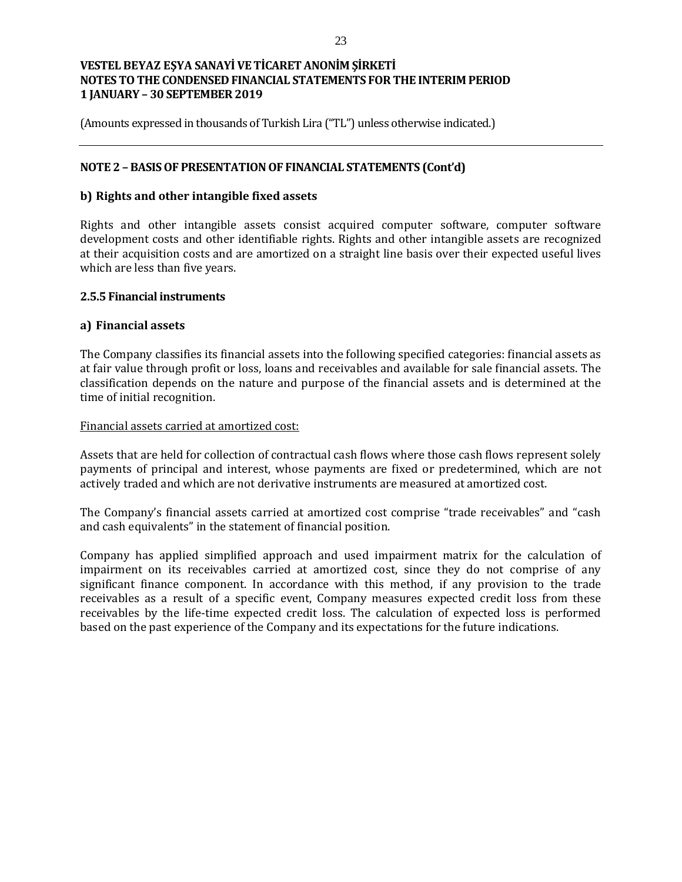(Amounts expressed in thousands of Turkish Lira ("TL") unless otherwise indicated.)

## **NOTE 2 – BASIS OF PRESENTATION OF FINANCIAL STATEMENTS (Cont'd)**

### **b) Rights and other intangible fixed assets**

Rights and other intangible assets consist acquired computer software, computer software development costs and other identifiable rights. Rights and other intangible assets are recognized at their acquisition costs and are amortized on a straight line basis over their expected useful lives which are less than five years.

### **2.5.5 Financial instruments**

### **a) Financial assets**

The Company classifies its financial assets into the following specified categories: financial assets as at fair value through profit or loss, loans and receivables and available for sale financial assets. The classification depends on the nature and purpose of the financial assets and is determined at the time of initial recognition.

#### Financial assets carried at amortized cost:

Assets that are held for collection of contractual cash flows where those cash flows represent solely payments of principal and interest, whose payments are fixed or predetermined, which are not actively traded and which are not derivative instruments are measured at amortized cost.

The Company's financial assets carried at amortized cost comprise "trade receivables" and "cash and cash equivalents" in the statement of financial position.

Company has applied simplified approach and used impairment matrix for the calculation of impairment on its receivables carried at amortized cost, since they do not comprise of any significant finance component. In accordance with this method, if any provision to the trade receivables as a result of a specific event, Company measures expected credit loss from these receivables by the life-time expected credit loss. The calculation of expected loss is performed based on the past experience of the Company and its expectations for the future indications.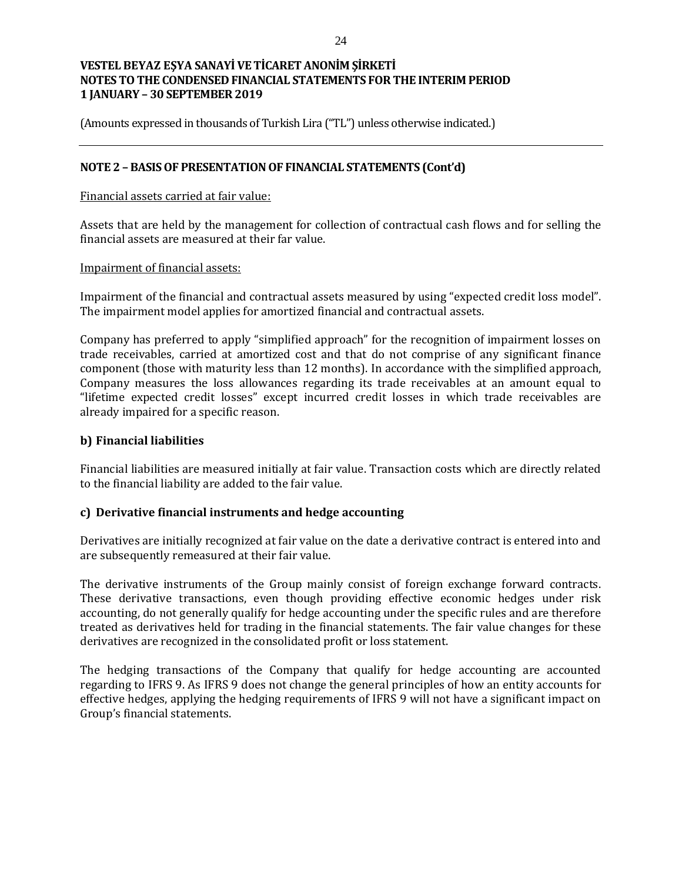(Amounts expressed in thousands of Turkish Lira ("TL") unless otherwise indicated.)

### **NOTE 2 – BASIS OF PRESENTATION OF FINANCIAL STATEMENTS (Cont'd)**

#### Financial assets carried at fair value:

Assets that are held by the management for collection of contractual cash flows and for selling the financial assets are measured at their far value.

#### Impairment of financial assets:

Impairment of the financial and contractual assets measured by using "expected credit loss model". The impairment model applies for amortized financial and contractual assets.

Company has preferred to apply "simplified approach" for the recognition of impairment losses on trade receivables, carried at amortized cost and that do not comprise of any significant finance component (those with maturity less than 12 months). In accordance with the simplified approach, Company measures the loss allowances regarding its trade receivables at an amount equal to "lifetime expected credit losses" except incurred credit losses in which trade receivables are already impaired for a specific reason.

## **b) Financial liabilities**

Financial liabilities are measured initially at fair value. Transaction costs which are directly related to the financial liability are added to the fair value.

### **c) Derivative financial instruments and hedge accounting**

Derivatives are initially recognized at fair value on the date a derivative contract is entered into and are subsequently remeasured at their fair value.

The derivative instruments of the Group mainly consist of foreign exchange forward contracts. These derivative transactions, even though providing effective economic hedges under risk accounting, do not generally qualify for hedge accounting under the specific rules and are therefore treated as derivatives held for trading in the financial statements. The fair value changes for these derivatives are recognized in the consolidated profit or loss statement.

The hedging transactions of the Company that qualify for hedge accounting are accounted regarding to IFRS 9. As IFRS 9 does not change the general principles of how an entity accounts for effective hedges, applying the hedging requirements of IFRS 9 will not have a significant impact on Group's financial statements.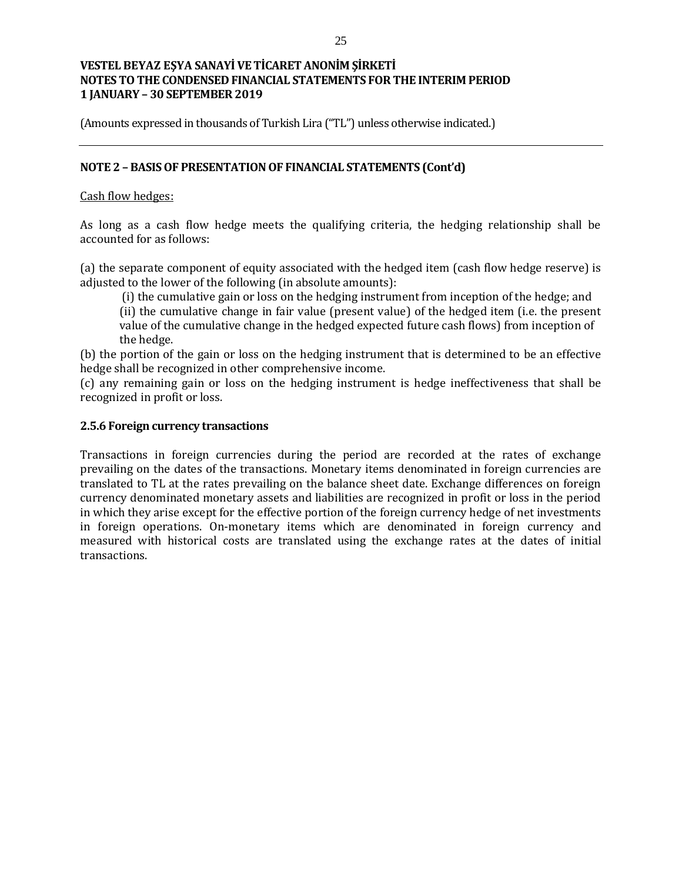(Amounts expressed in thousands of Turkish Lira ("TL") unless otherwise indicated.)

## **NOTE 2 – BASIS OF PRESENTATION OF FINANCIAL STATEMENTS (Cont'd)**

### Cash flow hedges:

As long as a cash flow hedge meets the qualifying criteria, the hedging relationship shall be accounted for as follows:

(a) the separate component of equity associated with the hedged item (cash flow hedge reserve) is adjusted to the lower of the following (in absolute amounts):

(i) the cumulative gain or loss on the hedging instrument from inception of the hedge; and

(ii) the cumulative change in fair value (present value) of the hedged item (i.e. the present value of the cumulative change in the hedged expected future cash flows) from inception of the hedge.

(b) the portion of the gain or loss on the hedging instrument that is determined to be an effective hedge shall be recognized in other comprehensive income.

(c) any remaining gain or loss on the hedging instrument is hedge ineffectiveness that shall be recognized in profit or loss.

### **2.5.6 Foreign currency transactions**

Transactions in foreign currencies during the period are recorded at the rates of exchange prevailing on the dates of the transactions. Monetary items denominated in foreign currencies are translated to TL at the rates prevailing on the balance sheet date. Exchange differences on foreign currency denominated monetary assets and liabilities are recognized in profit or loss in the period in which they arise except for the effective portion of the foreign currency hedge of net investments in foreign operations. On-monetary items which are denominated in foreign currency and measured with historical costs are translated using the exchange rates at the dates of initial transactions.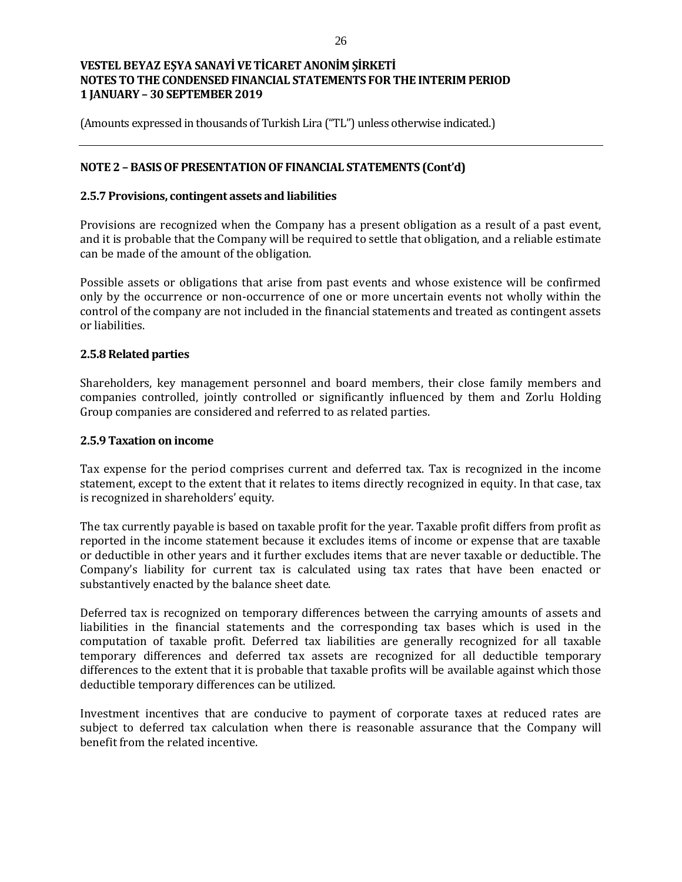(Amounts expressed in thousands of Turkish Lira ("TL") unless otherwise indicated.)

## **NOTE 2 – BASIS OF PRESENTATION OF FINANCIAL STATEMENTS (Cont'd)**

### **2.5.7 Provisions, contingent assets and liabilities**

Provisions are recognized when the Company has a present obligation as a result of a past event, and it is probable that the Company will be required to settle that obligation, and a reliable estimate can be made of the amount of the obligation.

Possible assets or obligations that arise from past events and whose existence will be confirmed only by the occurrence or non-occurrence of one or more uncertain events not wholly within the control of the company are not included in the financial statements and treated as contingent assets or liabilities.

#### **2.5.8 Related parties**

Shareholders, key management personnel and board members, their close family members and companies controlled, jointly controlled or significantly influenced by them and Zorlu Holding Group companies are considered and referred to as related parties.

#### **2.5.9 Taxation on income**

Tax expense for the period comprises current and deferred tax. Tax is recognized in the income statement, except to the extent that it relates to items directly recognized in equity. In that case, tax is recognized in shareholders' equity.

The tax currently payable is based on taxable profit for the year. Taxable profit differs from profit as reported in the income statement because it excludes items of income or expense that are taxable or deductible in other years and it further excludes items that are never taxable or deductible. The Company's liability for current tax is calculated using tax rates that have been enacted or substantively enacted by the balance sheet date.

Deferred tax is recognized on temporary differences between the carrying amounts of assets and liabilities in the financial statements and the corresponding tax bases which is used in the computation of taxable profit. Deferred tax liabilities are generally recognized for all taxable temporary differences and deferred tax assets are recognized for all deductible temporary differences to the extent that it is probable that taxable profits will be available against which those deductible temporary differences can be utilized.

Investment incentives that are conducive to payment of corporate taxes at reduced rates are subject to deferred tax calculation when there is reasonable assurance that the Company will benefit from the related incentive.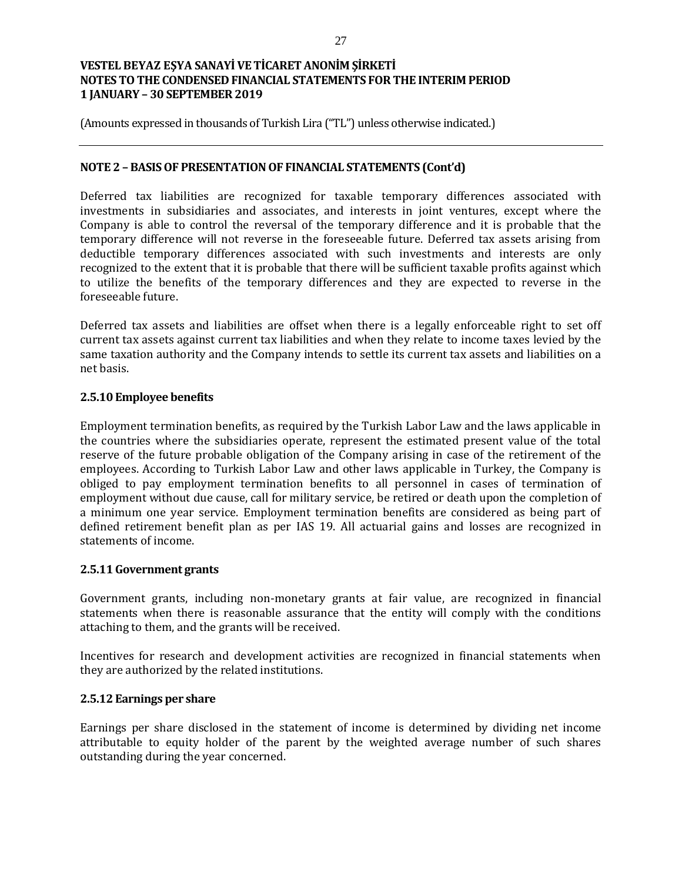(Amounts expressed in thousands of Turkish Lira ("TL") unless otherwise indicated.)

### **NOTE 2 – BASIS OF PRESENTATION OF FINANCIAL STATEMENTS (Cont'd)**

Deferred tax liabilities are recognized for taxable temporary differences associated with investments in subsidiaries and associates, and interests in joint ventures, except where the Company is able to control the reversal of the temporary difference and it is probable that the temporary difference will not reverse in the foreseeable future. Deferred tax assets arising from deductible temporary differences associated with such investments and interests are only recognized to the extent that it is probable that there will be sufficient taxable profits against which to utilize the benefits of the temporary differences and they are expected to reverse in the foreseeable future.

Deferred tax assets and liabilities are offset when there is a legally enforceable right to set off current tax assets against current tax liabilities and when they relate to income taxes levied by the same taxation authority and the Company intends to settle its current tax assets and liabilities on a net basis.

## **2.5.10 Employee benefits**

Employment termination benefits, as required by the Turkish Labor Law and the laws applicable in the countries where the subsidiaries operate, represent the estimated present value of the total reserve of the future probable obligation of the Company arising in case of the retirement of the employees. According to Turkish Labor Law and other laws applicable in Turkey, the Company is obliged to pay employment termination benefits to all personnel in cases of termination of employment without due cause, call for military service, be retired or death upon the completion of a minimum one year service. Employment termination benefits are considered as being part of defined retirement benefit plan as per IAS 19. All actuarial gains and losses are recognized in statements of income.

### **2.5.11Government grants**

Government grants, including non-monetary grants at fair value, are recognized in financial statements when there is reasonable assurance that the entity will comply with the conditions attaching to them, and the grants will be received.

Incentives for research and development activities are recognized in financial statements when they are authorized by the related institutions.

### **2.5.12 Earnings per share**

Earnings per share disclosed in the statement of income is determined by dividing net income attributable to equity holder of the parent by the weighted average number of such shares outstanding during the year concerned.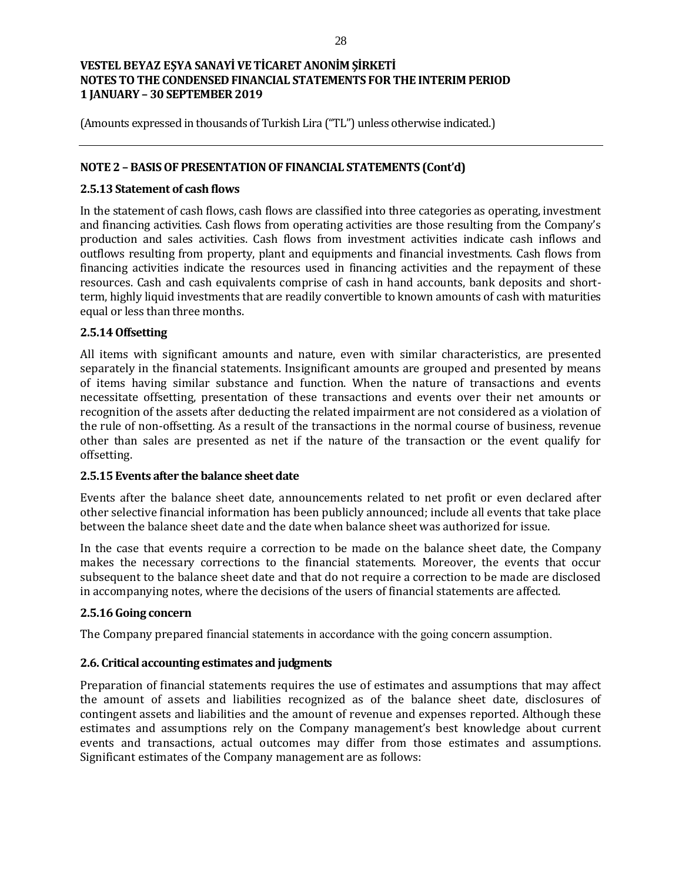(Amounts expressed in thousands of Turkish Lira ("TL") unless otherwise indicated.)

### **NOTE 2 – BASIS OF PRESENTATION OF FINANCIAL STATEMENTS (Cont'd)**

### **2.5.13 Statement of cash flows**

In the statement of cash flows, cash flows are classified into three categories as operating, investment and financing activities. Cash flows from operating activities are those resulting from the Company's production and sales activities. Cash flows from investment activities indicate cash inflows and outflows resulting from property, plant and equipments and financial investments. Cash flows from financing activities indicate the resources used in financing activities and the repayment of these resources. Cash and cash equivalents comprise of cash in hand accounts, bank deposits and shortterm, highly liquid investments that are readily convertible to known amounts of cash with maturities equal or less than three months.

## **2.5.14 Offsetting**

All items with significant amounts and nature, even with similar characteristics, are presented separately in the financial statements. Insignificant amounts are grouped and presented by means of items having similar substance and function. When the nature of transactions and events necessitate offsetting, presentation of these transactions and events over their net amounts or recognition of the assets after deducting the related impairment are not considered as a violation of the rule of non-offsetting. As a result of the transactions in the normal course of business, revenue other than sales are presented as net if the nature of the transaction or the event qualify for offsetting.

### **2.5.15 Events after the balance sheet date**

Events after the balance sheet date, announcements related to net profit or even declared after other selective financial information has been publicly announced; include all events that take place between the balance sheet date and the date when balance sheet was authorized for issue.

In the case that events require a correction to be made on the balance sheet date, the Company makes the necessary corrections to the financial statements. Moreover, the events that occur subsequent to the balance sheet date and that do not require a correction to be made are disclosed in accompanying notes, where the decisions of the users of financial statements are affected.

## **2.5.16 Going concern**

The Company prepared financial statements in accordance with the going concern assumption.

## **2.6. Critical accounting estimates and judgments**

Preparation of financial statements requires the use of estimates and assumptions that may affect the amount of assets and liabilities recognized as of the balance sheet date, disclosures of contingent assets and liabilities and the amount of revenue and expenses reported. Although these estimates and assumptions rely on the Company management's best knowledge about current events and transactions, actual outcomes may differ from those estimates and assumptions. Significant estimates of the Company management are as follows: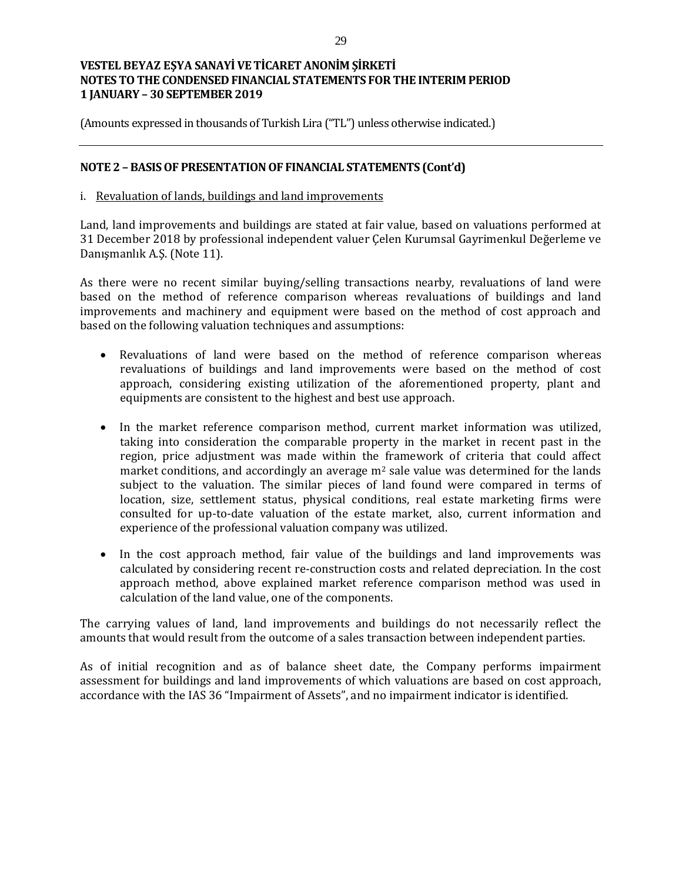(Amounts expressed in thousands of Turkish Lira ("TL") unless otherwise indicated.)

### **NOTE 2 – BASIS OF PRESENTATION OF FINANCIAL STATEMENTS (Cont'd)**

#### i. Revaluation of lands, buildings and land improvements

Land, land improvements and buildings are stated at fair value, based on valuations performed at 31 December 2018 by professional independent valuer Çelen Kurumsal Gayrimenkul Değerleme ve Danışmanlık A.Ş. (Note 11).

As there were no recent similar buying/selling transactions nearby, revaluations of land were based on the method of reference comparison whereas revaluations of buildings and land improvements and machinery and equipment were based on the method of cost approach and based on the following valuation techniques and assumptions:

- Revaluations of land were based on the method of reference comparison whereas revaluations of buildings and land improvements were based on the method of cost approach, considering existing utilization of the aforementioned property, plant and equipments are consistent to the highest and best use approach.
- In the market reference comparison method, current market information was utilized, taking into consideration the comparable property in the market in recent past in the region, price adjustment was made within the framework of criteria that could affect market conditions, and accordingly an average  $m<sup>2</sup>$  sale value was determined for the lands subject to the valuation. The similar pieces of land found were compared in terms of location, size, settlement status, physical conditions, real estate marketing firms were consulted for up-to-date valuation of the estate market, also, current information and experience of the professional valuation company was utilized.
- In the cost approach method, fair value of the buildings and land improvements was calculated by considering recent re-construction costs and related depreciation. In the cost approach method, above explained market reference comparison method was used in calculation of the land value, one of the components.

The carrying values of land, land improvements and buildings do not necessarily reflect the amounts that would result from the outcome of a sales transaction between independent parties.

As of initial recognition and as of balance sheet date, the Company performs impairment assessment for buildings and land improvements of which valuations are based on cost approach, accordance with the IAS 36 "Impairment of Assets", and no impairment indicator is identified.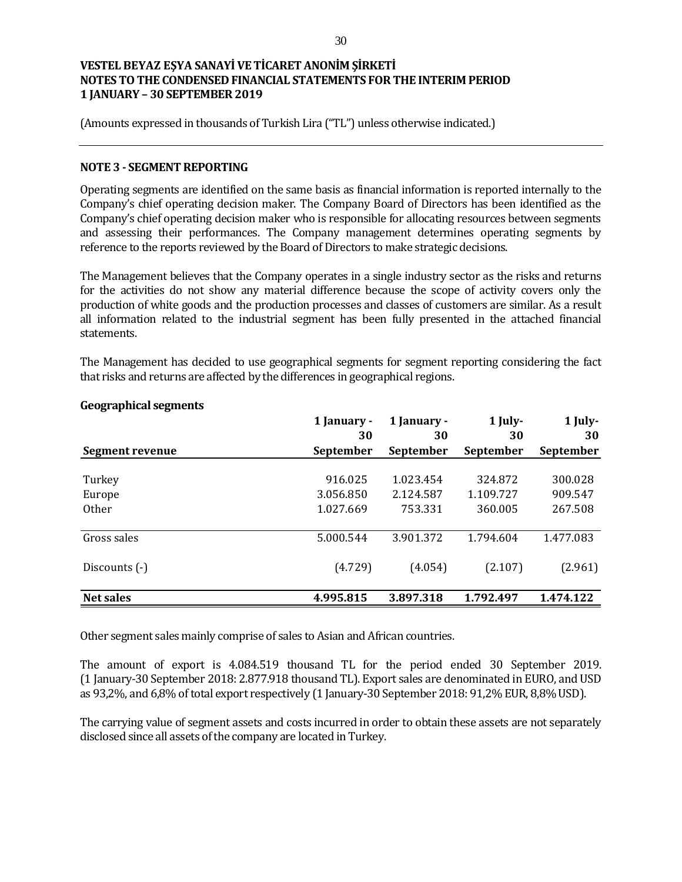(Amounts expressed in thousands of Turkish Lira ("TL") unless otherwise indicated.)

#### **NOTE 3 - SEGMENT REPORTING**

Operating segments are identified on the same basis as financial information is reported internally to the Company's chief operating decision maker. The Company Board of Directors has been identified as the Company's chief operating decision maker who is responsible for allocating resources between segments and assessing their performances. The Company management determines operating segments by reference to the reports reviewed by the Board of Directors to make strategic decisions.

The Management believes that the Company operates in a single industry sector as the risks and returns for the activities do not show any material difference because the scope of activity covers only the production of white goods and the production processes and classes of customers are similar. As a result all information related to the industrial segment has been fully presented in the attached financial statements.

The Management has decided to use geographical segments for segment reporting considering the fact that risks and returns are affected by the differences in geographical regions.

|                  | 1 January -<br>30 | 1 January -<br>30 | $1$ July-<br>30 | 1 July-<br>30 |
|------------------|-------------------|-------------------|-----------------|---------------|
| Segment revenue  | September         | September         | September       | September     |
| Turkey           | 916.025           | 1.023.454         | 324.872         | 300.028       |
| Europe           | 3.056.850         | 2.124.587         | 1.109.727       | 909.547       |
| Other            | 1.027.669         | 753.331           | 360.005         | 267.508       |
| Gross sales      | 5.000.544         | 3.901.372         | 1.794.604       | 1.477.083     |
| Discounts (-)    | (4.729)           | (4.054)           | (2.107)         | (2.961)       |
| <b>Net sales</b> | 4.995.815         | 3.897.318         | 1.792.497       | 1.474.122     |

### **Geographical segments**

Other segment sales mainly comprise of sales to Asian and African countries.

The amount of export is 4.084.519 thousand TL for the period ended 30 September 2019. (1 January-30 September 2018: 2.877.918 thousand TL). Export sales are denominated in EURO, and USD as 93,2%, and 6,8% of total export respectively (1 January-30 September 2018: 91,2% EUR, 8,8% USD).

The carrying value of segment assets and costs incurred in order to obtain these assets are not separately disclosed since all assets of the company are located in Turkey.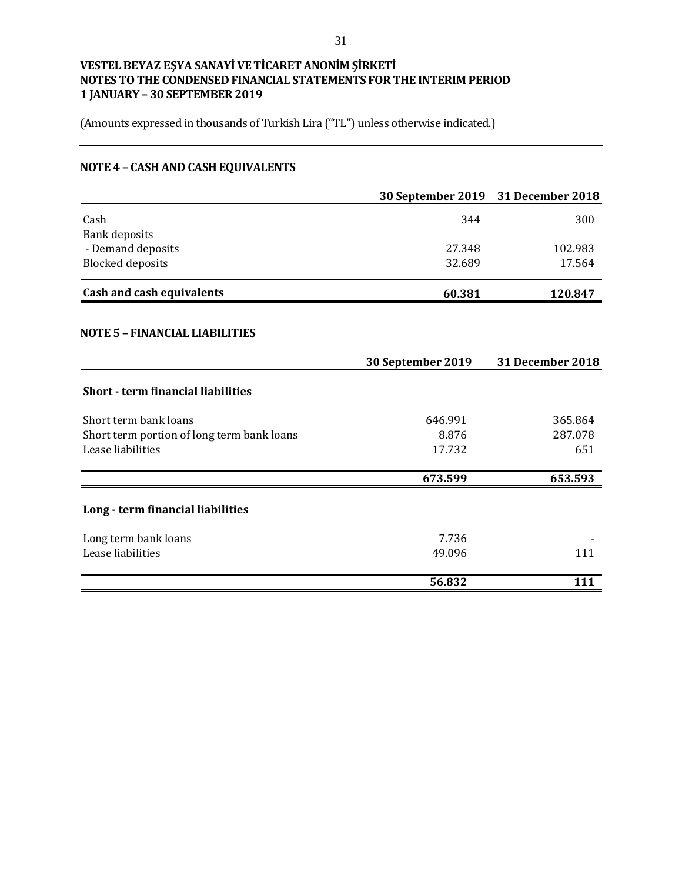(Amounts expressed in thousands of Turkish Lira ("TL") unless otherwise indicated.)

# **NOTE 4 – CASH AND CASH EQUIVALENTS**

|                                            | 30 September 2019 31 December 2018 |                         |
|--------------------------------------------|------------------------------------|-------------------------|
| Cash<br><b>Bank deposits</b>               | 344                                | 300                     |
| - Demand deposits                          | 27.348                             | 102.983                 |
| <b>Blocked deposits</b>                    | 32.689                             | 17.564                  |
| <b>Cash and cash equivalents</b>           | 60.381                             | 120.847                 |
| <b>NOTE 5 - FINANCIAL LIABILITIES</b>      |                                    |                         |
|                                            | 30 September 2019                  | <b>31 December 2018</b> |
| <b>Short - term financial liabilities</b>  |                                    |                         |
| Short term bank loans                      | 646.991                            | 365.864                 |
| Short term portion of long term bank loans | 8.876                              | 287.078                 |
| Lease liabilities                          | 17.732                             | 651                     |
|                                            | 673.599                            | 653.593                 |
| Long - term financial liabilities          |                                    |                         |
| Long term bank loans                       | 7.736                              |                         |
| Lease liabilities                          | 49.096                             | 111                     |
|                                            | 56.832                             | 111                     |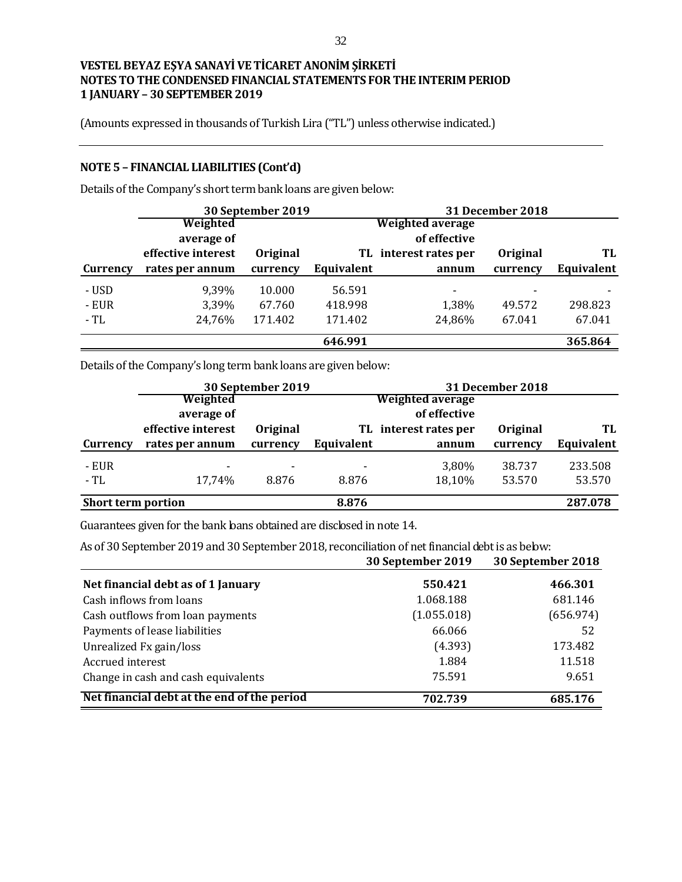(Amounts expressed in thousands of Turkish Lira ("TL") unless otherwise indicated.)

### **NOTE 5 – FINANCIAL LIABILITIES (Cont'd)**

Details of the Company's short term bank loans are given below:

|          |                    | 30 September 2019 |            |                          | <b>31 December 2018</b>  |            |
|----------|--------------------|-------------------|------------|--------------------------|--------------------------|------------|
|          | Weighted           |                   |            | <b>Weighted average</b>  |                          |            |
|          | average of         |                   |            | of effective             |                          |            |
|          | effective interest | Original          |            | TL interest rates per    | Original                 | TL         |
| Currency | rates per annum    | currency          | Equivalent | annum                    | currency                 | Equivalent |
| - USD    | 9,39%              | 10.000            | 56.591     | $\overline{\phantom{0}}$ | $\overline{\phantom{a}}$ |            |
| - EUR    | 3.39%              | 67.760            | 418.998    | 1,38%                    | 49.572                   | 298.823    |
| - TL     | 24,76%             | 171.402           | 171.402    | 24,86%                   | 67.041                   | 67.041     |
|          |                    |                   | 646.991    |                          |                          | 365.864    |

Details of the Company's long term bank loans are given below:

|                           |                    | 30 September 2019        |                |                    | 31 December 2018 |            |
|---------------------------|--------------------|--------------------------|----------------|--------------------|------------------|------------|
|                           | Weighted           |                          |                | Weighted average   |                  |            |
|                           | average of         |                          |                | of effective       |                  |            |
|                           | effective interest | <b>Original</b>          | TL             | interest rates per | <b>Original</b>  | TL         |
| Currency                  | rates per annum    | currency                 | Equivalent     | annum              | currency         | Equivalent |
| - EUR                     | -                  | $\overline{\phantom{0}}$ | $\blacksquare$ | 3,80%              | 38.737           | 233.508    |
| - TL                      | 17,74%             | 8.876                    | 8.876          | 18,10%             | 53.570           | 53.570     |
| <b>Short term portion</b> |                    |                          | 8.876          |                    |                  | 287.078    |

Guarantees given for the bank loans obtained are disclosed in note 14.

As of 30 September 2019 and 30 September 2018, reconciliation of net financial debt is as below:

|                                             | 30 September 2019 | 30 September 2018 |
|---------------------------------------------|-------------------|-------------------|
| Net financial debt as of 1 January          | 550.421           | 466.301           |
| Cash inflows from loans                     | 1.068.188         | 681.146           |
| Cash outflows from loan payments            | (1.055.018)       | (656.974)         |
| Payments of lease liabilities               | 66.066            | 52                |
| Unrealized Fx gain/loss                     | (4.393)           | 173.482           |
| Accrued interest                            | 1.884             | 11.518            |
| Change in cash and cash equivalents         | 75.591            | 9.651             |
| Net financial debt at the end of the period | 702.739           | 685.176           |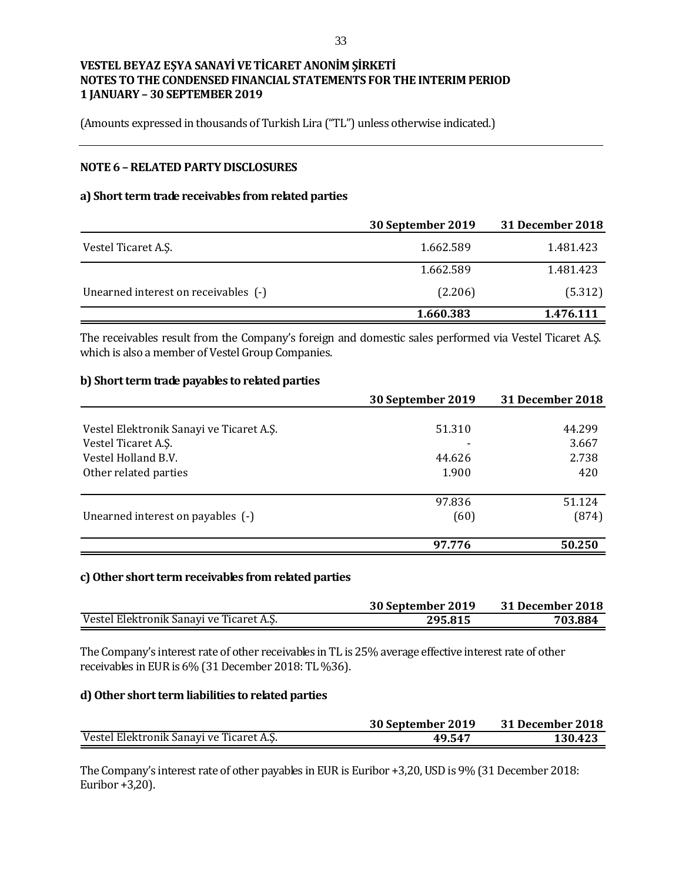(Amounts expressed in thousands of Turkish Lira ("TL") unless otherwise indicated.)

### **NOTE 6 –RELATED PARTY DISCLOSURES**

### **a) Short term trade receivables from related parties**

|                                      | 30 September 2019 | <b>31 December 2018</b> |
|--------------------------------------|-------------------|-------------------------|
| Vestel Ticaret A.S.                  | 1.662.589         | 1.481.423               |
|                                      | 1.662.589         | 1.481.423               |
| Unearned interest on receivables (-) | (2.206)           | (5.312)                 |
|                                      | 1.660.383         | 1.476.111               |

The receivables result from the Company's foreign and domestic sales performed via Vestel Ticaret A.Ş. which is also a member of Vestel Group Companies.

#### **b) Short term trade payables to related parties**

|                                          | 30 September 2019 | 31 December 2018 |
|------------------------------------------|-------------------|------------------|
|                                          |                   |                  |
| Vestel Elektronik Sanayi ve Ticaret A.Ş. | 51.310            | 44.299           |
| Vestel Ticaret A.S.                      |                   | 3.667            |
| Vestel Holland B.V.                      | 44.626            | 2.738            |
| Other related parties                    | 1.900             | 420              |
|                                          | 97.836            | 51.124           |
| Unearned interest on payables (-)        | (60)              | (874)            |
|                                          | 97.776            | 50.250           |

#### **c)Other short term receivables from related parties**

|                                          | 30 September 2019 | 31 December 2018 |
|------------------------------------------|-------------------|------------------|
| Vestel Elektronik Sanayi ve Ticaret A.Ş. | 295.815           | 703.884          |

The Company's interest rate of other receivables in TL is 25% average effective interest rate of other receivables in EUR is 6% (31December 2018: TL %36).

#### **d) Other short term liabilities to related parties**

|                                          | 30 September 2019 | 31 December 2018 |
|------------------------------------------|-------------------|------------------|
| Vestel Elektronik Sanayi ve Ticaret A.Ş. | 49.547            | 130.423          |

The Company's interest rate of other payables in EUR is Euribor +3,20, USD is 9% (31 December 2018: Euribor +3,20).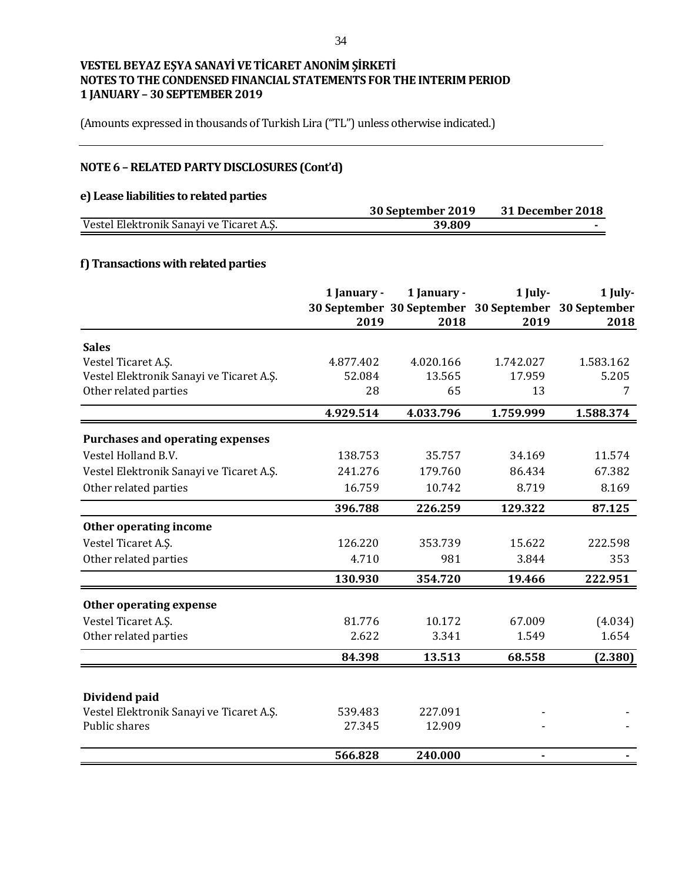(Amounts expressed in thousands of Turkish Lira ("TL") unless otherwise indicated.)

# **NOTE 6 –RELATED PARTY DISCLOSURES (Cont'd)**

#### **e) Lease liabilities to related parties**

| e) heade habinaco to remien paraco       |                   |                  |
|------------------------------------------|-------------------|------------------|
|                                          | 30 September 2019 | 31 December 2018 |
| Vestel Elektronik Sanayi ve Ticaret A.Ş. | 39.809            |                  |
|                                          |                   |                  |

### **f) Transactions with related parties**

|                                          | 1 January -<br>2019 | 1 January -<br>2018 | $1$ July-<br>30 September 30 September 30 September 30 September<br>2019 | 1 July-<br>2018 |
|------------------------------------------|---------------------|---------------------|--------------------------------------------------------------------------|-----------------|
| <b>Sales</b>                             |                     |                     |                                                                          |                 |
| Vestel Ticaret A.Ş.                      | 4.877.402           | 4.020.166           | 1.742.027                                                                | 1.583.162       |
| Vestel Elektronik Sanayi ve Ticaret A.Ş. | 52.084              | 13.565              | 17.959                                                                   | 5.205           |
| Other related parties                    | 28                  | 65                  | 13                                                                       | 7               |
|                                          | 4.929.514           | 4.033.796           | 1.759.999                                                                | 1.588.374       |
| <b>Purchases and operating expenses</b>  |                     |                     |                                                                          |                 |
| Vestel Holland B.V.                      | 138.753             | 35.757              | 34.169                                                                   | 11.574          |
| Vestel Elektronik Sanayi ve Ticaret A.Ş. | 241.276             | 179.760             | 86.434                                                                   | 67.382          |
| Other related parties                    | 16.759              | 10.742              | 8.719                                                                    | 8.169           |
|                                          | 396.788             | 226.259             | 129.322                                                                  | 87.125          |
| Other operating income                   |                     |                     |                                                                          |                 |
| Vestel Ticaret A.S.                      | 126.220             | 353.739             | 15.622                                                                   | 222.598         |
| Other related parties                    | 4.710               | 981                 | 3.844                                                                    | 353             |
|                                          | 130.930             | 354.720             | 19.466                                                                   | 222.951         |
| <b>Other operating expense</b>           |                     |                     |                                                                          |                 |
| Vestel Ticaret A.S.                      | 81.776              | 10.172              | 67.009                                                                   | (4.034)         |
| Other related parties                    | 2.622               | 3.341               | 1.549                                                                    | 1.654           |
|                                          | 84.398              | 13.513              | 68.558                                                                   | (2.380)         |
| Dividend paid                            |                     |                     |                                                                          |                 |
| Vestel Elektronik Sanayi ve Ticaret A.Ş. | 539.483             | 227.091             |                                                                          |                 |
| Public shares                            | 27.345              | 12.909              |                                                                          |                 |
|                                          | 566.828             | 240.000             | $\blacksquare$                                                           |                 |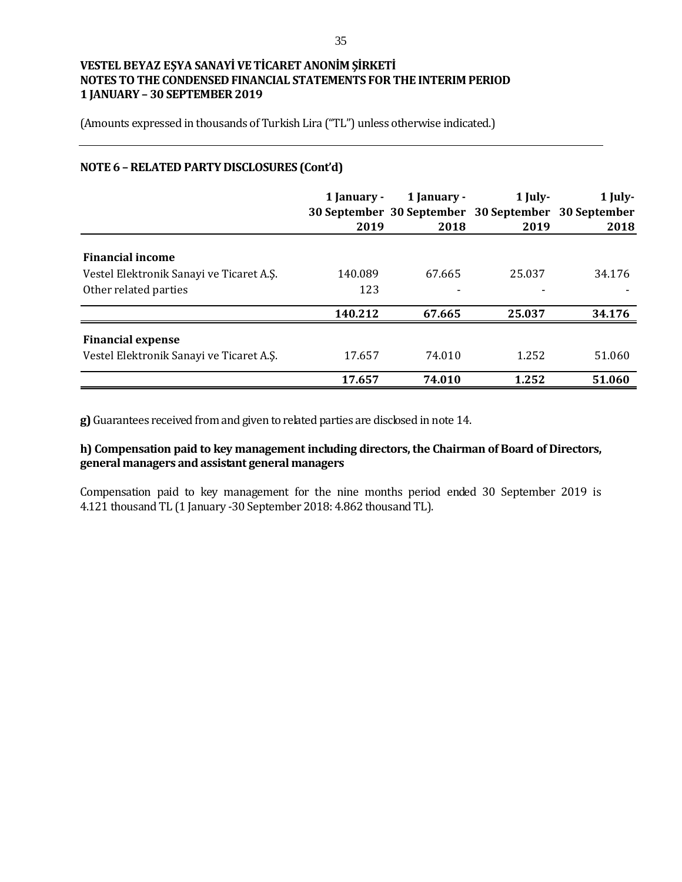(Amounts expressed in thousands of Turkish Lira ("TL") unless otherwise indicated.)

## **NOTE 6 –RELATED PARTY DISCLOSURES (Cont'd)**

|                                          | 1 January -<br>2019 | 1 January -<br>2018 | $1$ July-<br>30 September 30 September 30 September 30 September<br>2019 | 1 July-<br>2018 |
|------------------------------------------|---------------------|---------------------|--------------------------------------------------------------------------|-----------------|
|                                          |                     |                     |                                                                          |                 |
| <b>Financial income</b>                  |                     |                     |                                                                          |                 |
| Vestel Elektronik Sanayi ve Ticaret A.Ş. | 140.089             | 67.665              | 25.037                                                                   | 34.176          |
| Other related parties                    | 123                 | $\blacksquare$      |                                                                          |                 |
|                                          | 140.212             | 67.665              | 25.037                                                                   | 34.176          |
| <b>Financial expense</b>                 |                     |                     |                                                                          |                 |
| Vestel Elektronik Sanayi ve Ticaret A.S. | 17.657              | 74.010              | 1.252                                                                    | 51.060          |
|                                          | 17.657              | 74.010              | 1.252                                                                    | 51.060          |

**g)** Guarantees received from and given to related parties are disclosed in note 14.

## **h) Compensation paid to key management including directors, the Chairman of Board of Directors, general managers and assistant general managers**

Compensation paid to key management for the nine months period ended 30 September 2019 is 4.121 thousand TL (1 January -30 September 2018: 4.862 thousand TL).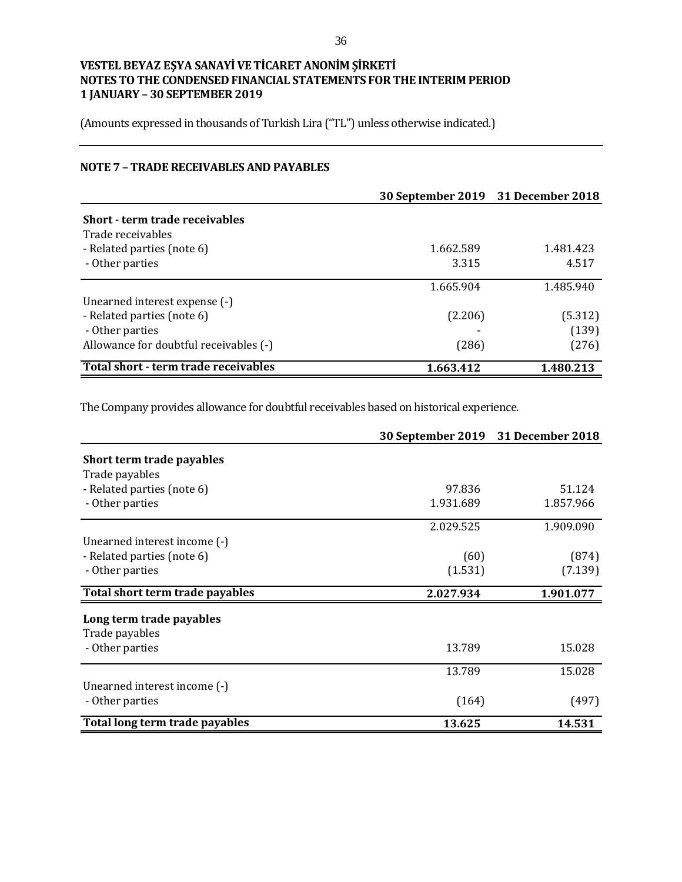(Amounts expressed in thousands of Turkish Lira ("TL") unless otherwise indicated.)

## **NOTE 7 – TRADE RECEIVABLES AND PAYABLES**

|                                        | 30 September 2019 31 December 2018 |           |
|----------------------------------------|------------------------------------|-----------|
| Short - term trade receivables         |                                    |           |
| Trade receivables                      |                                    |           |
| - Related parties (note 6)             | 1.662.589                          | 1.481.423 |
| - Other parties                        | 3.315                              | 4.517     |
|                                        | 1.665.904                          | 1.485.940 |
| Unearned interest expense (-)          |                                    |           |
| - Related parties (note 6)             | (2.206)                            | (5.312)   |
| - Other parties                        |                                    | (139)     |
| Allowance for doubtful receivables (-) | (286)                              | (276)     |
| Total short - term trade receivables   | 1.663.412                          | 1.480.213 |

The Company provides allowance for doubtful receivables based on historical experience.

|                                 | 30 September 2019 31 December 2018 |           |
|---------------------------------|------------------------------------|-----------|
| Short term trade payables       |                                    |           |
| Trade payables                  |                                    |           |
| - Related parties (note 6)      | 97.836                             | 51.124    |
| - Other parties                 | 1.931.689                          | 1.857.966 |
|                                 | 2.029.525                          | 1.909.090 |
| Unearned interest income (-)    |                                    |           |
| - Related parties (note 6)      | (60)                               | (874)     |
| - Other parties                 | (1.531)                            | (7.139)   |
| Total short term trade payables | 2.027.934                          | 1.901.077 |
| Long term trade payables        |                                    |           |
| Trade payables                  |                                    |           |
| - Other parties                 | 13.789                             | 15.028    |
|                                 | 13.789                             | 15.028    |
| Unearned interest income (-)    |                                    |           |
| - Other parties                 | (164)                              | (497)     |
| Total long term trade payables  | 13.625                             | 14.531    |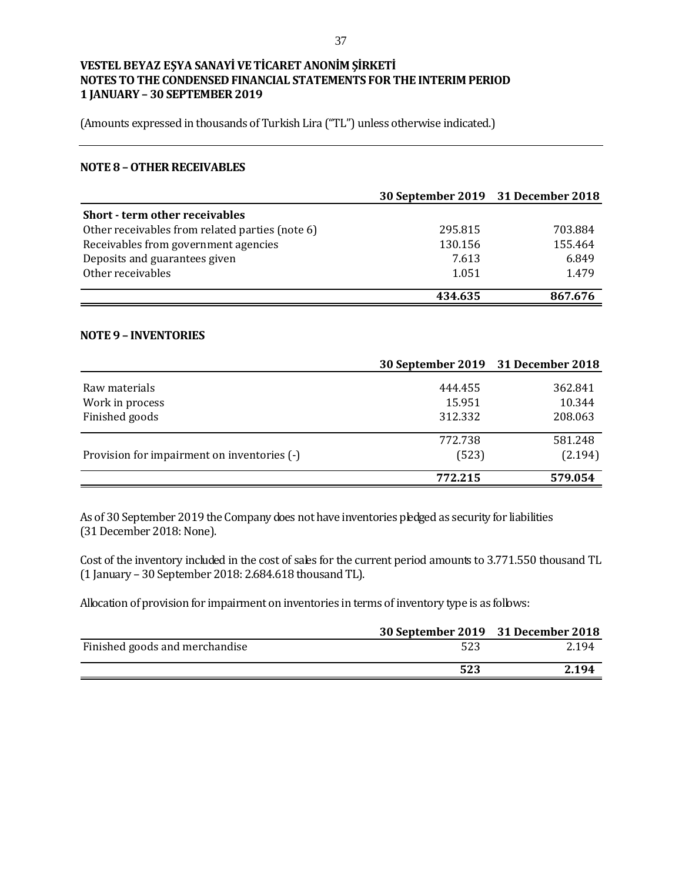(Amounts expressed in thousands of Turkish Lira ("TL") unless otherwise indicated.)

#### **NOTE 8 –OTHER RECEIVABLES**

|                                                 | 30 September 2019 31 December 2018 |         |
|-------------------------------------------------|------------------------------------|---------|
| <b>Short - term other receivables</b>           |                                    |         |
| Other receivables from related parties (note 6) | 295.815                            | 703.884 |
| Receivables from government agencies            | 130.156                            | 155.464 |
| Deposits and guarantees given                   | 7.613                              | 6.849   |
| Other receivables                               | 1.051                              | 1.479   |
|                                                 | 434.635                            | 867.676 |

### **NOTE 9 – INVENTORIES**

|                                             | 30 September 2019 31 December 2018 |         |
|---------------------------------------------|------------------------------------|---------|
| Raw materials                               | 444.455                            | 362.841 |
| Work in process                             | 15.951                             | 10.344  |
| Finished goods                              | 312.332                            | 208.063 |
|                                             | 772.738                            | 581.248 |
| Provision for impairment on inventories (-) | (523)                              | (2.194) |
|                                             | 772.215                            | 579.054 |

As of 30 September 2019 the Company does not have inventories pledged as security for liabilities (31 December 2018: None).

Cost of the inventory included in the cost of sales for the current period amounts to 3.771.550 thousand TL (1 January – 30 September 2018: 2.684.618 thousand TL).

Allocation of provision for impairment on inventories in terms of inventory type is as follows:

|                                | 30 September 2019 31 December 2018 |       |
|--------------------------------|------------------------------------|-------|
| Finished goods and merchandise | 523                                | 2.194 |
|                                | 523                                | 2.194 |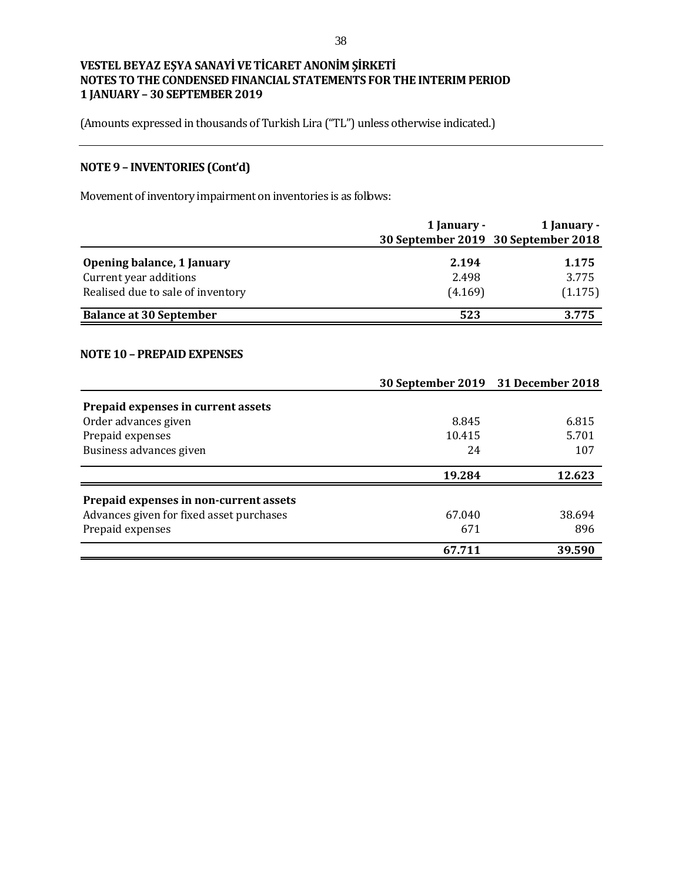(Amounts expressed in thousands of Turkish Lira ("TL") unless otherwise indicated.)

# **NOTE 9 – INVENTORIES (Cont'd)**

Movement of inventory impairment on inventories is as follows:

|                                   | 1 January - | 1 January -                         |
|-----------------------------------|-------------|-------------------------------------|
|                                   |             | 30 September 2019 30 September 2018 |
| <b>Opening balance, 1 January</b> | 2.194       | 1.175                               |
| Current year additions            | 2.498       | 3.775                               |
| Realised due to sale of inventory | (4.169)     | (1.175)                             |
| <b>Balance at 30 September</b>    | 523         | 3.775                               |

#### **NOTE 10 – PREPAID EXPENSES**

|                                          | 30 September 2019 31 December 2018 |        |
|------------------------------------------|------------------------------------|--------|
| Prepaid expenses in current assets       |                                    |        |
| Order advances given                     | 8.845                              | 6.815  |
| Prepaid expenses                         | 10.415                             | 5.701  |
| Business advances given                  | 24                                 | 107    |
|                                          | 19.284                             | 12.623 |
| Prepaid expenses in non-current assets   |                                    |        |
| Advances given for fixed asset purchases | 67.040                             | 38.694 |
| Prepaid expenses                         | 671                                | 896    |
|                                          | 67.711                             | 39.590 |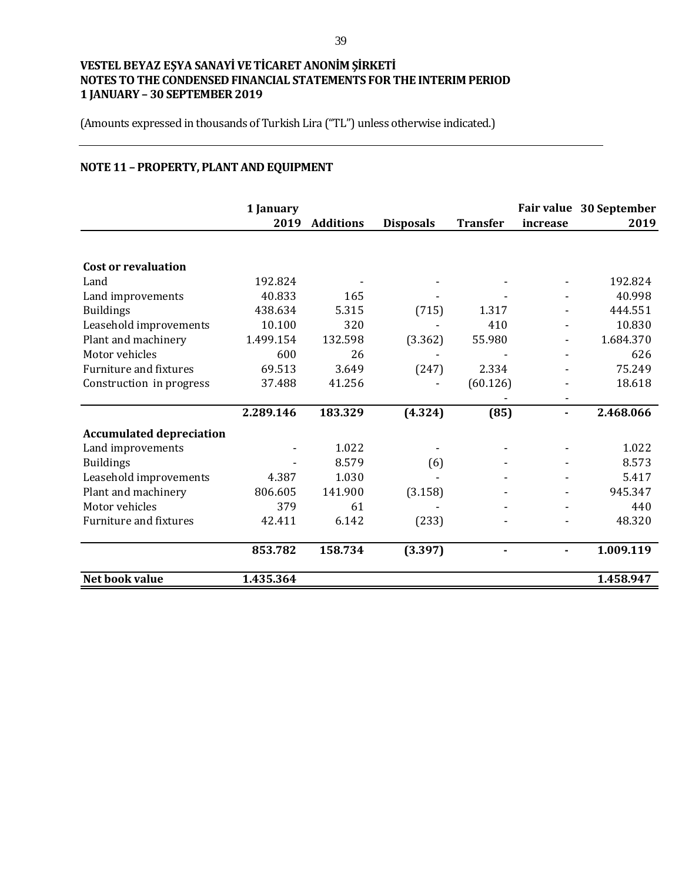(Amounts expressed in thousands of Turkish Lira ("TL") unless otherwise indicated.)

# **NOTE 11 – PROPERTY, PLANT AND EQUIPMENT**

|                                 | 1 January<br>2019 | <b>Additions</b> | <b>Disposals</b> | <b>Transfer</b> | <b>Fair value</b><br>increase | 30 September<br>2019 |
|---------------------------------|-------------------|------------------|------------------|-----------------|-------------------------------|----------------------|
|                                 |                   |                  |                  |                 |                               |                      |
| <b>Cost or revaluation</b>      |                   |                  |                  |                 |                               |                      |
| Land                            | 192.824           |                  |                  |                 |                               | 192.824              |
| Land improvements               | 40.833            | 165              |                  |                 |                               | 40.998               |
| <b>Buildings</b>                | 438.634           | 5.315            | (715)            | 1.317           |                               | 444.551              |
| Leasehold improvements          | 10.100            | 320              |                  | 410             |                               | 10.830               |
| Plant and machinery             | 1.499.154         | 132.598          | (3.362)          | 55.980          |                               | 1.684.370            |
| Motor vehicles                  | 600               | 26               |                  |                 |                               | 626                  |
| <b>Furniture and fixtures</b>   | 69.513            | 3.649            | (247)            | 2.334           |                               | 75.249               |
| Construction in progress        | 37.488            | 41.256           |                  | (60.126)        |                               | 18.618               |
|                                 |                   |                  |                  |                 |                               |                      |
|                                 | 2.289.146         | 183.329          | (4.324)          | (85)            |                               | 2.468.066            |
| <b>Accumulated depreciation</b> |                   |                  |                  |                 |                               |                      |
| Land improvements               |                   | 1.022            |                  |                 |                               | 1.022                |
| <b>Buildings</b>                |                   | 8.579            | (6)              |                 |                               | 8.573                |
| Leasehold improvements          | 4.387             | 1.030            |                  |                 |                               | 5.417                |
| Plant and machinery             | 806.605           | 141.900          | (3.158)          |                 |                               | 945.347              |
| Motor vehicles                  | 379               | 61               |                  |                 |                               | 440                  |
| <b>Furniture and fixtures</b>   | 42.411            | 6.142            | (233)            |                 |                               | 48.320               |
|                                 | 853.782           | 158.734          | (3.397)          |                 |                               | 1.009.119            |
| Net book value                  | 1.435.364         |                  |                  |                 |                               | 1.458.947            |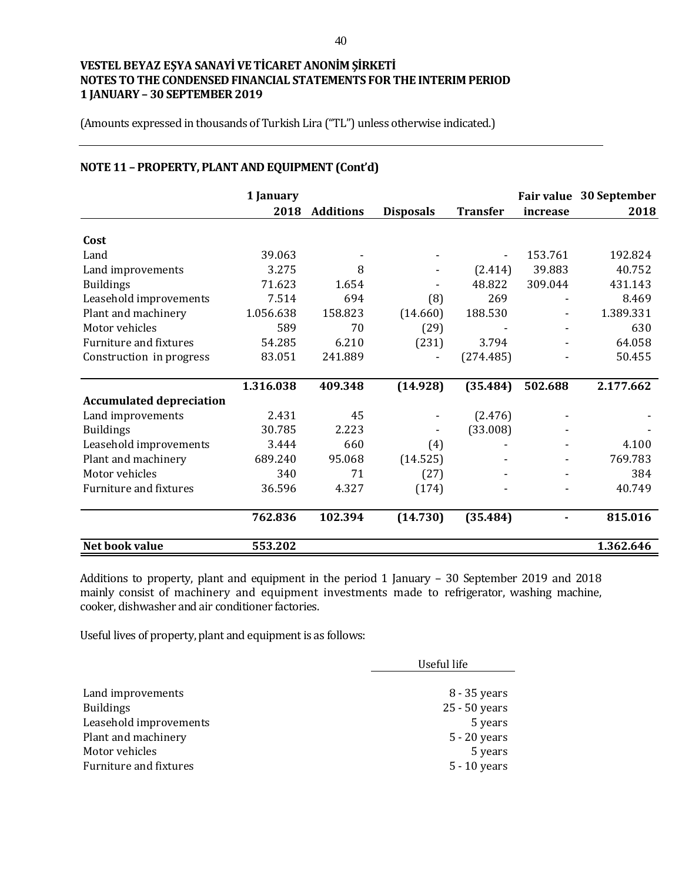(Amounts expressed in thousands of Turkish Lira ("TL") unless otherwise indicated.)

|                                 | 1 January |                  |                  |                 | <b>Fair value</b> | 30 September |
|---------------------------------|-----------|------------------|------------------|-----------------|-------------------|--------------|
|                                 | 2018      | <b>Additions</b> | <b>Disposals</b> | <b>Transfer</b> | increase          | 2018         |
| Cost                            |           |                  |                  |                 |                   |              |
|                                 |           |                  |                  |                 |                   |              |
| Land                            | 39.063    |                  |                  |                 | 153.761           | 192.824      |
| Land improvements               | 3.275     | 8                |                  | (2.414)         | 39.883            | 40.752       |
| <b>Buildings</b>                | 71.623    | 1.654            |                  | 48.822          | 309.044           | 431.143      |
| Leasehold improvements          | 7.514     | 694              | (8)              | 269             |                   | 8.469        |
| Plant and machinery             | 1.056.638 | 158.823          | (14.660)         | 188.530         |                   | 1.389.331    |
| Motor vehicles                  | 589       | 70               | (29)             |                 |                   | 630          |
| <b>Furniture and fixtures</b>   | 54.285    | 6.210            | (231)            | 3.794           |                   | 64.058       |
| Construction in progress        | 83.051    | 241.889          |                  | (274.485)       |                   | 50.455       |
|                                 |           |                  |                  |                 |                   |              |
|                                 | 1.316.038 | 409.348          | (14.928)         | (35.484)        | 502.688           | 2.177.662    |
| <b>Accumulated depreciation</b> |           |                  |                  |                 |                   |              |
| Land improvements               | 2.431     | 45               |                  | (2.476)         |                   |              |
| <b>Buildings</b>                | 30.785    | 2.223            |                  | (33.008)        |                   |              |
| Leasehold improvements          | 3.444     | 660              | (4)              |                 |                   | 4.100        |
| Plant and machinery             | 689.240   | 95.068           | (14.525)         |                 |                   | 769.783      |
| Motor vehicles                  | 340       | 71               | (27)             |                 |                   | 384          |
| <b>Furniture and fixtures</b>   | 36.596    | 4.327            | (174)            |                 |                   | 40.749       |
|                                 | 762.836   | 102.394          | (14.730)         | (35.484)        |                   | 815.016      |
| Net book value                  | 553.202   |                  |                  |                 |                   | 1.362.646    |

# **NOTE 11 – PROPERTY, PLANT AND EQUIPMENT (Cont'd)**

Additions to property, plant and equipment in the period 1 January – 30 September 2019 and 2018 mainly consist of machinery and equipment investments made to refrigerator, washing machine, cooker, dishwasher and air conditioner factories.

Useful lives of property, plant and equipment is as follows:

|                        | Useful life    |  |
|------------------------|----------------|--|
|                        |                |  |
| Land improvements      | 8 - 35 years   |  |
| <b>Buildings</b>       | 25 - 50 years  |  |
| Leasehold improvements | 5 years        |  |
| Plant and machinery    | $5 - 20$ years |  |
| Motor vehicles         | 5 years        |  |
| Furniture and fixtures | $5 - 10$ years |  |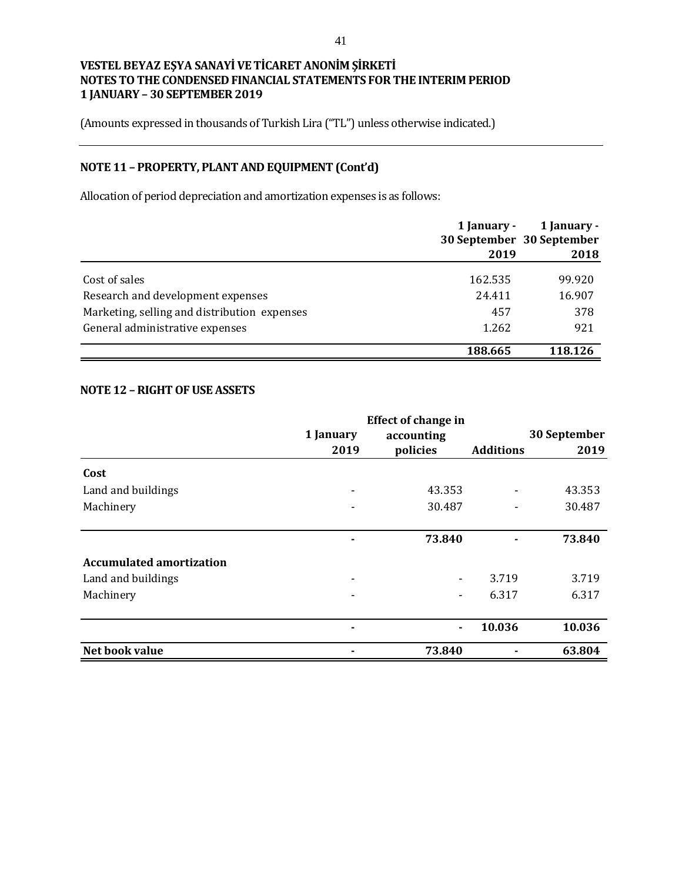(Amounts expressed in thousands of Turkish Lira ("TL") unless otherwise indicated.)

# **NOTE 11 – PROPERTY, PLANT AND EQUIPMENT (Cont'd)**

Allocation of period depreciation and amortization expenses is as follows:

|                                              | 1 January - | 1 January -<br>30 September 30 September |
|----------------------------------------------|-------------|------------------------------------------|
|                                              | 2019        | 2018                                     |
| Cost of sales                                | 162.535     | 99.920                                   |
| Research and development expenses            | 24.411      | 16.907                                   |
| Marketing, selling and distribution expenses | 457         | 378                                      |
| General administrative expenses              | 1.262       | 921                                      |
|                                              | 188.665     | 118.126                                  |

### **NOTE 12 –RIGHT OF USE ASSETS**

|                                 |           | <b>Effect of change in</b> |                  |              |
|---------------------------------|-----------|----------------------------|------------------|--------------|
|                                 | 1 January | accounting                 |                  | 30 September |
|                                 | 2019      | policies                   | <b>Additions</b> | 2019         |
| Cost                            |           |                            |                  |              |
| Land and buildings              |           | 43.353                     |                  | 43.353       |
| Machinery                       |           | 30.487                     |                  | 30.487       |
|                                 |           |                            |                  |              |
|                                 |           | 73.840                     |                  | 73.840       |
| <b>Accumulated amortization</b> |           |                            |                  |              |
| Land and buildings              |           | -                          | 3.719            | 3.719        |
| Machinery                       |           |                            | 6.317            | 6.317        |
|                                 |           |                            |                  |              |
|                                 |           | $\blacksquare$             | 10.036           | 10.036       |
| Net book value                  |           | 73.840                     |                  | 63.804       |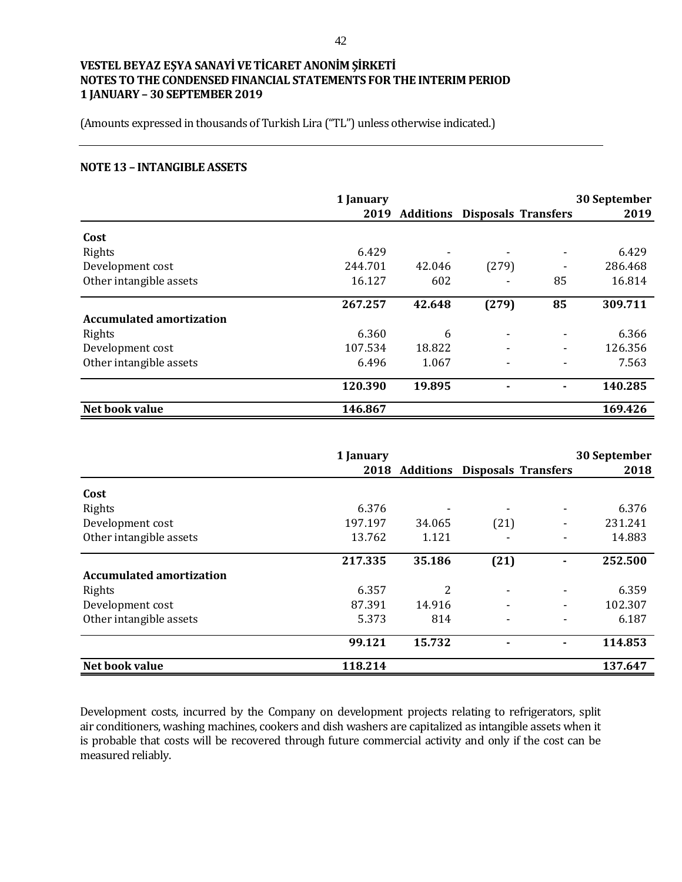(Amounts expressed in thousands of Turkish Lira ("TL") unless otherwise indicated.)

#### **NOTE 13 – INTANGIBLE ASSETS**

|                                 | 1 January |                                    |       |                          | 30 September |
|---------------------------------|-----------|------------------------------------|-------|--------------------------|--------------|
|                                 |           | 2019 Additions Disposals Transfers |       |                          | 2019         |
| Cost                            |           |                                    |       |                          |              |
| Rights                          | 6.429     |                                    |       | $\overline{\phantom{a}}$ | 6.429        |
| Development cost                | 244.701   | 42.046                             | (279) |                          | 286.468      |
| Other intangible assets         | 16.127    | 602                                |       | 85                       | 16.814       |
|                                 | 267.257   | 42.648                             | (279) | 85                       | 309.711      |
| <b>Accumulated amortization</b> |           |                                    |       |                          |              |
| Rights                          | 6.360     | 6                                  |       |                          | 6.366        |
| Development cost                | 107.534   | 18.822                             |       | $\blacksquare$           | 126.356      |
| Other intangible assets         | 6.496     | 1.067                              |       |                          | 7.563        |
|                                 | 120.390   | 19.895                             |       |                          | 140.285      |
| Net book value                  | 146.867   |                                    |       |                          | 169.426      |

|                                 | 1 January |                                    |      | 30 September |
|---------------------------------|-----------|------------------------------------|------|--------------|
|                                 |           | 2018 Additions Disposals Transfers |      | 2018         |
| Cost                            |           |                                    |      |              |
| Rights                          | 6.376     |                                    |      | 6.376        |
| Development cost                | 197.197   | 34.065                             | (21) | 231.241      |
| Other intangible assets         | 13.762    | 1.121                              |      | 14.883       |
|                                 | 217.335   | 35.186                             | (21) | 252.500      |
| <b>Accumulated amortization</b> |           |                                    |      |              |
| Rights                          | 6.357     | 2                                  |      | 6.359        |
| Development cost                | 87.391    | 14.916                             |      | 102.307      |
| Other intangible assets         | 5.373     | 814                                |      | 6.187        |
|                                 | 99.121    | 15.732                             |      | 114.853      |
| Net book value                  | 118.214   |                                    |      | 137.647      |

Development costs, incurred by the Company on development projects relating to refrigerators, split air conditioners, washing machines, cookers and dish washers are capitalized as intangible assets when it is probable that costs will be recovered through future commercial activity and only if the cost can be measured reliably.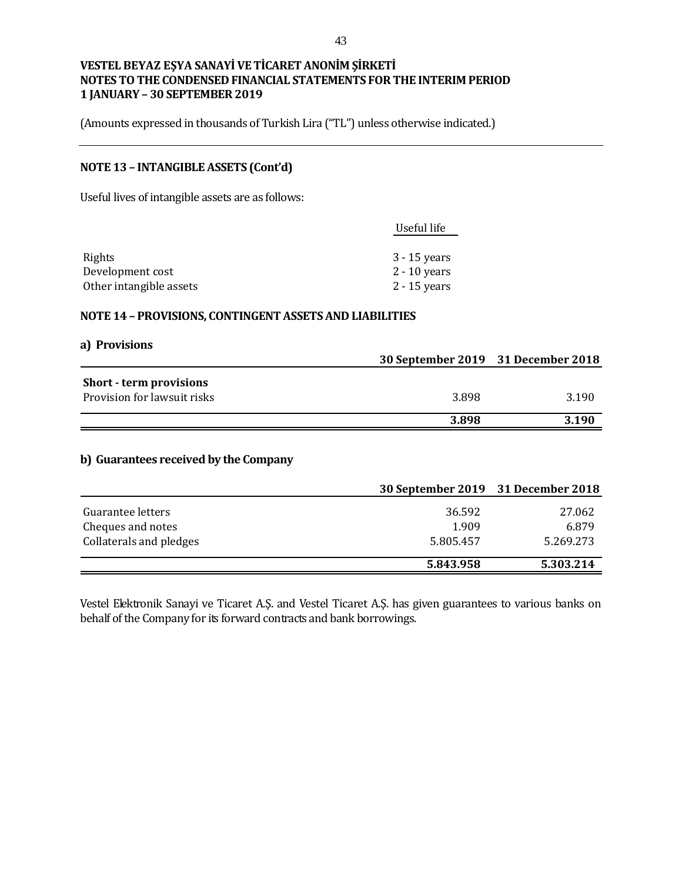(Amounts expressed in thousands of Turkish Lira ("TL") unless otherwise indicated.)

## **NOTE 13 – INTANGIBLE ASSETS (Cont'd)**

Useful lives of intangible assets are as follows:

| Useful life    |
|----------------|
|                |
| $3 - 15$ years |
| $2 - 10$ years |
| $2 - 15$ years |
|                |

#### **NOTE 14 – PROVISIONS, CONTINGENT ASSETS AND LIABILITIES**

| a) Provisions                  |                                    |       |
|--------------------------------|------------------------------------|-------|
|                                | 30 September 2019 31 December 2018 |       |
| <b>Short - term provisions</b> |                                    |       |
| Provision for lawsuit risks    | 3.898                              | 3.190 |
|                                | 3.898                              | 3.190 |

### **b) Guarantees received by the Company**

|                                        | 30 September 2019 31 December 2018 |                 |
|----------------------------------------|------------------------------------|-----------------|
| Guarantee letters<br>Cheques and notes | 36.592<br>1.909                    | 27.062<br>6.879 |
| Collaterals and pledges                | 5.805.457                          | 5.269.273       |
|                                        | 5.843.958                          | 5.303.214       |

Vestel Elektronik Sanayi ve Ticaret A.Ş. and Vestel Ticaret A.Ş. has given guarantees to various banks on behalf of the Company for its forward contracts and bank borrowings.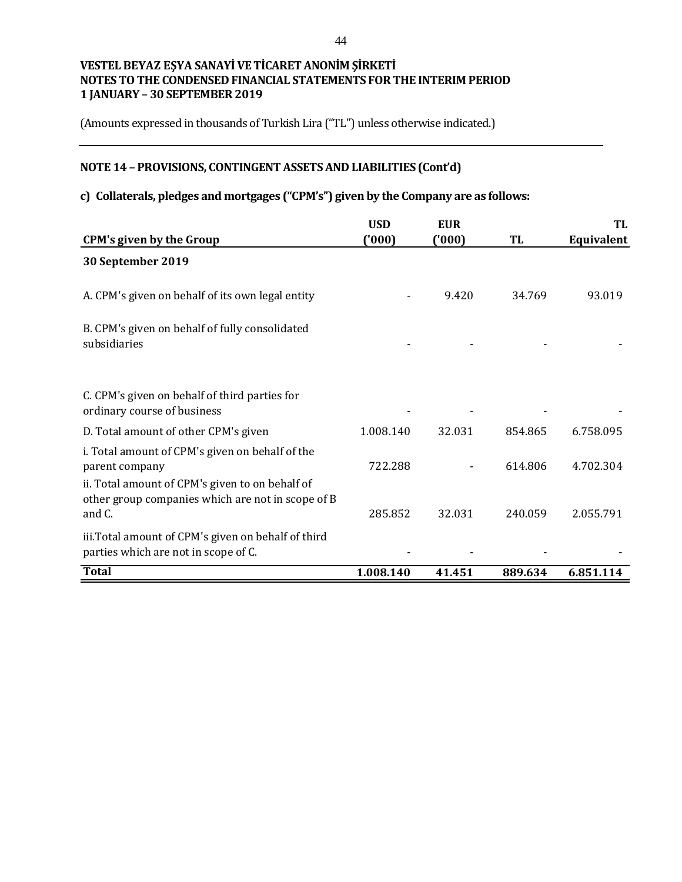(Amounts expressed in thousands of Turkish Lira ("TL") unless otherwise indicated.)

# **NOTE 14 – PROVISIONS, CONTINGENT ASSETS AND LIABILITIES (Cont'd)**

## **c) Collaterals, pledges and mortgages ("CPM's") given by the Company are as follows:**

|                                                                                                                      | <b>USD</b> | <b>EUR</b> |         | TL         |
|----------------------------------------------------------------------------------------------------------------------|------------|------------|---------|------------|
| <b>CPM's given by the Group</b>                                                                                      | ('000)     | ('000)     | TL      | Equivalent |
| 30 September 2019                                                                                                    |            |            |         |            |
| A. CPM's given on behalf of its own legal entity                                                                     |            | 9.420      | 34.769  | 93.019     |
| B. CPM's given on behalf of fully consolidated<br>subsidiaries                                                       |            |            |         |            |
| C. CPM's given on behalf of third parties for<br>ordinary course of business                                         |            |            |         |            |
| D. Total amount of other CPM's given                                                                                 | 1.008.140  | 32.031     | 854.865 | 6.758.095  |
| i. Total amount of CPM's given on behalf of the<br>parent company<br>ii. Total amount of CPM's given to on behalf of | 722.288    |            | 614.806 | 4.702.304  |
| other group companies which are not in scope of B<br>and C.                                                          | 285.852    | 32.031     | 240.059 | 2.055.791  |
| iii. Total amount of CPM's given on behalf of third<br>parties which are not in scope of C.                          |            |            |         |            |
| <b>Total</b>                                                                                                         | 1.008.140  | 41.451     | 889.634 | 6.851.114  |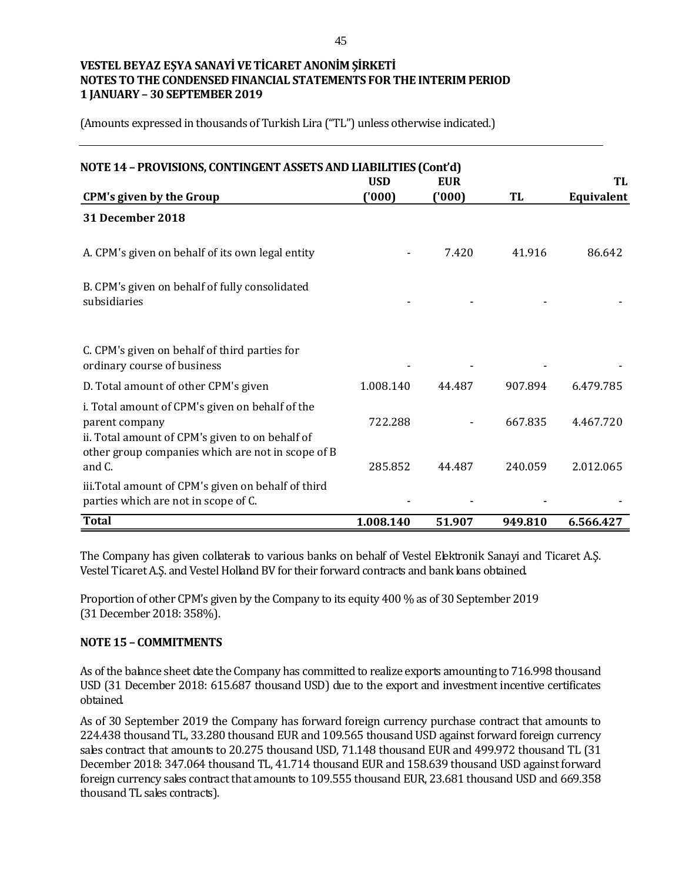(Amounts expressed in thousands of Turkish Lira ("TL") unless otherwise indicated.)

| NOTE 14 - PROVISIONS, CONTINGENT ASSETS AND LIABILITIES (Cont'd)                                                                                                          | <b>USD</b> | <b>EUR</b> |         | TL         |
|---------------------------------------------------------------------------------------------------------------------------------------------------------------------------|------------|------------|---------|------------|
| <b>CPM's given by the Group</b>                                                                                                                                           | (000)      | (000)      | TL      | Equivalent |
| 31 December 2018                                                                                                                                                          |            |            |         |            |
| A. CPM's given on behalf of its own legal entity                                                                                                                          |            | 7.420      | 41.916  | 86.642     |
| B. CPM's given on behalf of fully consolidated<br>subsidiaries                                                                                                            |            |            |         |            |
| C. CPM's given on behalf of third parties for<br>ordinary course of business                                                                                              |            |            |         |            |
| D. Total amount of other CPM's given                                                                                                                                      | 1.008.140  | 44.487     | 907.894 | 6.479.785  |
| i. Total amount of CPM's given on behalf of the<br>parent company<br>ii. Total amount of CPM's given to on behalf of<br>other group companies which are not in scope of B | 722.288    |            | 667.835 | 4.467.720  |
| and C.                                                                                                                                                                    | 285.852    | 44.487     | 240.059 | 2.012.065  |
| iii. Total amount of CPM's given on behalf of third<br>parties which are not in scope of C.                                                                               |            |            |         |            |
| <b>Total</b>                                                                                                                                                              | 1.008.140  | 51.907     | 949.810 | 6.566.427  |

The Company has given collaterals to various banks on behalf of Vestel Elektronik Sanayi and Ticaret A.Ş. Vestel Ticaret A.Ş. and Vestel Holland BV for their forward contracts and bank loans obtained.

Proportion of other CPM's given by the Company to its equity 400 % as of 30 September 2019 (31 December 2018: 358%).

### **NOTE 15 – COMMITMENTS**

As of the balance sheet date the Company has committed to realize exports amounting to 716.998 thousand USD (31 December 2018: 615.687 thousand USD) due to the export and investment incentive certificates obtained.

As of 30 September 2019 the Company has forward foreign currency purchase contract that amounts to 224.438 thousand TL, 33.280 thousand EUR and 109.565 thousand USD against forward foreign currency sales contract that amounts to 20.275 thousand USD, 71.148 thousand EUR and 499.972 thousand TL (31 December 2018: 347.064 thousand TL, 41.714 thousand EUR and 158.639 thousand USD against forward foreign currency sales contract that amounts to 109.555 thousand EUR, 23.681 thousand USD and 669.358 thousand TL sales contracts).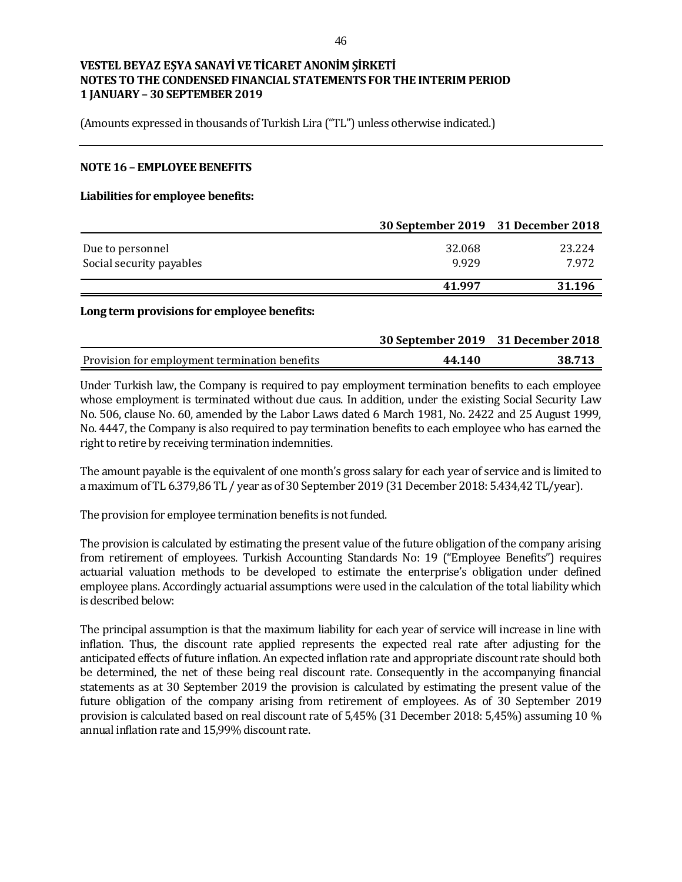(Amounts expressed in thousands of Turkish Lira ("TL") unless otherwise indicated.)

#### **NOTE 16 – EMPLOYEE BENEFITS**

#### **Liabilities for employee benefits:**

|                          | 30 September 2019 31 December 2018 |        |
|--------------------------|------------------------------------|--------|
| Due to personnel         | 32.068                             | 23.224 |
| Social security payables | 9.929                              | 7.972  |
|                          | 41.997                             | 31.196 |

#### **Long term provisions for employee benefits:**

|                                               | 30 September 2019 31 December 2018 |        |
|-----------------------------------------------|------------------------------------|--------|
| Provision for employment termination benefits | 44.140                             | 38.713 |

Under Turkish law, the Company is required to pay employment termination benefits to each employee whose employment is terminated without due caus. In addition, under the existing Social Security Law No. 506, clause No. 60, amended by the Labor Laws dated 6 March 1981, No. 2422 and 25 August 1999, No. 4447, the Company is also required to pay termination benefits to each employee who has earned the right to retire by receiving termination indemnities.

The amount payable is the equivalent of one month's gross salary for each year of service and is limited to a maximum of TL 6.379,86 TL / year as of 30 September 2019 (31 December 2018: 5.434,42 TL/year).

The provision for employee termination benefits is not funded.

The provision is calculated by estimating the present value of the future obligation of the company arising from retirement of employees. Turkish Accounting Standards No: 19 ("Employee Benefits") requires actuarial valuation methods to be developed to estimate the enterprise's obligation under defined employee plans. Accordingly actuarial assumptions were used in the calculation of the total liability which is described below:

The principal assumption is that the maximum liability for each year of service will increase in line with inflation. Thus, the discount rate applied represents the expected real rate after adjusting for the anticipated effects of future inflation. An expected inflation rate and appropriate discount rate should both be determined, the net of these being real discount rate. Consequently in the accompanying financial statements as at 30 September 2019 the provision is calculated by estimating the present value of the future obligation of the company arising from retirement of employees. As of 30 September 2019 provision is calculated based on real discount rate of 5,45% (31 December 2018: 5,45%) assuming 10 % annual inflation rate and 15,99% discount rate.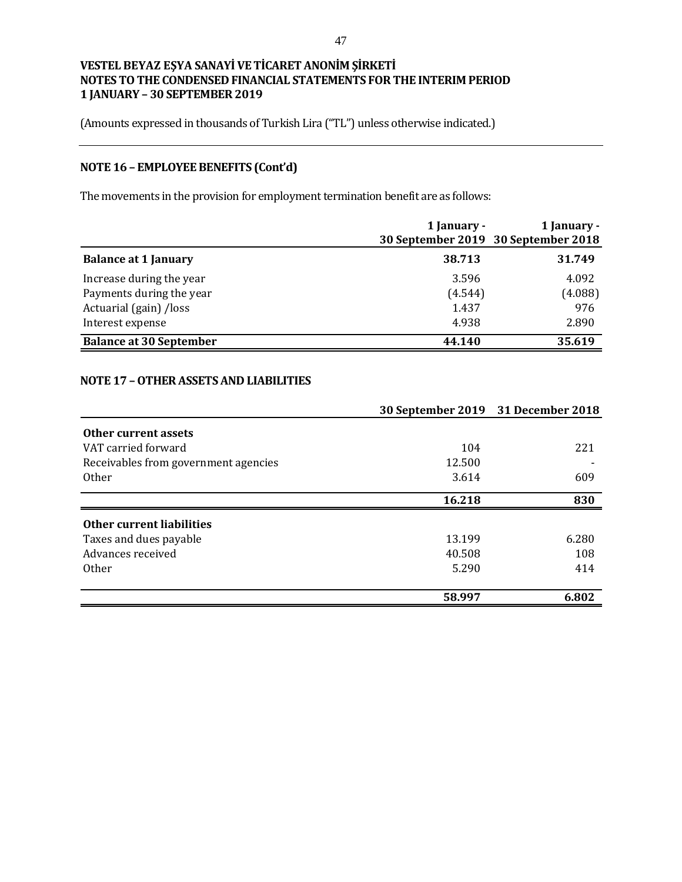(Amounts expressed in thousands of Turkish Lira ("TL") unless otherwise indicated.)

# **NOTE 16 – EMPLOYEE BENEFITS (Cont'd)**

The movements in the provision for employment termination benefit are as follows:

|                                | 1 January -<br>30 September 2019 30 September 2018 | 1 January - |
|--------------------------------|----------------------------------------------------|-------------|
| <b>Balance at 1 January</b>    | 38.713                                             | 31.749      |
| Increase during the year       | 3.596                                              | 4.092       |
| Payments during the year       | (4.544)                                            | (4.088)     |
| Actuarial (gain) /loss         | 1.437                                              | 976         |
| Interest expense               | 4.938                                              | 2.890       |
| <b>Balance at 30 September</b> | 44.140                                             | 35.619      |

## **NOTE 17 –OTHER ASSETS AND LIABILITIES**

|                                      |        | 30 September 2019 31 December 2018 |
|--------------------------------------|--------|------------------------------------|
| Other current assets                 |        |                                    |
| VAT carried forward                  | 104    | 221                                |
| Receivables from government agencies | 12.500 |                                    |
| <b>Other</b>                         | 3.614  | 609                                |
|                                      | 16.218 | 830                                |
| Other current liabilities            |        |                                    |
| Taxes and dues payable               | 13.199 | 6.280                              |
| Advances received                    | 40.508 | 108                                |
| <b>Other</b>                         | 5.290  | 414                                |
|                                      |        |                                    |
|                                      | 58.997 | 6.802                              |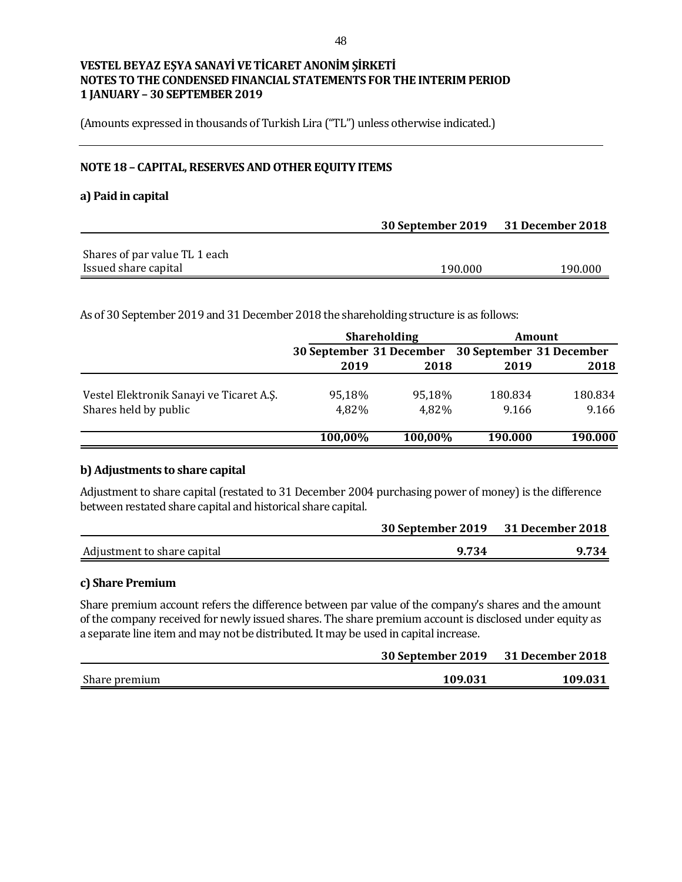(Amounts expressed in thousands of Turkish Lira ("TL") unless otherwise indicated.)

### **NOTE 18 – CAPITAL, RESERVES AND OTHER EQUITY ITEMS**

### **a) Paid in capital**

|                               | 30 September 2019 31 December 2018 |         |  |
|-------------------------------|------------------------------------|---------|--|
|                               |                                    |         |  |
| Shares of par value TL 1 each |                                    |         |  |
| Issued share capital          | 190.000                            | 190.000 |  |

As of 30 September 2019 and 31 December 2018 the shareholding structure is as follows:

|                                          | <b>Shareholding</b>                               |         | Amount  |         |
|------------------------------------------|---------------------------------------------------|---------|---------|---------|
|                                          | 30 September 31 December 30 September 31 December |         |         |         |
|                                          | 2019                                              | 2018    | 2019    | 2018    |
| Vestel Elektronik Sanayi ve Ticaret A.Ş. | 95,18%                                            | 95.18%  | 180.834 | 180.834 |
| Shares held by public                    | 4,82%                                             | 4,82%   | 9.166   | 9.166   |
|                                          | 100,00%                                           | 100,00% | 190.000 | 190.000 |

#### **b) Adjustments to share capital**

Adjustment to share capital (restated to 31 December 2004 purchasing power of money) is the difference between restated share capital and historical share capital.

|                             | 30 September 2019 31 December 2018 |       |
|-----------------------------|------------------------------------|-------|
| Adjustment to share capital | 9.734                              | 9.734 |

#### **c) Share Premium**

Share premium account refers the difference between par value of the company's shares and the amount of the company received for newly issued shares. The share premium account is disclosed under equity as a separate line item and may not be distributed. It may be used in capital increase.

|               | 30 September 2019 31 December 2018 |         |  |
|---------------|------------------------------------|---------|--|
| Share premium | 109.031                            | 109.031 |  |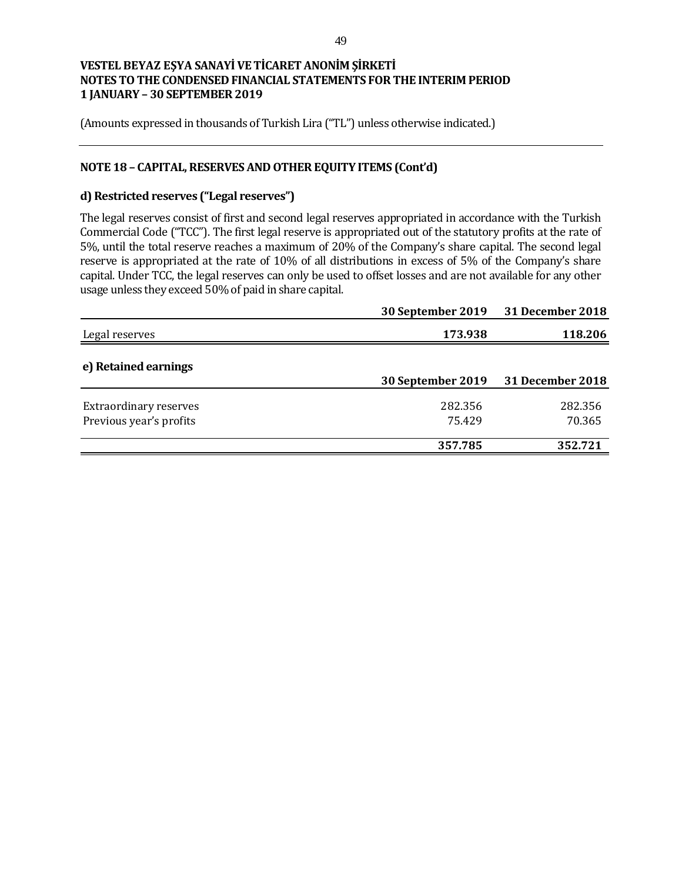(Amounts expressed in thousands of Turkish Lira ("TL") unless otherwise indicated.)

## **NOTE 18 – CAPITAL, RESERVES AND OTHER EQUITY ITEMS (Cont'd)**

## **d) Restricted reserves ("Legal reserves")**

The legal reserves consist of first and second legal reserves appropriated in accordance with the Turkish Commercial Code ("TCC"). The first legal reserve is appropriated out of the statutory profits at the rate of 5%, until the total reserve reaches a maximum of 20% of the Company's share capital. The second legal reserve is appropriated at the rate of 10% of all distributions in excess of 5% of the Company's share capital. Under TCC, the legal reserves can only be used to offset losses and are not available for any other usage unless they exceed 50% of paid in share capital.

|                               | 30 September 2019 | <b>31 December 2018</b> |
|-------------------------------|-------------------|-------------------------|
| Legal reserves                | 173.938           | 118.206                 |
| e) Retained earnings          | 30 September 2019 | <b>31 December 2018</b> |
| <b>Extraordinary reserves</b> | 282.356           | 282.356                 |
| Previous year's profits       | 75.429            | 70.365                  |
|                               | 357.785           | 352.721                 |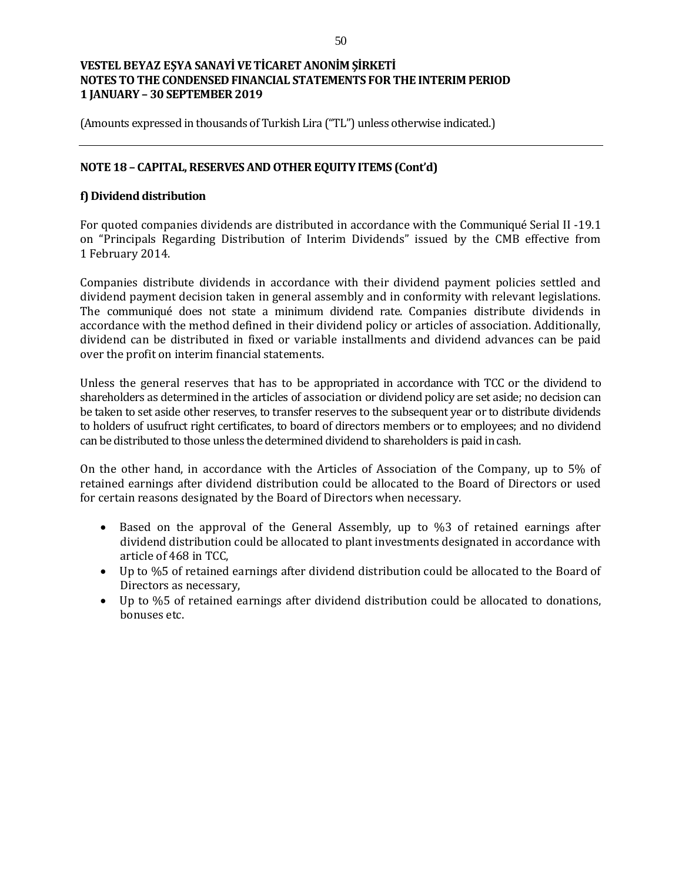(Amounts expressed in thousands of Turkish Lira ("TL") unless otherwise indicated.)

## **NOTE 18 – CAPITAL, RESERVES AND OTHER EQUITY ITEMS (Cont'd)**

## **f) Dividend distribution**

For quoted companies dividends are distributed in accordance with the Communiqué Serial II -19.1 on "Principals Regarding Distribution of Interim Dividends" issued by the CMB effective from 1 February 2014.

Companies distribute dividends in accordance with their dividend payment policies settled and dividend payment decision taken in general assembly and in conformity with relevant legislations. The communiqué does not state a minimum dividend rate. Companies distribute dividends in accordance with the method defined in their dividend policy or articles of association. Additionally, dividend can be distributed in fixed or variable installments and dividend advances can be paid over the profit on interim financial statements.

Unless the general reserves that has to be appropriated in accordance with TCC or the dividend to shareholders as determined in the articles of association or dividend policy are set aside; no decision can be taken to set aside other reserves, to transfer reserves to the subsequent year or to distribute dividends to holders of usufruct right certificates, to board of directors members or to employees; and no dividend can be distributed to those unless the determined dividend to shareholders is paid in cash.

On the other hand, in accordance with the Articles of Association of the Company, up to 5% of retained earnings after dividend distribution could be allocated to the Board of Directors or used for certain reasons designated by the Board of Directors when necessary.

- Based on the approval of the General Assembly, up to %3 of retained earnings after dividend distribution could be allocated to plant investments designated in accordance with article of 468 in TCC,
- Up to %5 of retained earnings after dividend distribution could be allocated to the Board of Directors as necessary,
- Up to %5 of retained earnings after dividend distribution could be allocated to donations, bonuses etc.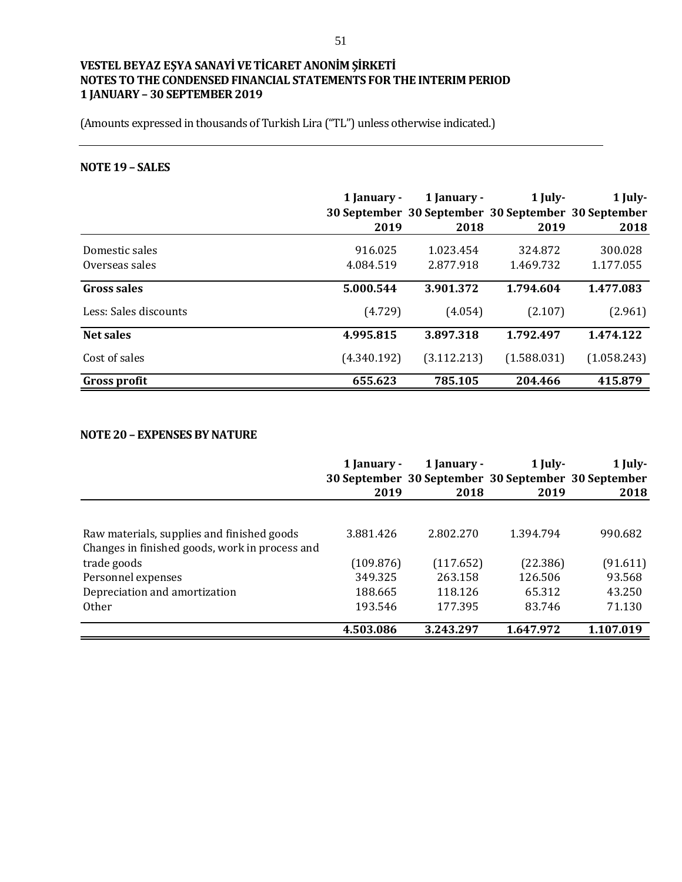(Amounts expressed in thousands of Turkish Lira ("TL") unless otherwise indicated.)

# **NOTE 19 – SALES**

|                       | 1 January -<br>2019 | 1 January -<br>2018 | $1$ July-<br>30 September 30 September 30 September 30 September<br>2019 | 1 July-<br>2018 |
|-----------------------|---------------------|---------------------|--------------------------------------------------------------------------|-----------------|
| Domestic sales        | 916.025             | 1.023.454           | 324.872                                                                  | 300.028         |
| Overseas sales        | 4.084.519           | 2.877.918           | 1.469.732                                                                | 1.177.055       |
| Gross sales           | 5.000.544           | 3.901.372           | 1.794.604                                                                | 1.477.083       |
| Less: Sales discounts | (4.729)             | (4.054)             | (2.107)                                                                  | (2.961)         |
| <b>Net sales</b>      | 4.995.815           | 3.897.318           | 1.792.497                                                                | 1.474.122       |
| Cost of sales         | (4.340.192)         | (3.112.213)         | (1.588.031)                                                              | (1.058.243)     |
| <b>Gross profit</b>   | 655.623             | 785.105             | 204.466                                                                  | 415.879         |

### **NOTE 20 – EXPENSES BY NATURE**

|                                                | 1 January - | 1 January -<br>30 September 30 September 30 September 30 September | 1 July-   | 1 July-   |
|------------------------------------------------|-------------|--------------------------------------------------------------------|-----------|-----------|
|                                                | 2019        | 2018                                                               | 2019      | 2018      |
|                                                |             |                                                                    |           |           |
| Raw materials, supplies and finished goods     | 3.881.426   | 2.802.270                                                          | 1.394.794 | 990.682   |
| Changes in finished goods, work in process and |             |                                                                    |           |           |
| trade goods                                    | (109.876)   | (117.652)                                                          | (22.386)  | (91.611)  |
| Personnel expenses                             | 349.325     | 263.158                                                            | 126.506   | 93.568    |
| Depreciation and amortization                  | 188.665     | 118.126                                                            | 65.312    | 43.250    |
| <b>Other</b>                                   | 193.546     | 177.395                                                            | 83.746    | 71.130    |
|                                                | 4.503.086   | 3.243.297                                                          | 1.647.972 | 1.107.019 |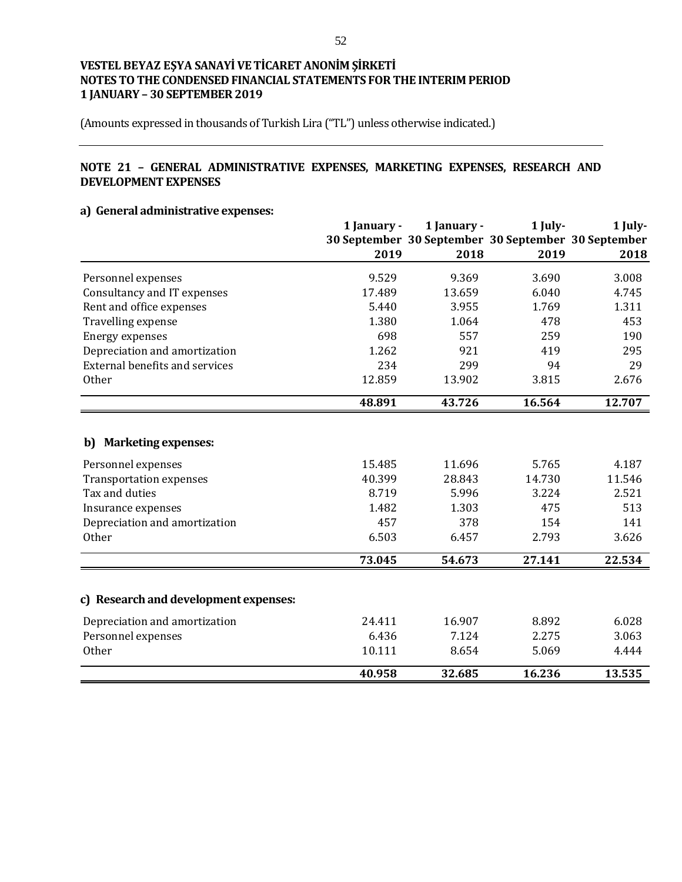(Amounts expressed in thousands of Turkish Lira ("TL") unless otherwise indicated.)

## **NOTE 21 – GENERAL ADMINISTRATIVE EXPENSES, MARKETING EXPENSES, RESEARCH AND DEVELOPMENT EXPENSES**

## **a) General administrative expenses:**

|                                       | 1 January - | 1 January - | 1 July- | 1 July-<br>30 September 30 September 30 September 30 September |
|---------------------------------------|-------------|-------------|---------|----------------------------------------------------------------|
|                                       |             |             |         |                                                                |
|                                       | 2019        | 2018        | 2019    | 2018                                                           |
| Personnel expenses                    | 9.529       | 9.369       | 3.690   | 3.008                                                          |
| Consultancy and IT expenses           | 17.489      | 13.659      | 6.040   | 4.745                                                          |
| Rent and office expenses              | 5.440       | 3.955       | 1.769   | 1.311                                                          |
| Travelling expense                    | 1.380       | 1.064       | 478     | 453                                                            |
| <b>Energy expenses</b>                | 698         | 557         | 259     | 190                                                            |
| Depreciation and amortization         | 1.262       | 921         | 419     | 295                                                            |
| External benefits and services        | 234         | 299         | 94      | 29                                                             |
| <b>Other</b>                          | 12.859      | 13.902      | 3.815   | 2.676                                                          |
|                                       | 48.891      | 43.726      | 16.564  | 12.707                                                         |
|                                       |             |             |         |                                                                |
| <b>Marketing expenses:</b><br>b)      |             |             |         |                                                                |
| Personnel expenses                    | 15.485      | 11.696      | 5.765   | 4.187                                                          |
| <b>Transportation expenses</b>        | 40.399      | 28.843      | 14.730  | 11.546                                                         |
| Tax and duties                        | 8.719       | 5.996       | 3.224   | 2.521                                                          |
| Insurance expenses                    | 1.482       | 1.303       | 475     | 513                                                            |
| Depreciation and amortization         | 457         | 378         | 154     | 141                                                            |
| Other                                 | 6.503       | 6.457       | 2.793   | 3.626                                                          |
|                                       | 73.045      | 54.673      | 27.141  | 22.534                                                         |
|                                       |             |             |         |                                                                |
| c) Research and development expenses: |             |             |         |                                                                |
| Depreciation and amortization         | 24.411      | 16.907      | 8.892   | 6.028                                                          |
| Personnel expenses                    | 6.436       | 7.124       | 2.275   | 3.063                                                          |
| <b>Other</b>                          | 10.111      | 8.654       | 5.069   | 4.444                                                          |
|                                       | 40.958      | 32.685      | 16.236  | 13.535                                                         |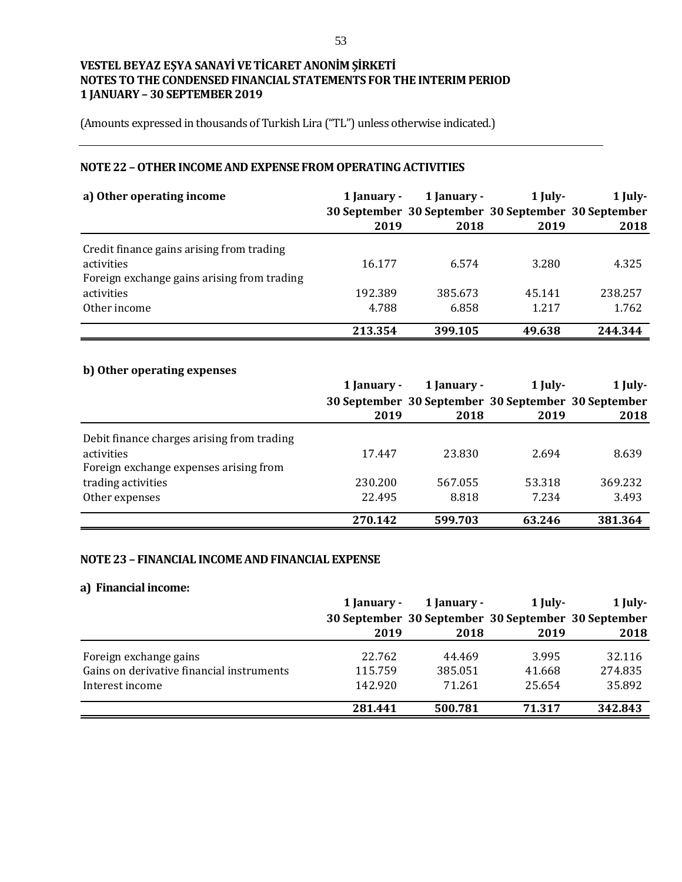(Amounts expressed in thousands of Turkish Lira ("TL") unless otherwise indicated.)

## **NOTE 22 –OTHER INCOME AND EXPENSE FROM OPERATING ACTIVITIES**

| a) Other operating income                   | 1 January - | 1 January -<br>30 September 30 September 30 September 30 September | $1$ July- | $1$ July- |
|---------------------------------------------|-------------|--------------------------------------------------------------------|-----------|-----------|
|                                             | 2019        | 2018                                                               | 2019      | 2018      |
| Credit finance gains arising from trading   |             |                                                                    |           |           |
| activities                                  | 16.177      | 6.574                                                              | 3.280     | 4.325     |
| Foreign exchange gains arising from trading |             |                                                                    |           |           |
| activities                                  | 192.389     | 385.673                                                            | 45.141    | 238.257   |
| Other income                                | 4.788       | 6.858                                                              | 1.217     | 1.762     |
|                                             | 213.354     | 399.105                                                            | 49.638    | 244.344   |

# **b) Other operating expenses**

|                                            | 1 January - | 1 January -                                         | 1 July- | $1$ July- |
|--------------------------------------------|-------------|-----------------------------------------------------|---------|-----------|
|                                            |             | 30 September 30 September 30 September 30 September |         |           |
|                                            | 2019        | 2018                                                | 2019    | 2018      |
| Debit finance charges arising from trading |             |                                                     |         |           |
| activities                                 | 17.447      | 23.830                                              | 2.694   | 8.639     |
| Foreign exchange expenses arising from     |             |                                                     |         |           |
| trading activities                         | 230.200     | 567.055                                             | 53.318  | 369.232   |
| Other expenses                             | 22.495      | 8.818                                               | 7.234   | 3.493     |
|                                            | 270.142     | 599.703                                             | 63.246  | 381.364   |

#### **NOTE 23 – FINANCIAL INCOME AND FINANCIAL EXPENSE**

#### **a) Financial income:**

|                                           | 1 January - | 1 January -                                         | 1 July- | $1$ July- |
|-------------------------------------------|-------------|-----------------------------------------------------|---------|-----------|
|                                           |             | 30 September 30 September 30 September 30 September |         |           |
|                                           | 2019        | 2018                                                | 2019    | 2018      |
| Foreign exchange gains                    | 22.762      | 44.469                                              | 3.995   | 32.116    |
| Gains on derivative financial instruments | 115.759     | 385.051                                             | 41.668  | 274.835   |
| Interest income                           | 142.920     | 71.261                                              | 25.654  | 35.892    |
|                                           | 281.441     | 500.781                                             | 71.317  | 342.843   |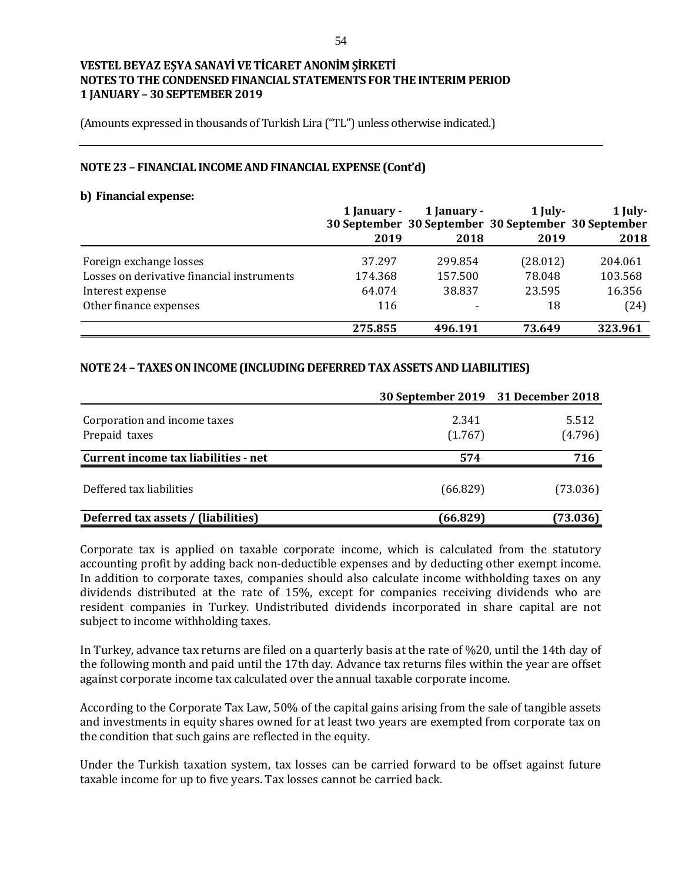(Amounts expressed in thousands of Turkish Lira ("TL") unless otherwise indicated.)

#### **NOTE 23 – FINANCIAL INCOME AND FINANCIAL EXPENSE (Cont'd)**

#### **b) Financial expense:**

|                                            | 1 January - | 1 January - | 1 July-<br>30 September 30 September 30 September 30 September | $1$ July- |
|--------------------------------------------|-------------|-------------|----------------------------------------------------------------|-----------|
|                                            | 2019        | 2018        | 2019                                                           | 2018      |
| Foreign exchange losses                    | 37.297      | 299.854     | (28.012)                                                       | 204.061   |
| Losses on derivative financial instruments | 174.368     | 157.500     | 78.048                                                         | 103.568   |
| Interest expense                           | 64.074      | 38.837      | 23.595                                                         | 16.356    |
| Other finance expenses                     | 116         |             | 18                                                             | (24)      |
|                                            | 275.855     | 496.191     | 73.649                                                         | 323.961   |

## **NOTE 24 – TAXES ON INCOME (INCLUDING DEFERRED TAX ASSETS AND LIABILITIES)**

|                                               | 30 September 2019 31 December 2018 |                  |
|-----------------------------------------------|------------------------------------|------------------|
| Corporation and income taxes<br>Prepaid taxes | 2.341<br>(1.767)                   | 5.512<br>(4.796) |
| Current income tax liabilities - net          | 574                                | 716              |
| Deffered tax liabilities                      | (66.829)                           | (73.036)         |
| Deferred tax assets / (liabilities)           | (66.829)                           | (73.036)         |

Corporate tax is applied on taxable corporate income, which is calculated from the statutory accounting profit by adding back non-deductible expenses and by deducting other exempt income. In addition to corporate taxes, companies should also calculate income withholding taxes on any dividends distributed at the rate of 15%, except for companies receiving dividends who are resident companies in Turkey. Undistributed dividends incorporated in share capital are not subject to income withholding taxes.

In Turkey, advance tax returns are filed on a quarterly basis at the rate of %20, until the 14th day of the following month and paid until the 17th day. Advance tax returns files within the year are offset against corporate income tax calculated over the annual taxable corporate income.

According to the Corporate Tax Law, 50% of the capital gains arising from the sale of tangible assets and investments in equity shares owned for at least two years are exempted from corporate tax on the condition that such gains are reflected in the equity.

Under the Turkish taxation system, tax losses can be carried forward to be offset against future taxable income for up to five years. Tax losses cannot be carried back.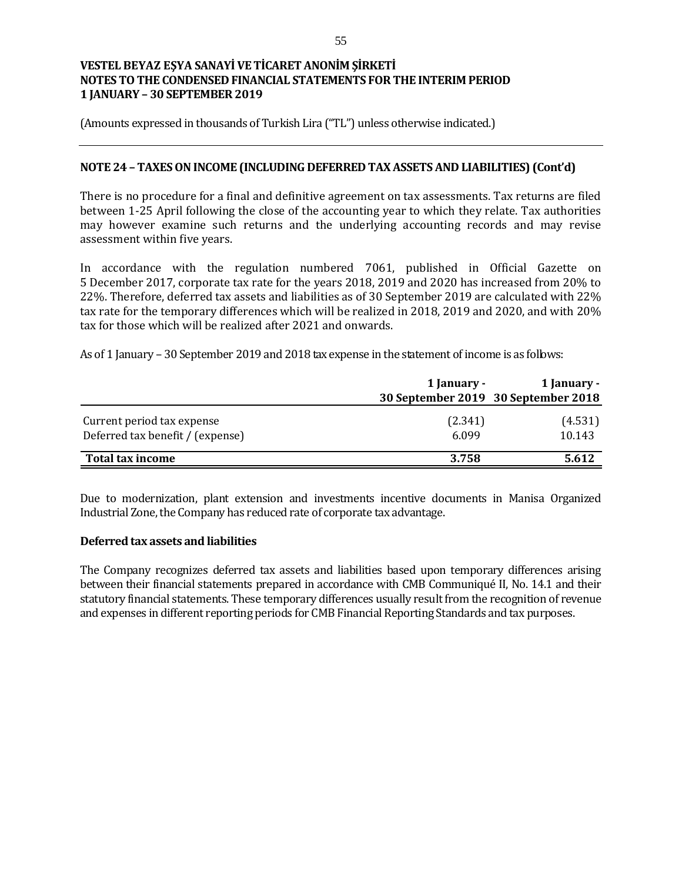(Amounts expressed in thousands of Turkish Lira ("TL") unless otherwise indicated.)

### **NOTE 24 – TAXES ON INCOME (INCLUDING DEFERRED TAX ASSETS AND LIABILITIES) (Cont'd)**

There is no procedure for a final and definitive agreement on tax assessments. Tax returns are filed between 1-25 April following the close of the accounting year to which they relate. Tax authorities may however examine such returns and the underlying accounting records and may revise assessment within five years.

In accordance with the regulation numbered 7061, published in Official Gazette on 5 December 2017, corporate tax rate for the years 2018, 2019 and 2020 has increased from 20% to 22%. Therefore, deferred tax assets and liabilities as of 30 September 2019 are calculated with 22% tax rate for the temporary differences which will be realized in 2018, 2019 and 2020, and with 20% tax for those which will be realized after 2021 and onwards.

As of 1 January – 30 September 2019 and 2018 tax expense in the statement of income is as follows:

|                                  | 1 January - | 1 January -<br>30 September 2019 30 September 2018 |
|----------------------------------|-------------|----------------------------------------------------|
|                                  |             |                                                    |
| Current period tax expense       | (2.341)     | (4.531)                                            |
| Deferred tax benefit / (expense) | 6.099       | 10.143                                             |
| Total tax income                 | 3.758       | 5.612                                              |

Due to modernization, plant extension and investments incentive documents in Manisa Organized Industrial Zone, the Company has reduced rate of corporate tax advantage.

### **Deferred tax assets and liabilities**

The Company recognizes deferred tax assets and liabilities based upon temporary differences arising between their financial statements prepared in accordance with CMB Communiqué II, No. 14.1 and their statutory financial statements. These temporary differences usually result from the recognition of revenue and expenses in different reporting periods for CMB Financial Reporting Standards and tax purposes.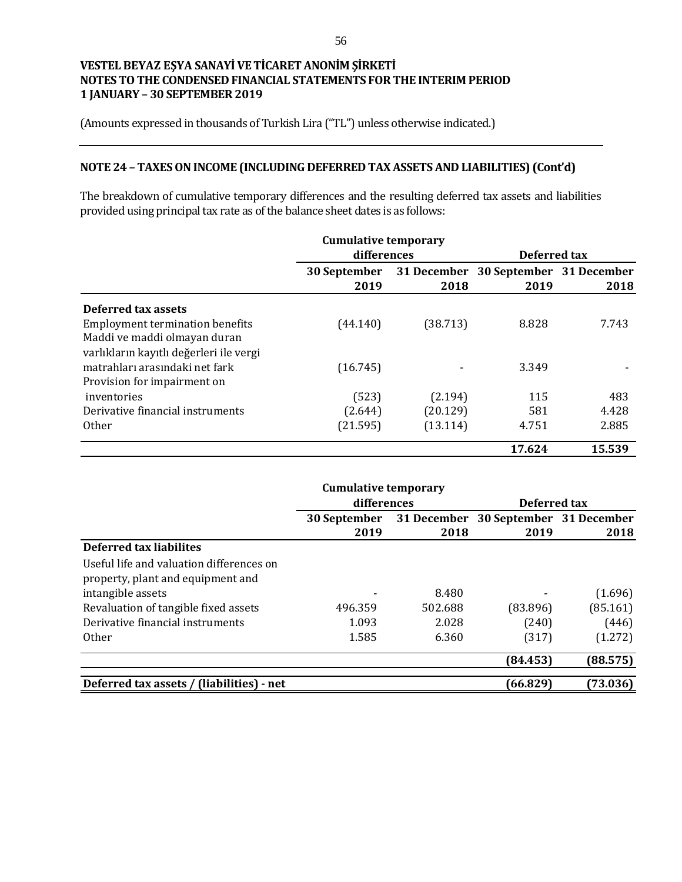(Amounts expressed in thousands of Turkish Lira ("TL") unless otherwise indicated.)

# **NOTE 24 – TAXES ON INCOME (INCLUDING DEFERRED TAX ASSETS AND LIABILITIES) (Cont'd)**

The breakdown of cumulative temporary differences and the resulting deferred tax assets and liabilities provided using principal tax rate as of the balance sheet dates is as follows:

|                                         | <b>Cumulative temporary</b> |          |                                              |              |  |
|-----------------------------------------|-----------------------------|----------|----------------------------------------------|--------------|--|
|                                         | differences                 |          |                                              | Deferred tax |  |
|                                         | 30 September<br>2019        | 2018     | 31 December 30 September 31 December<br>2019 | 2018         |  |
| Deferred tax assets                     |                             |          |                                              |              |  |
| <b>Employment termination benefits</b>  | (44.140)                    | (38.713) | 8.828                                        | 7.743        |  |
| Maddi ve maddi olmayan duran            |                             |          |                                              |              |  |
| varlıkların kayıtlı değerleri ile vergi |                             |          |                                              |              |  |
| matrahları arasındaki net fark          | (16.745)                    |          | 3.349                                        |              |  |
| Provision for impairment on             |                             |          |                                              |              |  |
| inventories                             | (523)                       | (2.194)  | 115                                          | 483          |  |
| Derivative financial instruments        | (2.644)                     | (20.129) | 581                                          | 4.428        |  |
| <b>Other</b>                            | (21.595)                    | (13.114) | 4.751                                        | 2.885        |  |
|                                         |                             |          | 17.624                                       | 15.539       |  |

|              |         | Deferred tax                               |             |
|--------------|---------|--------------------------------------------|-------------|
| 30 September |         | 30 September 31 December                   |             |
| 2019         | 2018    | 2019                                       | 2018        |
|              |         |                                            |             |
|              |         |                                            |             |
|              |         |                                            |             |
|              | 8.480   |                                            | (1.696)     |
| 496.359      | 502.688 | (83.896)                                   | (85.161)    |
| 1.093        | 2.028   | (240)                                      | (446)       |
| 1.585        | 6.360   | (317)                                      | (1.272)     |
|              |         | (84.453)                                   | (88.575)    |
|              |         | (66.829)                                   | (73.036)    |
|              |         | <b>Cumulative temporary</b><br>differences | 31 December |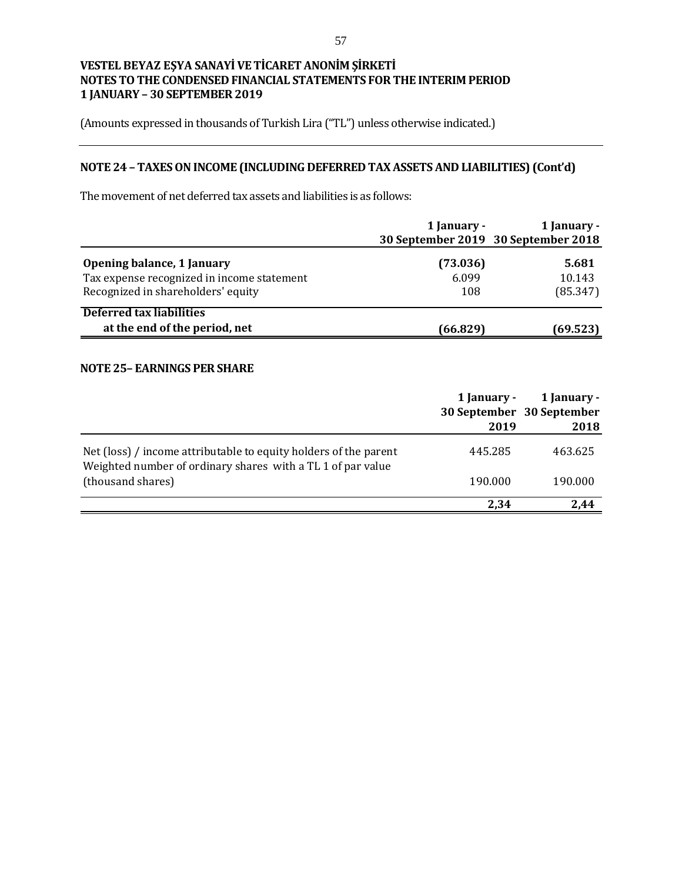(Amounts expressed in thousands of Turkish Lira ("TL") unless otherwise indicated.)

# **NOTE 24 – TAXES ON INCOME (INCLUDING DEFERRED TAX ASSETS AND LIABILITIES) (Cont'd)**

The movement of net deferred tax assets and liabilities is as follows:

|                                                                                                                | 1 January -              | 1 January -<br>30 September 2019 30 September 2018 |
|----------------------------------------------------------------------------------------------------------------|--------------------------|----------------------------------------------------|
| Opening balance, 1 January<br>Tax expense recognized in income statement<br>Recognized in shareholders' equity | (73.036)<br>6.099<br>108 | 5.681<br>10.143<br>(85.347)                        |
| <b>Deferred tax liabilities</b><br>at the end of the period, net                                               | (66.829)                 | (69.523)                                           |

### **NOTE 25– EARNINGS PER SHARE**

|                                                                                                                                 | 1 January -<br>2019 | 1 January -<br>30 September 30 September<br>2018 |
|---------------------------------------------------------------------------------------------------------------------------------|---------------------|--------------------------------------------------|
| Net (loss) / income attributable to equity holders of the parent<br>Weighted number of ordinary shares with a TL 1 of par value | 445.285             | 463.625                                          |
| (thousand shares)                                                                                                               | 190.000             | 190.000                                          |
|                                                                                                                                 | 2,34                | 2.44                                             |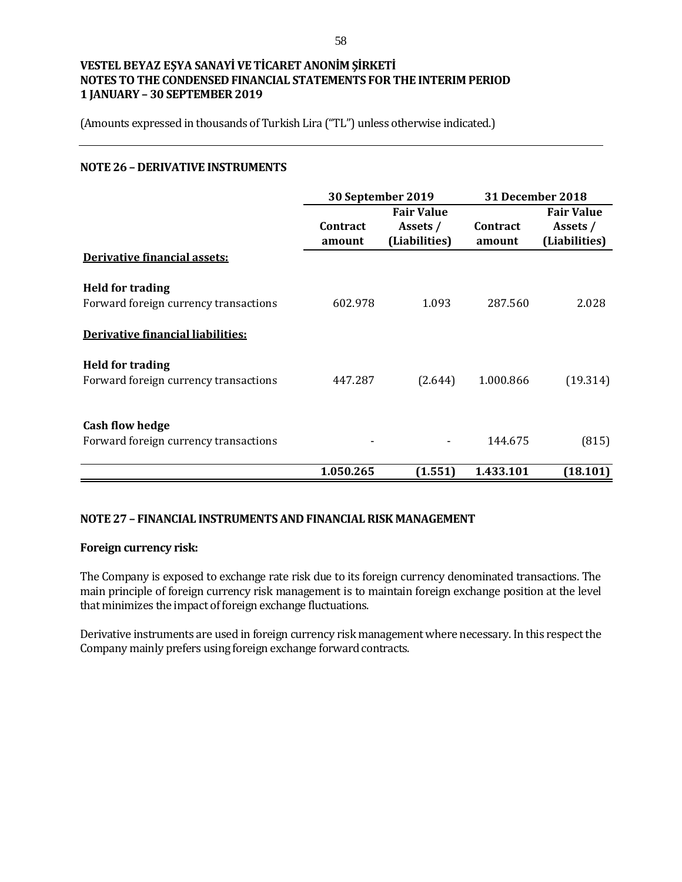(Amounts expressed in thousands of Turkish Lira ("TL") unless otherwise indicated.)

### **NOTE 26 – DERIVATIVE INSTRUMENTS**

|                                                                                                       |                           | 30 September 2019                              |                           | <b>31 December 2018</b>                        |
|-------------------------------------------------------------------------------------------------------|---------------------------|------------------------------------------------|---------------------------|------------------------------------------------|
|                                                                                                       | <b>Contract</b><br>amount | <b>Fair Value</b><br>Assets /<br>(Liabilities) | <b>Contract</b><br>amount | <b>Fair Value</b><br>Assets /<br>(Liabilities) |
| <b>Derivative financial assets:</b>                                                                   |                           |                                                |                           |                                                |
| <b>Held for trading</b><br>Forward foreign currency transactions<br>Derivative financial liabilities: | 602.978                   | 1.093                                          | 287.560                   | 2.028                                          |
| <b>Held for trading</b><br>Forward foreign currency transactions                                      | 447.287                   | (2.644)                                        | 1.000.866                 | (19.314)                                       |
| <b>Cash flow hedge</b><br>Forward foreign currency transactions                                       |                           |                                                | 144.675                   | (815)                                          |
|                                                                                                       | 1.050.265                 | (1.551)                                        | 1.433.101                 | (18.101)                                       |

## **NOTE 27 – FINANCIAL INSTRUMENTS AND FINANCIAL RISK MANAGEMENT**

### **Foreign currency risk:**

The Company is exposed to exchange rate risk due to its foreign currency denominated transactions. The main principle of foreign currency risk management is to maintain foreign exchange position at the level that minimizes the impact of foreign exchange fluctuations.

Derivative instruments are used in foreign currency risk management where necessary. In this respect the Company mainly prefers using foreign exchange forward contracts.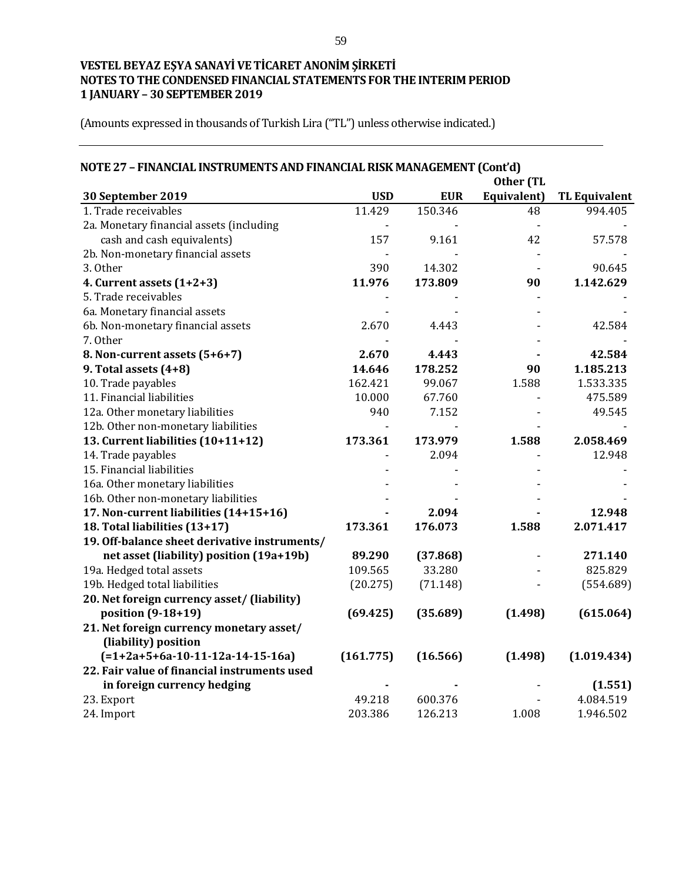| NOTE 27 - FINANCIAL INSTRUMENTS AND FINANCIAL RISK MANAGEMENT (Cont'd) |                     |            |             |                      |  |
|------------------------------------------------------------------------|---------------------|------------|-------------|----------------------|--|
|                                                                        |                     |            | Other (TL   |                      |  |
| 30 September 2019                                                      | <b>USD</b>          | <b>EUR</b> | Equivalent) | <b>TL Equivalent</b> |  |
| 1. Trade receivables                                                   | $\overline{11.429}$ | 150.346    | 48          | 994.405              |  |
| 2a. Monetary financial assets (including                               |                     |            |             |                      |  |
| cash and cash equivalents)                                             | 157                 | 9.161      | 42          | 57.578               |  |
| 2b. Non-monetary financial assets                                      |                     |            |             |                      |  |
| 3. Other                                                               | 390                 | 14.302     |             | 90.645               |  |
| 4. Current assets (1+2+3)                                              | 11.976              | 173.809    | 90          | 1.142.629            |  |
| 5. Trade receivables                                                   |                     |            |             |                      |  |
| 6a. Monetary financial assets                                          |                     |            |             |                      |  |
| 6b. Non-monetary financial assets                                      | 2.670               | 4.443      |             | 42.584               |  |
| 7. Other                                                               |                     |            |             |                      |  |
| 8. Non-current assets (5+6+7)                                          | 2.670               | 4.443      |             | 42.584               |  |
| 9. Total assets $(4+8)$                                                | 14.646              | 178.252    | 90          | 1.185.213            |  |
| 10. Trade payables                                                     | 162.421             | 99.067     | 1.588       | 1.533.335            |  |
| 11. Financial liabilities                                              | 10.000              | 67.760     |             | 475.589              |  |
| 12a. Other monetary liabilities                                        | 940                 | 7.152      |             | 49.545               |  |
| 12b. Other non-monetary liabilities                                    |                     |            |             |                      |  |
| 13. Current liabilities (10+11+12)                                     | 173.361             | 173.979    | 1.588       | 2.058.469            |  |
| 14. Trade payables                                                     |                     | 2.094      |             | 12.948               |  |
| 15. Financial liabilities                                              |                     |            |             |                      |  |
| 16a. Other monetary liabilities                                        |                     |            |             |                      |  |
| 16b. Other non-monetary liabilities                                    |                     |            |             |                      |  |
| 17. Non-current liabilities (14+15+16)                                 |                     | 2.094      |             | 12.948               |  |
| 18. Total liabilities (13+17)                                          | 173.361             | 176.073    | 1.588       | 2.071.417            |  |
| 19. Off-balance sheet derivative instruments/                          |                     |            |             |                      |  |
| net asset (liability) position (19a+19b)                               | 89.290              | (37.868)   |             | 271.140              |  |
| 19a. Hedged total assets                                               | 109.565             | 33.280     |             | 825.829              |  |
| 19b. Hedged total liabilities                                          | (20.275)            | (71.148)   |             | (554.689)            |  |
| 20. Net foreign currency asset/ (liability)                            |                     |            |             |                      |  |
| position (9-18+19)                                                     | (69.425)            | (35.689)   | (1.498)     | (615.064)            |  |
| 21. Net foreign currency monetary asset/                               |                     |            |             |                      |  |
| (liability) position                                                   |                     |            |             |                      |  |
| $(=1+2a+5+6a-10-11-12a-14-15-16a)$                                     | (161.775)           | (16.566)   | (1.498)     | (1.019.434)          |  |
| 22. Fair value of financial instruments used                           |                     |            |             |                      |  |
| in foreign currency hedging                                            |                     |            |             | (1.551)              |  |
| 23. Export                                                             | 49.218              | 600.376    |             | 4.084.519            |  |
| 24. Import                                                             | 203.386             | 126.213    | 1.008       | 1.946.502            |  |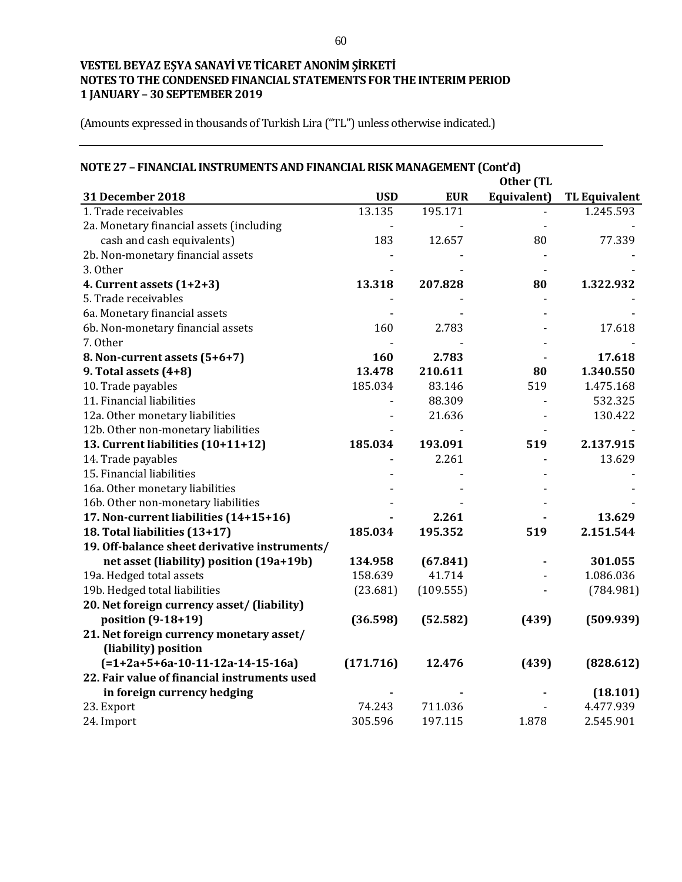| NOTE 27 - FINANCIAL INSTRUMENTS AND FINANCIAL RISK MANAGEMENT (Cont'd) |            |            |             |                      |  |  |
|------------------------------------------------------------------------|------------|------------|-------------|----------------------|--|--|
|                                                                        | Other (TL  |            |             |                      |  |  |
| 31 December 2018                                                       | <b>USD</b> | <b>EUR</b> | Equivalent) | <b>TL Equivalent</b> |  |  |
| 1. Trade receivables                                                   | 13.135     | 195.171    |             | 1.245.593            |  |  |
| 2a. Monetary financial assets (including                               |            |            |             |                      |  |  |
| cash and cash equivalents)                                             | 183        | 12.657     | 80          | 77.339               |  |  |
| 2b. Non-monetary financial assets                                      |            |            |             |                      |  |  |
| 3. Other                                                               |            |            |             |                      |  |  |
| 4. Current assets $(1+2+3)$                                            | 13.318     | 207.828    | 80          | 1.322.932            |  |  |
| 5. Trade receivables                                                   |            |            |             |                      |  |  |
| 6a. Monetary financial assets                                          |            |            |             |                      |  |  |
| 6b. Non-monetary financial assets                                      | 160        | 2.783      |             | 17.618               |  |  |
| 7. Other                                                               |            |            |             |                      |  |  |
| 8. Non-current assets (5+6+7)                                          | 160        | 2.783      |             | 17.618               |  |  |
| 9. Total assets $(4+8)$                                                | 13.478     | 210.611    | 80          | 1.340.550            |  |  |
| 10. Trade payables                                                     | 185.034    | 83.146     | 519         | 1.475.168            |  |  |
| 11. Financial liabilities                                              |            | 88.309     |             | 532.325              |  |  |
| 12a. Other monetary liabilities                                        |            | 21.636     |             | 130.422              |  |  |
| 12b. Other non-monetary liabilities                                    |            |            |             |                      |  |  |
| 13. Current liabilities (10+11+12)                                     | 185.034    | 193.091    | 519         | 2.137.915            |  |  |
| 14. Trade payables                                                     |            | 2.261      |             | 13.629               |  |  |
| 15. Financial liabilities                                              |            |            |             |                      |  |  |
| 16a. Other monetary liabilities                                        |            |            |             |                      |  |  |
| 16b. Other non-monetary liabilities                                    |            |            |             |                      |  |  |
| 17. Non-current liabilities (14+15+16)                                 |            | 2.261      |             | 13.629               |  |  |
| 18. Total liabilities (13+17)                                          | 185.034    | 195.352    | 519         | 2.151.544            |  |  |
| 19. Off-balance sheet derivative instruments/                          |            |            |             |                      |  |  |
| net asset (liability) position (19a+19b)                               | 134.958    | (67.841)   |             | 301.055              |  |  |
| 19a. Hedged total assets                                               | 158.639    | 41.714     |             | 1.086.036            |  |  |
| 19b. Hedged total liabilities                                          | (23.681)   | (109.555)  |             | (784.981)            |  |  |
| 20. Net foreign currency asset/ (liability)                            |            |            |             |                      |  |  |
| position (9-18+19)                                                     | (36.598)   | (52.582)   | (439)       | (509.939)            |  |  |
| 21. Net foreign currency monetary asset/                               |            |            |             |                      |  |  |
| (liability) position                                                   |            |            |             |                      |  |  |
| $(=1+2a+5+6a-10-11-12a-14-15-16a)$                                     | (171.716)  | 12.476     | (439)       | (828.612)            |  |  |
| 22. Fair value of financial instruments used                           |            |            |             |                      |  |  |
| in foreign currency hedging                                            |            |            |             | (18.101)             |  |  |
| 23. Export                                                             | 74.243     | 711.036    |             | 4.477.939            |  |  |
| 24. Import                                                             | 305.596    | 197.115    | 1.878       | 2.545.901            |  |  |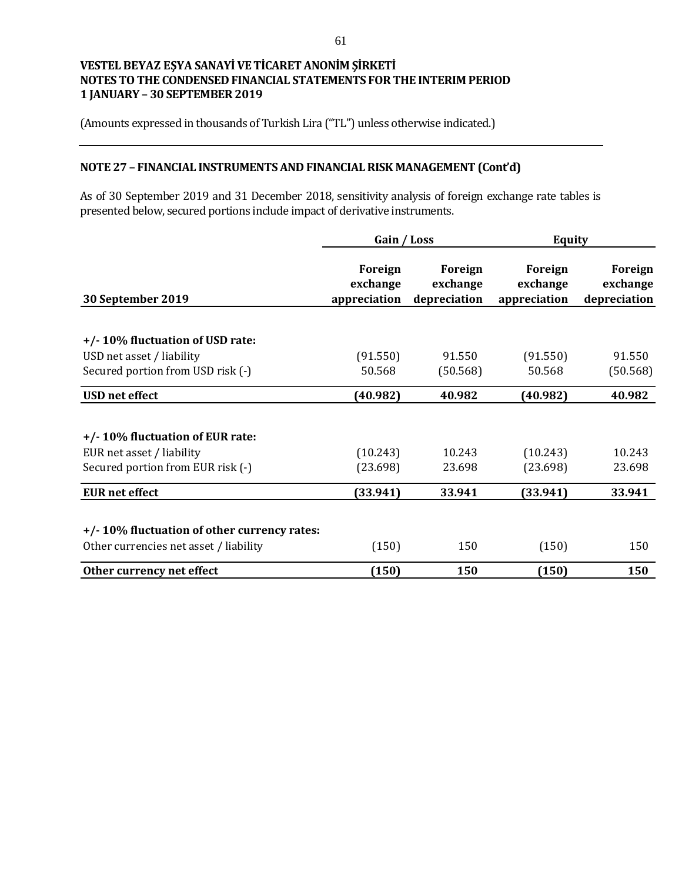(Amounts expressed in thousands of Turkish Lira ("TL") unless otherwise indicated.)

## **NOTE 27 – FINANCIAL INSTRUMENTS AND FINANCIAL RISK MANAGEMENT (Cont'd)**

As of 30 September 2019 and 31 December 2018, sensitivity analysis of foreign exchange rate tables is presented below, secured portions include impact of derivative instruments.

|                                             | Gain / Loss                         |                                     | <b>Equity</b>                       |                                     |
|---------------------------------------------|-------------------------------------|-------------------------------------|-------------------------------------|-------------------------------------|
| 30 September 2019                           | Foreign<br>exchange<br>appreciation | Foreign<br>exchange<br>depreciation | Foreign<br>exchange<br>appreciation | Foreign<br>exchange<br>depreciation |
|                                             |                                     |                                     |                                     |                                     |
| +/-10% fluctuation of USD rate:             |                                     |                                     |                                     |                                     |
| USD net asset / liability                   | (91.550)                            | 91.550                              | (91.550)                            | 91.550                              |
| Secured portion from USD risk (-)           | 50.568                              | (50.568)                            | 50.568                              | (50.568)                            |
| <b>USD</b> net effect                       | (40.982)                            | 40.982                              | (40.982)                            | 40.982                              |
| +/-10% fluctuation of EUR rate:             |                                     |                                     |                                     |                                     |
| EUR net asset / liability                   | (10.243)                            | 10.243                              | (10.243)                            | 10.243                              |
| Secured portion from EUR risk (-)           | (23.698)                            | 23.698                              | (23.698)                            | 23.698                              |
| <b>EUR</b> net effect                       | (33.941)                            | 33.941                              | (33.941)                            | 33.941                              |
| +/-10% fluctuation of other currency rates: |                                     |                                     |                                     |                                     |
| Other currencies net asset / liability      | (150)                               | 150                                 | (150)                               | 150                                 |
| Other currency net effect                   | (150)                               | 150                                 | (150)                               | 150                                 |